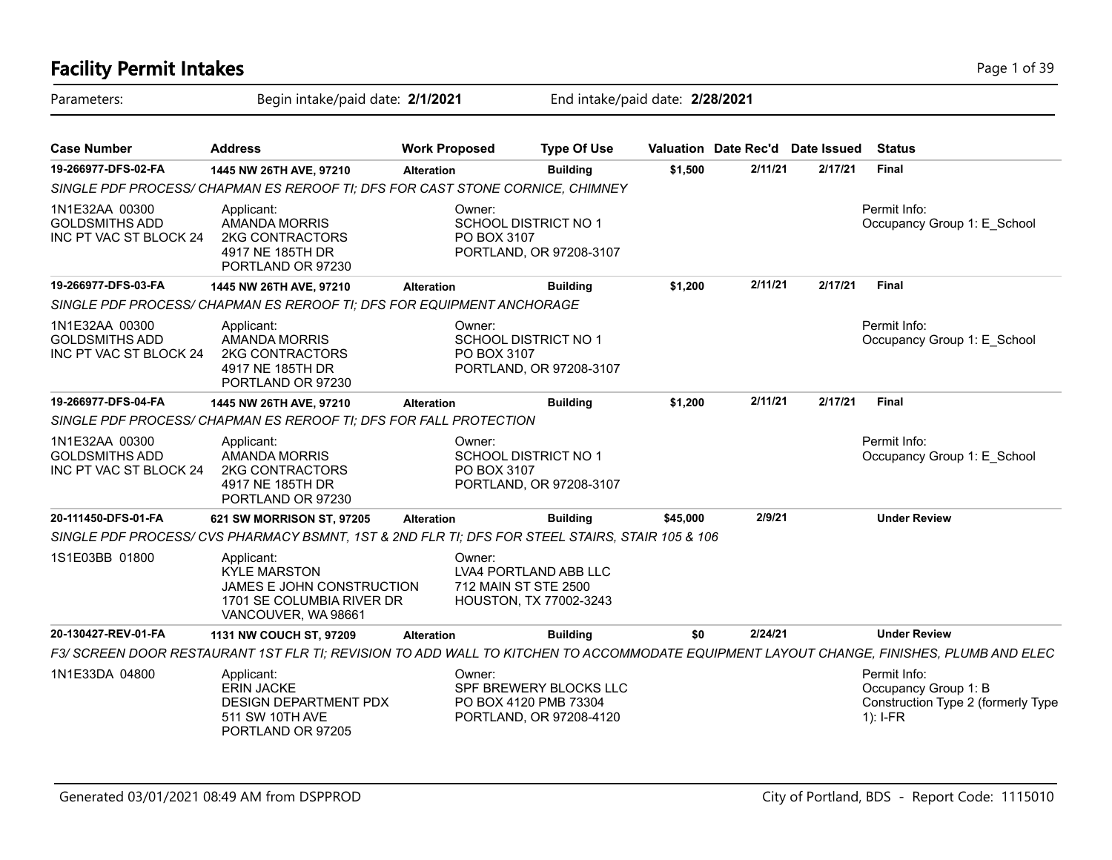### **Facility Permit Intakes** Page 1 of 39 Parameters: Begin intake/paid date: **2/1/2021** End intake/paid date: **2/28/2021 Case Number Address Work Proposed Type Of Use Valuation Date Rec'd Date Issued Status 19-266977-DFS-02-FA 1445 NW 26TH AVE, 97210 Alteration Building \$1,500 2/11/21 2/17/21 Final** *SINGLE PDF PROCESS/ CHAPMAN ES REROOF TI; DFS FOR CAST STONE CORNICE, CHIMNEY* Permit Info: Occupancy Group 1: E\_School Owner: SCHOOL DISTRICT NO 1 PO BOX 3107 PORTLAND, OR 97208-3107 Applicant: AMANDA MORRIS 2KG CONTRACTORS 4917 NE 185TH DR PORTLAND OR 97230 1N1E32AA 00300 GOLDSMITHS ADD INC PT VAC ST BLOCK 24 **19-266977-DFS-03-FA 1445 NW 26TH AVE, 97210 Alteration Building \$1,200 2/11/21 2/17/21 Final** *SINGLE PDF PROCESS/ CHAPMAN ES REROOF TI; DFS FOR EQUIPMENT ANCHORAGE* Permit Info: Occupancy Group 1: E\_School Owner: SCHOOL DISTRICT NO 1 PO BOX 3107 PORTLAND, OR 97208-3107 Applicant: AMANDA MORRIS 2KG CONTRACTORS 4917 NE 185TH DR PORTLAND OR 97230 1N1E32AA 00300 GOLDSMITHS ADD INC PT VAC ST BLOCK 24 **19-266977-DFS-04-FA 1445 NW 26TH AVE, 97210 Alteration Building \$1,200 2/11/21 2/17/21 Final** *SINGLE PDF PROCESS/ CHAPMAN ES REROOF TI; DFS FOR FALL PROTECTION* Permit Info: Occupancy Group 1: E\_School Owner: SCHOOL DISTRICT NO 1 PO BOX 3107 PORTLAND, OR 97208-3107 Applicant: AMANDA MORRIS 2KG CONTRACTORS 4917 NE 185TH DR PORTLAND OR 97230 1N1E32AA 00300 GOLDSMITHS ADD INC PT VAC ST BLOCK 24 **20-111450-DFS-01-FA 621 SW MORRISON ST, 97205 Alteration Building \$45,000 2/9/21 Under Review** *SINGLE PDF PROCESS/ CVS PHARMACY BSMNT, 1ST & 2ND FLR TI; DFS FOR STEEL STAIRS, STAIR 105 & 106* Owner: LVA4 PORTLAND ABB LLC 712 MAIN ST STE 2500 HOUSTON, TX 77002-3243 Applicant: KYLE MARSTON JAMES E JOHN CONSTRUCTION 1701 SE COLUMBIA RIVER DR VANCOUVER, WA 98661 1S1E03BB 01800 **20-130427-REV-01-FA 1131 NW COUCH ST, 97209 Alteration Building \$0 2/24/21 Under Review** *F3/ SCREEN DOOR RESTAURANT 1ST FLR TI; REVISION TO ADD WALL TO KITCHEN TO ACCOMMODATE EQUIPMENT LAYOUT CHANGE, FINISHES, PLUMB AND ELEC* Permit Info: Occupancy Group 1: B Construction Type 2 (formerly Type 1): I-FR Owner: SPF BREWERY BLOCKS LLC PO BOX 4120 PMB 73304 PORTLAND, OR 97208-4120 Applicant: ERIN JACKE DESIGN DEPARTMENT PDX 511 SW 10TH AVE PORTLAND OR 97205 1N1E33DA 04800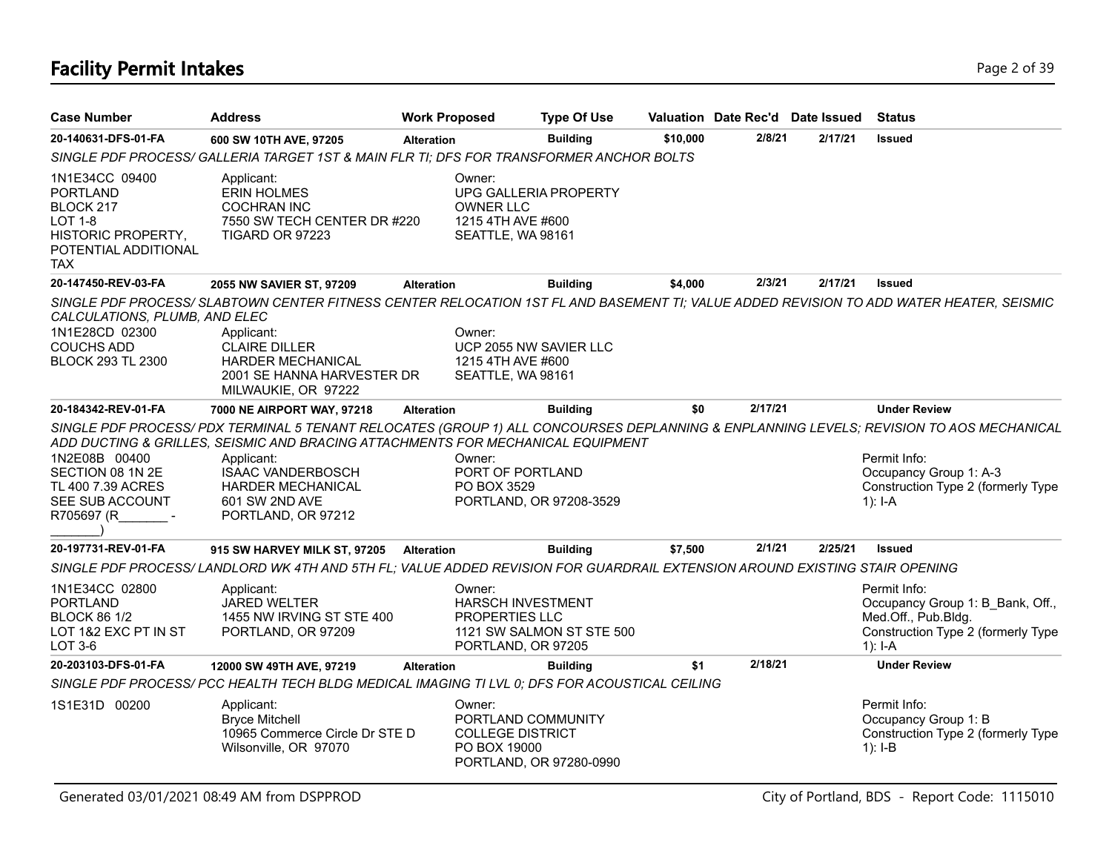# **Facility Permit Intakes** Page 2 of 39

| <b>Case Number</b>                                                                                                    | <b>Address</b>                                                                                                                                                                                                                                                | <b>Work Proposed</b> |                                                                                                    | <b>Type Of Use</b>        |          | Valuation Date Rec'd Date Issued |         |         | <b>Status</b>                                                                                                                                                                                                                         |
|-----------------------------------------------------------------------------------------------------------------------|---------------------------------------------------------------------------------------------------------------------------------------------------------------------------------------------------------------------------------------------------------------|----------------------|----------------------------------------------------------------------------------------------------|---------------------------|----------|----------------------------------|---------|---------|---------------------------------------------------------------------------------------------------------------------------------------------------------------------------------------------------------------------------------------|
| 20-140631-DFS-01-FA                                                                                                   | 600 SW 10TH AVE, 97205                                                                                                                                                                                                                                        | <b>Alteration</b>    |                                                                                                    | <b>Building</b>           | \$10,000 | 2/8/21                           |         | 2/17/21 | <b>Issued</b>                                                                                                                                                                                                                         |
|                                                                                                                       | SINGLE PDF PROCESS/ GALLERIA TARGET 1ST & MAIN FLR TI; DFS FOR TRANSFORMER ANCHOR BOLTS                                                                                                                                                                       |                      |                                                                                                    |                           |          |                                  |         |         |                                                                                                                                                                                                                                       |
| 1N1E34CC 09400<br><b>PORTLAND</b><br>BLOCK 217<br>LOT 1-8<br>HISTORIC PROPERTY,<br>POTENTIAL ADDITIONAL<br><b>TAX</b> | Applicant:<br><b>ERIN HOLMES</b><br><b>COCHRAN INC</b><br>7550 SW TECH CENTER DR #220<br>TIGARD OR 97223                                                                                                                                                      |                      | Owner:<br>UPG GALLERIA PROPERTY<br><b>OWNER LLC</b><br>1215 4TH AVE #600<br>SEATTLE, WA 98161      |                           |          |                                  |         |         |                                                                                                                                                                                                                                       |
| 20-147450-REV-03-FA                                                                                                   | 2055 NW SAVIER ST, 97209                                                                                                                                                                                                                                      | <b>Alteration</b>    |                                                                                                    | <b>Building</b>           | \$4,000  | 2/3/21                           | 2/17/21 |         | <b>Issued</b>                                                                                                                                                                                                                         |
| CALCULATIONS, PLUMB, AND ELEC<br>1N1E28CD 02300<br><b>COUCHS ADD</b><br><b>BLOCK 293 TL 2300</b>                      | SINGLE PDF PROCESS/SLABTOWN CENTER FITNESS CENTER RELOCATION 1ST FL AND BASEMENT TI; VALUE ADDED REVISION TO ADD WATER HEATER, SEISMIC<br>Applicant:<br><b>CLAIRE DILLER</b><br><b>HARDER MECHANICAL</b><br>2001 SE HANNA HARVESTER DR<br>MILWAUKIE, OR 97222 |                      | Owner:<br>UCP 2055 NW SAVIER LLC<br>1215 4TH AVE #600<br>SEATTLE, WA 98161                         |                           |          |                                  |         |         |                                                                                                                                                                                                                                       |
| 20-184342-REV-01-FA                                                                                                   | 7000 NE AIRPORT WAY, 97218                                                                                                                                                                                                                                    | <b>Alteration</b>    |                                                                                                    | <b>Building</b>           | \$0      | 2/17/21                          |         |         | <b>Under Review</b>                                                                                                                                                                                                                   |
| 1N2E08B 00400<br>SECTION 08 1N 2E<br>TL 400 7.39 ACRES<br>SEE SUB ACCOUNT<br>R705697 (R                               | ADD DUCTING & GRILLES, SEISMIC AND BRACING ATTACHMENTS FOR MECHANICAL EQUIPMENT<br>Applicant:<br><b>ISAAC VANDERBOSCH</b><br><b>HARDER MECHANICAL</b><br>601 SW 2ND AVE<br>PORTLAND, OR 97212                                                                 |                      | Owner:<br>PORT OF PORTLAND<br>PO BOX 3529<br>PORTLAND, OR 97208-3529                               |                           |          |                                  |         |         | SINGLE PDF PROCESS/PDX TERMINAL 5 TENANT RELOCATES (GROUP 1) ALL CONCOURSES DEPLANNING & ENPLANNING LEVELS; REVISION TO AOS MECHANICAL<br>Permit Info:<br>Occupancy Group 1: A-3<br>Construction Type 2 (formerly Type<br>1): $I - A$ |
| 20-197731-REV-01-FA                                                                                                   | 915 SW HARVEY MILK ST, 97205                                                                                                                                                                                                                                  | <b>Alteration</b>    |                                                                                                    | <b>Building</b>           | \$7,500  | 2/1/21                           | 2/25/21 |         | <b>Issued</b>                                                                                                                                                                                                                         |
|                                                                                                                       | SINGLE PDF PROCESS/ LANDLORD WK 4TH AND 5TH FL; VALUE ADDED REVISION FOR GUARDRAIL EXTENSION AROUND EXISTING STAIR OPENING                                                                                                                                    |                      |                                                                                                    |                           |          |                                  |         |         |                                                                                                                                                                                                                                       |
| 1N1E34CC 02800<br><b>PORTLAND</b><br><b>BLOCK 86 1/2</b><br>LOT 1&2 EXC PT IN ST<br>LOT 3-6                           | Applicant:<br><b>JARED WELTER</b><br>1455 NW IRVING ST STE 400<br>PORTLAND, OR 97209                                                                                                                                                                          |                      | Owner:<br><b>HARSCH INVESTMENT</b><br><b>PROPERTIES LLC</b><br>PORTLAND, OR 97205                  | 1121 SW SALMON ST STE 500 |          |                                  |         |         | Permit Info:<br>Occupancy Group 1: B Bank, Off.,<br>Med.Off., Pub.Bldg.<br>Construction Type 2 (formerly Type<br>$1$ : I-A                                                                                                            |
| 20-203103-DFS-01-FA                                                                                                   | 12000 SW 49TH AVE, 97219                                                                                                                                                                                                                                      | <b>Alteration</b>    |                                                                                                    | <b>Building</b>           | \$1      | 2/18/21                          |         |         | <b>Under Review</b>                                                                                                                                                                                                                   |
|                                                                                                                       | SINGLE PDF PROCESS/ PCC HEALTH TECH BLDG MEDICAL IMAGING TI LVL 0; DFS FOR ACOUSTICAL CEILING                                                                                                                                                                 |                      |                                                                                                    |                           |          |                                  |         |         |                                                                                                                                                                                                                                       |
| 1S1E31D 00200                                                                                                         | Applicant:<br><b>Bryce Mitchell</b><br>10965 Commerce Circle Dr STE D<br>Wilsonville, OR 97070                                                                                                                                                                |                      | Owner:<br>PORTLAND COMMUNITY<br><b>COLLEGE DISTRICT</b><br>PO BOX 19000<br>PORTLAND, OR 97280-0990 |                           |          |                                  |         |         | Permit Info:<br>Occupancy Group 1: B<br>Construction Type 2 (formerly Type<br>$1$ : I-B                                                                                                                                               |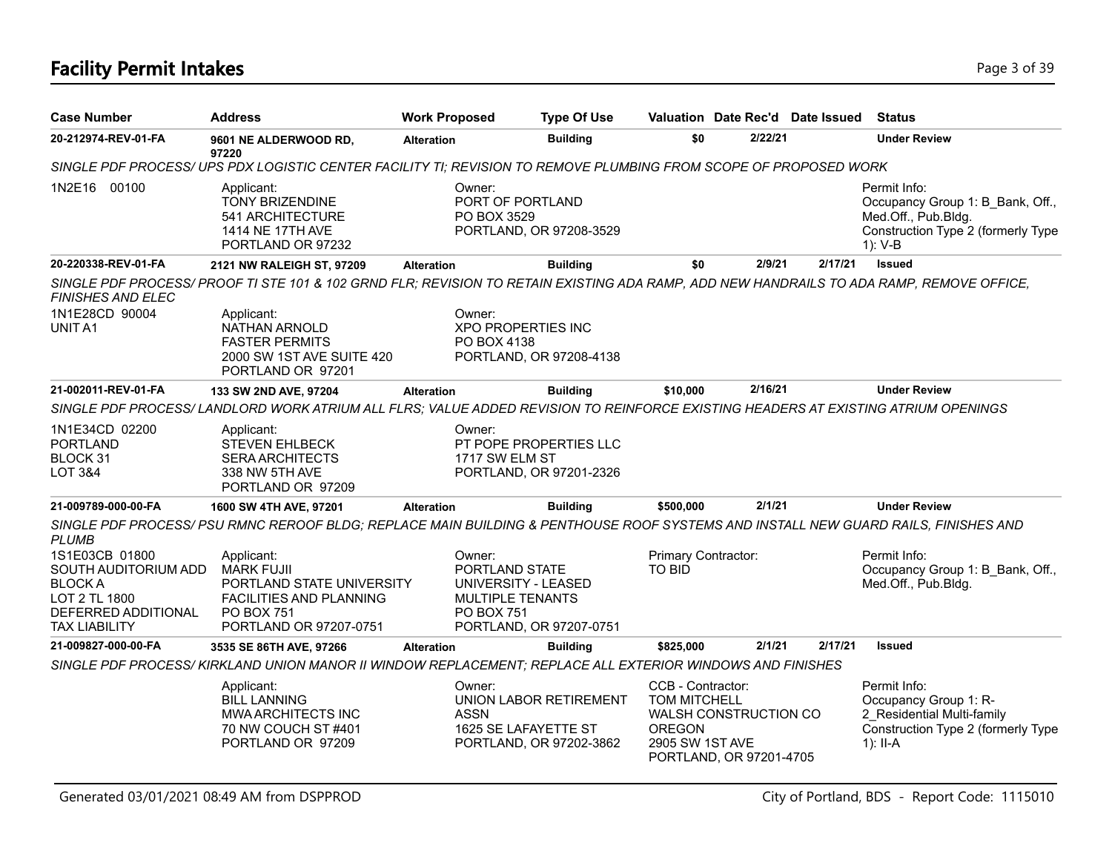# **Facility Permit Intakes** Page 3 of 39

| <b>Case Number</b>                                                                                                      | <b>Address</b>                                                                                                                                | <b>Work Proposed</b> | <b>Type Of Use</b>                                                                                                  |                                                                              | Valuation Date Rec'd Date Issued                 |         | <b>Status</b>                                                                                                            |
|-------------------------------------------------------------------------------------------------------------------------|-----------------------------------------------------------------------------------------------------------------------------------------------|----------------------|---------------------------------------------------------------------------------------------------------------------|------------------------------------------------------------------------------|--------------------------------------------------|---------|--------------------------------------------------------------------------------------------------------------------------|
| 20-212974-REV-01-FA                                                                                                     | 9601 NE ALDERWOOD RD,<br>97220                                                                                                                | <b>Alteration</b>    | <b>Building</b>                                                                                                     | \$0                                                                          | 2/22/21                                          |         | <b>Under Review</b>                                                                                                      |
|                                                                                                                         | SINGLE PDF PROCESS/ UPS PDX LOGISTIC CENTER FACILITY TI; REVISION TO REMOVE PLUMBING FROM SCOPE OF PROPOSED WORK                              |                      |                                                                                                                     |                                                                              |                                                  |         |                                                                                                                          |
| 1N2E16 00100                                                                                                            | Applicant:<br><b>TONY BRIZENDINE</b><br>541 ARCHITECTURE<br>1414 NE 17TH AVE<br>PORTLAND OR 97232                                             |                      | Owner:<br>PORT OF PORTLAND<br>PO BOX 3529<br>PORTLAND, OR 97208-3529                                                |                                                                              |                                                  |         | Permit Info:<br>Occupancy Group 1: B Bank, Off.,<br>Med.Off., Pub.Bldg.<br>Construction Type 2 (formerly Type<br>1): V-B |
| 20-220338-REV-01-FA                                                                                                     | 2121 NW RALEIGH ST, 97209                                                                                                                     | <b>Alteration</b>    | <b>Building</b>                                                                                                     | \$0                                                                          | 2/9/21                                           | 2/17/21 | <b>Issued</b>                                                                                                            |
| <b>FINISHES AND ELEC</b>                                                                                                | SINGLE PDF PROCESS/PROOF TI STE 101 & 102 GRND FLR; REVISION TO RETAIN EXISTING ADA RAMP, ADD NEW HANDRAILS TO ADA RAMP, REMOVE OFFICE,       |                      |                                                                                                                     |                                                                              |                                                  |         |                                                                                                                          |
| 1N1E28CD 90004<br>UNIT A1                                                                                               | Applicant:<br>NATHAN ARNOLD<br><b>FASTER PERMITS</b><br>2000 SW 1ST AVE SUITE 420<br>PORTLAND OR 97201                                        |                      | Owner:<br><b>XPO PROPERTIES INC</b><br>PO BOX 4138<br>PORTLAND, OR 97208-4138                                       |                                                                              |                                                  |         |                                                                                                                          |
| 21-002011-REV-01-FA                                                                                                     | 133 SW 2ND AVE, 97204                                                                                                                         | <b>Alteration</b>    | <b>Building</b>                                                                                                     | \$10,000                                                                     | 2/16/21                                          |         | <b>Under Review</b>                                                                                                      |
|                                                                                                                         | SINGLE PDF PROCESS/LANDLORD WORK ATRIUM ALL FLRS; VALUE ADDED REVISION TO REINFORCE EXISTING HEADERS AT EXISTING ATRIUM OPENINGS              |                      |                                                                                                                     |                                                                              |                                                  |         |                                                                                                                          |
| 1N1E34CD 02200<br><b>PORTLAND</b><br>BLOCK 31<br>LOT 3&4                                                                | Applicant:<br><b>STEVEN EHLBECK</b><br><b>SERA ARCHITECTS</b><br>338 NW 5TH AVE<br>PORTLAND OR 97209                                          |                      | Owner:<br>PT POPE PROPERTIES LLC<br>1717 SW ELM ST<br>PORTLAND, OR 97201-2326                                       |                                                                              |                                                  |         |                                                                                                                          |
| 21-009789-000-00-FA                                                                                                     | 1600 SW 4TH AVE, 97201                                                                                                                        | <b>Alteration</b>    | <b>Building</b>                                                                                                     | \$500,000                                                                    | 2/1/21                                           |         | <b>Under Review</b>                                                                                                      |
| <i>PLUMB</i>                                                                                                            | SINGLE PDF PROCESS/ PSU RMNC REROOF BLDG; REPLACE MAIN BUILDING & PENTHOUSE ROOF SYSTEMS AND INSTALL NEW GUARD RAILS, FINISHES AND            |                      |                                                                                                                     |                                                                              |                                                  |         |                                                                                                                          |
| 1S1E03CB 01800<br>SOUTH AUDITORIUM ADD<br><b>BLOCKA</b><br>LOT 2 TL 1800<br>DEFERRED ADDITIONAL<br><b>TAX LIABILITY</b> | Applicant:<br><b>MARK FUJII</b><br>PORTLAND STATE UNIVERSITY<br><b>FACILITIES AND PLANNING</b><br><b>PO BOX 751</b><br>PORTLAND OR 97207-0751 |                      | Owner:<br>PORTLAND STATE<br>UNIVERSITY - LEASED<br>MULTIPLE TENANTS<br><b>PO BOX 751</b><br>PORTLAND, OR 97207-0751 | Primary Contractor:<br><b>TO BID</b>                                         |                                                  |         | Permit Info:<br>Occupancy Group 1: B Bank, Off.,<br>Med.Off., Pub.Bldg.                                                  |
| 21-009827-000-00-FA                                                                                                     | 3535 SE 86TH AVE, 97266                                                                                                                       | <b>Alteration</b>    | <b>Building</b>                                                                                                     | \$825,000                                                                    | 2/1/21                                           | 2/17/21 | <b>Issued</b>                                                                                                            |
|                                                                                                                         | SINGLE PDF PROCESS/ KIRKLAND UNION MANOR II WINDOW REPLACEMENT; REPLACE ALL EXTERIOR WINDOWS AND FINISHES                                     |                      |                                                                                                                     |                                                                              |                                                  |         |                                                                                                                          |
|                                                                                                                         | Applicant:<br><b>BILL LANNING</b><br><b>MWA ARCHITECTS INC</b><br>70 NW COUCH ST #401<br>PORTLAND OR 97209                                    |                      | Owner:<br>UNION LABOR RETIREMENT<br><b>ASSN</b><br>1625 SE LAFAYETTE ST<br>PORTLAND, OR 97202-3862                  | CCB - Contractor:<br><b>TOM MITCHELL</b><br><b>OREGON</b><br>2905 SW 1ST AVE | WALSH CONSTRUCTION CO<br>PORTLAND, OR 97201-4705 |         | Permit Info:<br>Occupancy Group 1: R-<br>2 Residential Multi-family<br>Construction Type 2 (formerly Type<br>1): II-A    |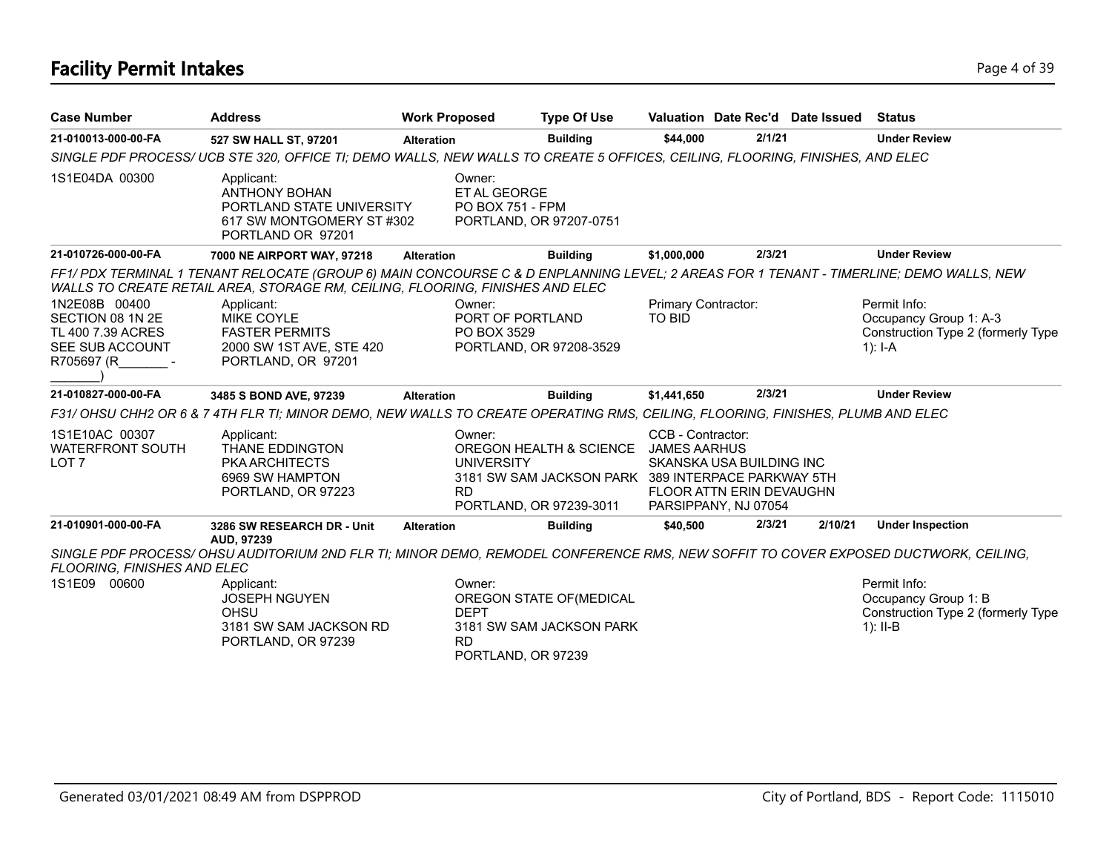# **Facility Permit Intakes** Page 4 of 39

| <b>Case Number</b>                                                                      | <b>Address</b>                                                                                                                                                                                                                                       | <b>Work Proposed</b>                              | <b>Type Of Use</b>                                                                                       |                                          |                                                                              | Valuation Date Rec'd Date Issued | <b>Status</b>                                                                             |
|-----------------------------------------------------------------------------------------|------------------------------------------------------------------------------------------------------------------------------------------------------------------------------------------------------------------------------------------------------|---------------------------------------------------|----------------------------------------------------------------------------------------------------------|------------------------------------------|------------------------------------------------------------------------------|----------------------------------|-------------------------------------------------------------------------------------------|
| 21-010013-000-00-FA                                                                     | 527 SW HALL ST, 97201                                                                                                                                                                                                                                | <b>Alteration</b>                                 | <b>Building</b>                                                                                          | \$44,000                                 | 2/1/21                                                                       |                                  | <b>Under Review</b>                                                                       |
|                                                                                         | SINGLE PDF PROCESS/ UCB STE 320, OFFICE TI; DEMO WALLS, NEW WALLS TO CREATE 5 OFFICES, CEILING, FLOORING, FINISHES, AND ELEC                                                                                                                         |                                                   |                                                                                                          |                                          |                                                                              |                                  |                                                                                           |
| 1S1E04DA 00300                                                                          | Applicant:<br><b>ANTHONY BOHAN</b><br>PORTLAND STATE UNIVERSITY<br>617 SW MONTGOMERY ST #302<br>PORTLAND OR 97201                                                                                                                                    | Owner:<br>ET AL GEORGE<br><b>PO BOX 751 - FPM</b> | PORTLAND, OR 97207-0751                                                                                  |                                          |                                                                              |                                  |                                                                                           |
| 21-010726-000-00-FA                                                                     | 7000 NE AIRPORT WAY, 97218                                                                                                                                                                                                                           | <b>Alteration</b>                                 | <b>Building</b>                                                                                          | \$1,000,000                              | 2/3/21                                                                       |                                  | <b>Under Review</b>                                                                       |
|                                                                                         | FF1/ PDX TERMINAL 1 TENANT RELOCATE (GROUP 6) MAIN CONCOURSE C & D ENPLANNING LEVEL; 2 AREAS FOR 1 TENANT - TIMERLINE; DEMO WALLS, NEW<br>WALLS TO CREATE RETAIL AREA, STORAGE RM, CEILING, FLOORING, FINISHES AND ELEC                              |                                                   |                                                                                                          |                                          |                                                                              |                                  |                                                                                           |
| 1N2E08B 00400<br>SECTION 08 1N 2E<br>TL 400 7.39 ACRES<br>SEE SUB ACCOUNT<br>R705697 (R | Applicant:<br><b>MIKE COYLE</b><br><b>FASTER PERMITS</b><br>2000 SW 1ST AVE, STE 420<br>PORTLAND, OR 97201                                                                                                                                           | Owner:<br>PO BOX 3529                             | PORT OF PORTLAND<br>PORTLAND, OR 97208-3529                                                              | Primary Contractor:<br>TO BID            |                                                                              |                                  | Permit Info:<br>Occupancy Group 1: A-3<br>Construction Type 2 (formerly Type<br>$1$ : I-A |
| 21-010827-000-00-FA                                                                     | 3485 S BOND AVE, 97239                                                                                                                                                                                                                               | <b>Alteration</b>                                 | <b>Building</b>                                                                                          | \$1,441,650                              | 2/3/21                                                                       |                                  | <b>Under Review</b>                                                                       |
|                                                                                         | F31/OHSU CHH2 OR 6 & 7 4TH FLR TI; MINOR DEMO, NEW WALLS TO CREATE OPERATING RMS, CEILING, FLOORING, FINISHES, PLUMB AND ELEC                                                                                                                        |                                                   |                                                                                                          |                                          |                                                                              |                                  |                                                                                           |
| 1S1E10AC 00307<br><b>WATERFRONT SOUTH</b><br>LOT <sub>7</sub>                           | Applicant:<br><b>THANE EDDINGTON</b><br>PKA ARCHITECTS<br>6969 SW HAMPTON<br>PORTLAND, OR 97223                                                                                                                                                      | Owner:<br><b>UNIVERSITY</b><br><b>RD</b>          | OREGON HEALTH & SCIENCE<br>3181 SW SAM JACKSON PARK 389 INTERPACE PARKWAY 5TH<br>PORTLAND, OR 97239-3011 | CCB - Contractor:<br><b>JAMES AARHUS</b> | SKANSKA USA BUILDING INC<br>FLOOR ATTN ERIN DEVAUGHN<br>PARSIPPANY, NJ 07054 |                                  |                                                                                           |
| 21-010901-000-00-FA                                                                     | 3286 SW RESEARCH DR - Unit                                                                                                                                                                                                                           | <b>Alteration</b>                                 | <b>Building</b>                                                                                          | \$40,500                                 | 2/3/21                                                                       | 2/10/21                          | <b>Under Inspection</b>                                                                   |
| FLOORING, FINISHES AND ELEC<br>1S1E09 00600                                             | AUD, 97239<br>SINGLE PDF PROCESS/OHSU AUDITORIUM 2ND FLR TI; MINOR DEMO, REMODEL CONFERENCE RMS, NEW SOFFIT TO COVER EXPOSED DUCTWORK, CEILING,<br>Applicant:<br><b>JOSEPH NGUYEN</b><br><b>OHSU</b><br>3181 SW SAM JACKSON RD<br>PORTLAND, OR 97239 | Owner:<br><b>DEPT</b><br><b>RD</b>                | OREGON STATE OF (MEDICAL<br>3181 SW SAM JACKSON PARK<br>PORTLAND, OR 97239                               |                                          |                                                                              |                                  | Permit Info:<br>Occupancy Group 1: B<br>Construction Type 2 (formerly Type<br>$1$ : II-B  |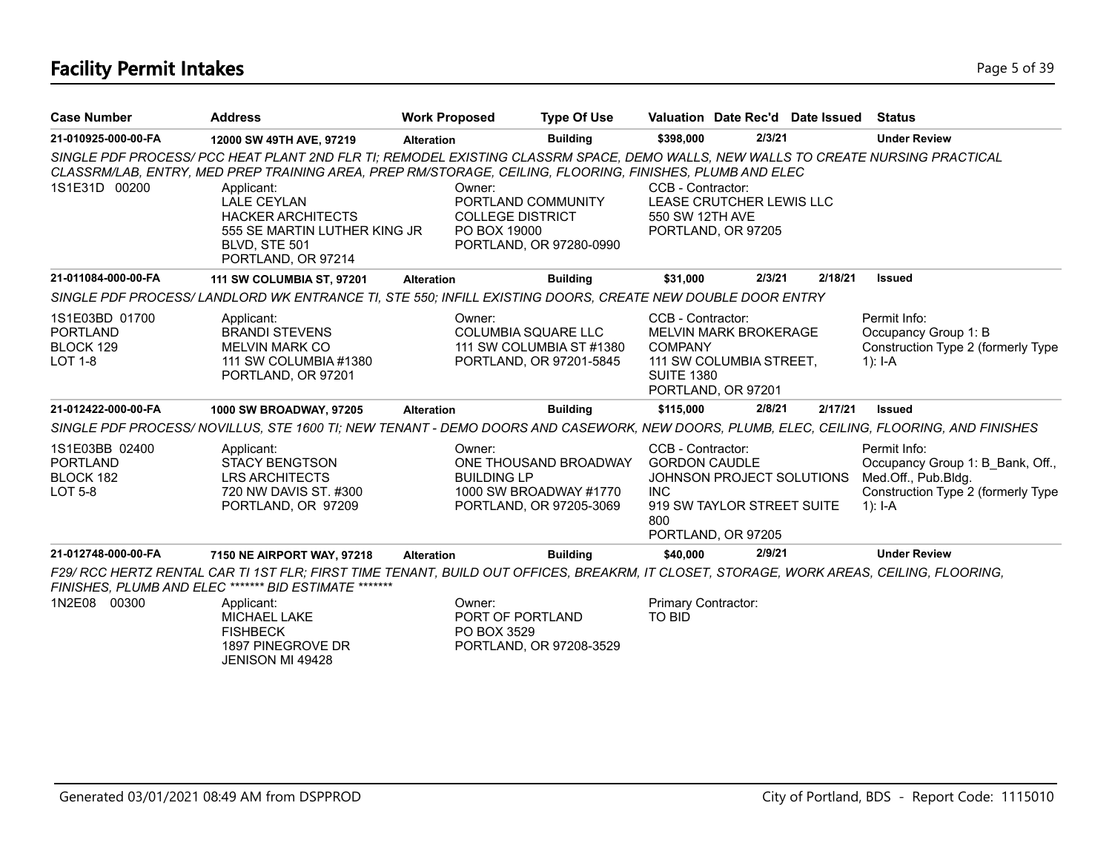# **Facility Permit Intakes** Page 5 of 39

| <b>Case Number</b>                                               | <b>Address</b>                                                                                                                                                                                                                                                                                                                                                               | <b>Work Proposed</b><br><b>Type Of Use</b>        |                                                                            |                                                                                |                                                                               | Valuation Date Rec'd Date Issued | Status                                                                                                                     |
|------------------------------------------------------------------|------------------------------------------------------------------------------------------------------------------------------------------------------------------------------------------------------------------------------------------------------------------------------------------------------------------------------------------------------------------------------|---------------------------------------------------|----------------------------------------------------------------------------|--------------------------------------------------------------------------------|-------------------------------------------------------------------------------|----------------------------------|----------------------------------------------------------------------------------------------------------------------------|
| 21-010925-000-00-FA                                              | 12000 SW 49TH AVE, 97219                                                                                                                                                                                                                                                                                                                                                     | <b>Alteration</b>                                 | <b>Building</b>                                                            | \$398,000                                                                      | 2/3/21                                                                        |                                  | <b>Under Review</b>                                                                                                        |
| 1S1E31D 00200                                                    | SINGLE PDF PROCESS/ PCC HEAT PLANT 2ND FLR TI; REMODEL EXISTING CLASSRM SPACE, DEMO WALLS, NEW WALLS TO CREATE NURSING PRACTICAL<br>CLASSRM/LAB, ENTRY, MED PREP TRAINING AREA, PREP RM/STORAGE, CEILING, FLOORING, FINISHES, PLUMB AND ELEC<br>Applicant:<br>LALE CEYLAN<br><b>HACKER ARCHITECTS</b><br>555 SE MARTIN LUTHER KING JR<br>BLVD, STE 501<br>PORTLAND, OR 97214 | Owner:<br><b>COLLEGE DISTRICT</b><br>PO BOX 19000 | PORTLAND COMMUNITY<br>PORTLAND, OR 97280-0990                              | CCB - Contractor:<br>550 SW 12TH AVE<br>PORTLAND, OR 97205                     | LEASE CRUTCHER LEWIS LLC                                                      |                                  |                                                                                                                            |
| 21-011084-000-00-FA                                              | <b>111 SW COLUMBIA ST, 97201</b>                                                                                                                                                                                                                                                                                                                                             | <b>Alteration</b>                                 | <b>Building</b>                                                            | \$31,000                                                                       | 2/3/21                                                                        | 2/18/21                          | <b>Issued</b>                                                                                                              |
|                                                                  | SINGLE PDF PROCESS/LANDLORD WK ENTRANCE TI, STE 550; INFILL EXISTING DOORS, CREATE NEW DOUBLE DOOR ENTRY                                                                                                                                                                                                                                                                     |                                                   |                                                                            |                                                                                |                                                                               |                                  |                                                                                                                            |
| 1S1E03BD 01700<br><b>PORTLAND</b><br>BLOCK 129<br>LOT 1-8        | Applicant:<br><b>BRANDI STEVENS</b><br><b>MELVIN MARK CO</b><br>111 SW COLUMBIA #1380<br>PORTLAND, OR 97201                                                                                                                                                                                                                                                                  | Owner:                                            | COLUMBIA SQUARE LLC<br>111 SW COLUMBIA ST #1380<br>PORTLAND, OR 97201-5845 | CCB - Contractor:<br><b>COMPANY</b><br><b>SUITE 1380</b><br>PORTLAND, OR 97201 | <b>MELVIN MARK BROKERAGE</b><br>111 SW COLUMBIA STREET,                       |                                  | Permit Info:<br>Occupancy Group 1: B<br>Construction Type 2 (formerly Type<br>1): $I - A$                                  |
| 21-012422-000-00-FA                                              | 1000 SW BROADWAY, 97205                                                                                                                                                                                                                                                                                                                                                      | <b>Alteration</b>                                 | <b>Building</b>                                                            | \$115,000                                                                      | 2/8/21                                                                        | 2/17/21                          | <b>Issued</b>                                                                                                              |
|                                                                  | SINGLE PDF PROCESS/ NOVILLUS, STE 1600 TI; NEW TENANT - DEMO DOORS AND CASEWORK, NEW DOORS, PLUMB, ELEC, CEILING, FLOORING, AND FINISHES                                                                                                                                                                                                                                     |                                                   |                                                                            |                                                                                |                                                                               |                                  |                                                                                                                            |
| 1S1E03BB 02400<br><b>PORTLAND</b><br>BLOCK 182<br><b>LOT 5-8</b> | Applicant:<br><b>STACY BENGTSON</b><br><b>LRS ARCHITECTS</b><br>720 NW DAVIS ST. #300<br>PORTLAND, OR 97209                                                                                                                                                                                                                                                                  | Owner:<br><b>BUILDING LP</b>                      | ONE THOUSAND BROADWAY<br>1000 SW BROADWAY #1770<br>PORTLAND, OR 97205-3069 | CCB - Contractor:<br><b>GORDON CAUDLE</b><br><b>INC</b><br>800                 | JOHNSON PROJECT SOLUTIONS<br>919 SW TAYLOR STREET SUITE<br>PORTLAND, OR 97205 |                                  | Permit Info:<br>Occupancy Group 1: B_Bank, Off.,<br>Med.Off., Pub.Bldg.<br>Construction Type 2 (formerly Type<br>$1$ : I-A |
| 21-012748-000-00-FA                                              | 7150 NE AIRPORT WAY, 97218                                                                                                                                                                                                                                                                                                                                                   | <b>Alteration</b>                                 | <b>Building</b>                                                            | \$40,000                                                                       | 2/9/21                                                                        |                                  | <b>Under Review</b>                                                                                                        |
|                                                                  | F29/ RCC HERTZ RENTAL CAR TI 1ST FLR; FIRST TIME TENANT, BUILD OUT OFFICES, BREAKRM, IT CLOSET, STORAGE, WORK AREAS, CEILING, FLOORING,<br>FINISHES, PLUMB AND ELEC ******* BID ESTIMATE *                                                                                                                                                                                   |                                                   |                                                                            |                                                                                |                                                                               |                                  |                                                                                                                            |
| 1N2E08 00300                                                     | Applicant:<br><b>MICHAEL LAKE</b><br><b>FISHBECK</b><br>1897 PINEGROVE DR<br>JENISON MI 49428                                                                                                                                                                                                                                                                                | Owner:<br>PORT OF PORTLAND<br>PO BOX 3529         | PORTLAND, OR 97208-3529                                                    | Primary Contractor:<br><b>TO BID</b>                                           |                                                                               |                                  |                                                                                                                            |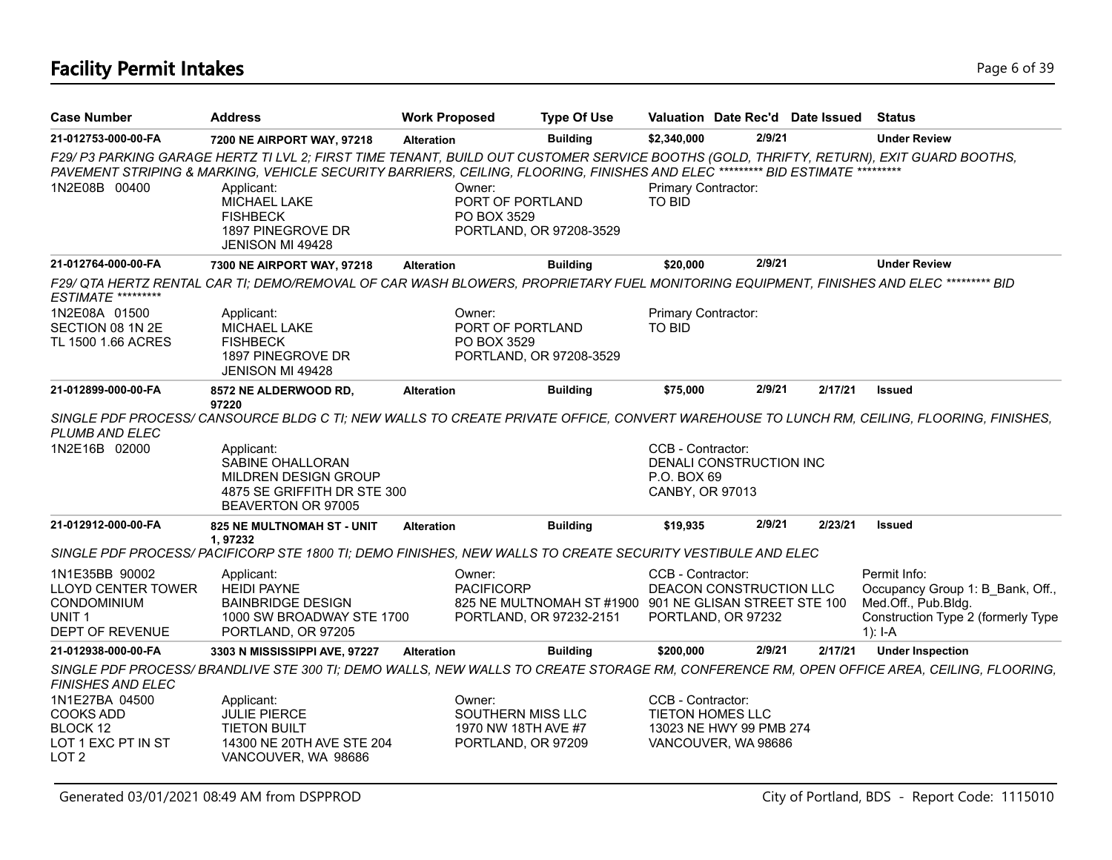# **Facility Permit Intakes** Page 6 of 39

| <b>Case Number</b>                                                                                        | Address                                                                                                                                                                                                                                                                    | <b>Work Proposed</b>        | <b>Type Of Use</b>                                                                |                                                     |                                                | Valuation Date Rec'd Date Issued | <b>Status</b>                                                                                                                            |
|-----------------------------------------------------------------------------------------------------------|----------------------------------------------------------------------------------------------------------------------------------------------------------------------------------------------------------------------------------------------------------------------------|-----------------------------|-----------------------------------------------------------------------------------|-----------------------------------------------------|------------------------------------------------|----------------------------------|------------------------------------------------------------------------------------------------------------------------------------------|
| 21-012753-000-00-FA                                                                                       | 7200 NE AIRPORT WAY, 97218                                                                                                                                                                                                                                                 | <b>Alteration</b>           | <b>Building</b>                                                                   | \$2,340,000                                         | 2/9/21                                         |                                  | <b>Under Review</b>                                                                                                                      |
|                                                                                                           | F29/ P3 PARKING GARAGE HERTZ TI LVL 2; FIRST TIME TENANT, BUILD OUT CUSTOMER SERVICE BOOTHS (GOLD, THRIFTY, RETURN), EXIT GUARD BOOTHS,<br>PAVEMENT STRIPING & MARKING, VEHICLE SECURITY BARRIERS, CEILING, FLOORING, FINISHES AND ELEC ********** BID ESTIMATE ********** |                             |                                                                                   |                                                     |                                                |                                  |                                                                                                                                          |
| 1N2E08B 00400                                                                                             | Applicant:<br><b>MICHAEL LAKE</b><br><b>FISHBECK</b><br>1897 PINEGROVE DR<br><b>JENISON MI 49428</b>                                                                                                                                                                       | Owner:<br>PO BOX 3529       | PORT OF PORTLAND<br>PORTLAND, OR 97208-3529                                       | Primary Contractor:<br><b>TO BID</b>                |                                                |                                  |                                                                                                                                          |
| 21-012764-000-00-FA                                                                                       | 7300 NE AIRPORT WAY, 97218                                                                                                                                                                                                                                                 | <b>Alteration</b>           | <b>Building</b>                                                                   | \$20,000                                            | 2/9/21                                         |                                  | <b>Under Review</b>                                                                                                                      |
| <b>ESTIMATE *********</b>                                                                                 | F29/ QTA HERTZ RENTAL CAR TI; DEMO/REMOVAL OF CAR WASH BLOWERS, PROPRIETARY FUEL MONITORING EQUIPMENT, FINISHES AND ELEC ********* BID                                                                                                                                     |                             |                                                                                   |                                                     |                                                |                                  |                                                                                                                                          |
| 1N2E08A 01500<br>SECTION 08 1N 2E<br>TL 1500 1.66 ACRES                                                   | Applicant:<br>MICHAEL LAKE<br><b>FISHBECK</b><br>1897 PINEGROVE DR<br><b>JENISON MI 49428</b>                                                                                                                                                                              | Owner:<br>PO BOX 3529       | PORT OF PORTLAND<br>PORTLAND, OR 97208-3529                                       | Primary Contractor:<br>TO BID                       |                                                |                                  |                                                                                                                                          |
| 21-012899-000-00-FA                                                                                       | <b>8572 NE ALDERWOOD RD,</b>                                                                                                                                                                                                                                               | <b>Alteration</b>           | <b>Building</b>                                                                   | \$75,000                                            | 2/9/21                                         | 2/17/21                          | <b>Issued</b>                                                                                                                            |
| <b>PLUMB AND ELEC</b>                                                                                     | 97220                                                                                                                                                                                                                                                                      |                             |                                                                                   |                                                     |                                                |                                  | SINGLE PDF PROCESS/ CANSOURCE BLDG C TI; NEW WALLS TO CREATE PRIVATE OFFICE, CONVERT WAREHOUSE TO LUNCH RM, CEILING, FLOORING, FINISHES, |
| 1N2E16B 02000                                                                                             | Applicant:<br>SABINE OHALLORAN<br>MILDREN DESIGN GROUP<br>4875 SE GRIFFITH DR STE 300<br>BEAVERTON OR 97005                                                                                                                                                                |                             |                                                                                   | CCB - Contractor:<br>P.O. BOX 69<br>CANBY, OR 97013 | DENALI CONSTRUCTION INC                        |                                  |                                                                                                                                          |
| 21-012912-000-00-FA                                                                                       | 825 NE MULTNOMAH ST - UNIT<br>1,97232                                                                                                                                                                                                                                      | <b>Alteration</b>           | <b>Building</b>                                                                   | \$19,935                                            | 2/9/21                                         | 2/23/21                          | <b>Issued</b>                                                                                                                            |
|                                                                                                           | SINGLE PDF PROCESS/ PACIFICORP STE 1800 TI; DEMO FINISHES, NEW WALLS TO CREATE SECURITY VESTIBULE AND ELEC                                                                                                                                                                 |                             |                                                                                   |                                                     |                                                |                                  |                                                                                                                                          |
| 1N1E35BB 90002<br><b>LLOYD CENTER TOWER</b><br><b>CONDOMINIUM</b><br>UNIT <sub>1</sub><br>DEPT OF REVENUE | Applicant:<br><b>HEIDI PAYNE</b><br><b>BAINBRIDGE DESIGN</b><br>1000 SW BROADWAY STE 1700<br>PORTLAND, OR 97205                                                                                                                                                            | Owner:<br><b>PACIFICORP</b> | 825 NE MULTNOMAH ST #1900 901 NE GLISAN STREET STE 100<br>PORTLAND, OR 97232-2151 | CCB - Contractor:                                   | DEACON CONSTRUCTION LLC<br>PORTLAND, OR 97232  |                                  | Permit Info:<br>Occupancy Group 1: B Bank, Off.,<br>Med.Off., Pub.Bldg.<br>Construction Type 2 (formerly Type<br>$1$ : I-A               |
| 21-012938-000-00-FA                                                                                       | 3303 N MISSISSIPPI AVE, 97227                                                                                                                                                                                                                                              | <b>Alteration</b>           | <b>Building</b>                                                                   | \$200,000                                           | 2/9/21                                         | 2/17/21                          | <b>Under Inspection</b>                                                                                                                  |
| FINISHES AND ELEC                                                                                         |                                                                                                                                                                                                                                                                            |                             |                                                                                   |                                                     |                                                |                                  | SINGLE PDF PROCESS/BRANDLIVE STE 300 TI; DEMO WALLS, NEW WALLS TO CREATE STORAGE RM, CONFERENCE RM, OPEN OFFICE AREA, CEILING, FLOORING, |
| 1N1E27BA 04500<br><b>COOKS ADD</b><br>BLOCK 12<br>LOT 1 EXC PT IN ST<br>LOT <sub>2</sub>                  | Applicant:<br><b>JULIE PIERCE</b><br><b>TIETON BUILT</b><br>14300 NE 20TH AVE STE 204<br>VANCOUVER, WA 98686                                                                                                                                                               | Owner:                      | SOUTHERN MISS LLC<br>1970 NW 18TH AVE #7<br>PORTLAND, OR 97209                    | CCB - Contractor:<br><b>TIETON HOMES LLC</b>        | 13023 NE HWY 99 PMB 274<br>VANCOUVER, WA 98686 |                                  |                                                                                                                                          |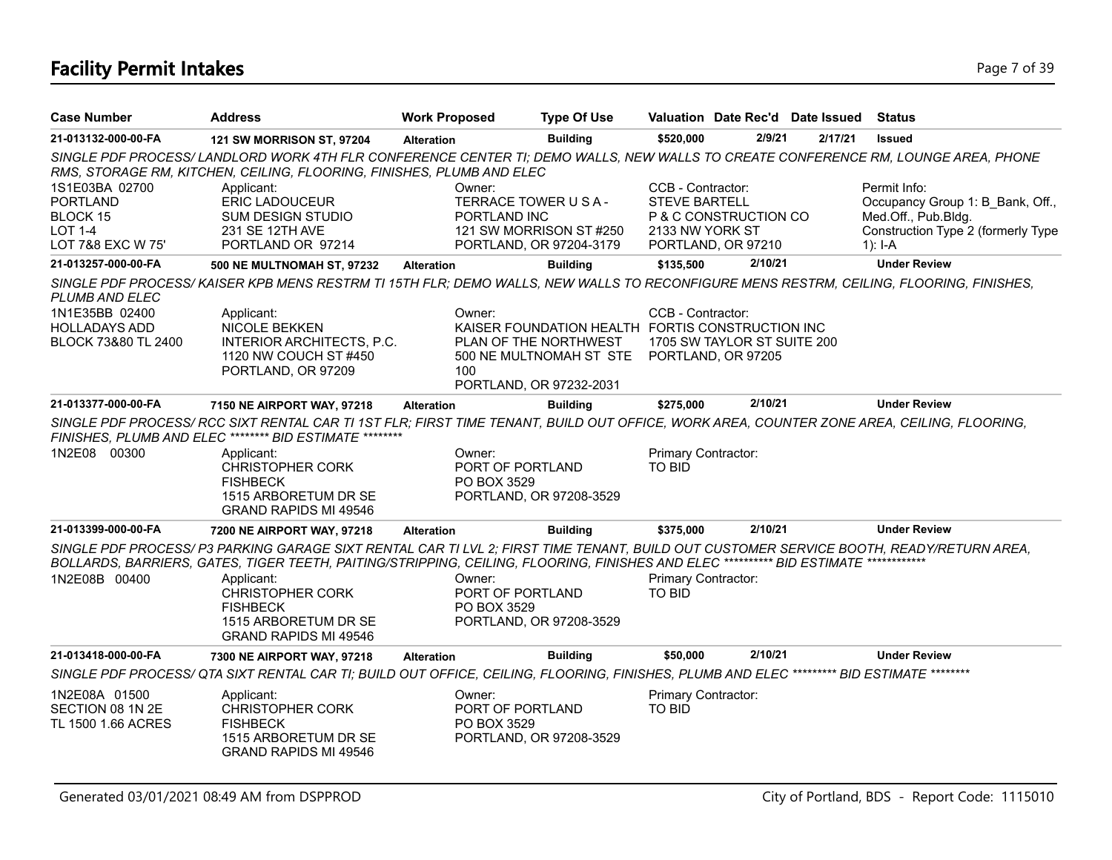# **Facility Permit Intakes** Page 7 of 39

| <b>Case Number</b>                                                                   | <b>Address</b>                                                                                                                                                                                                                                                                   | <b>Work Proposed</b>                      | <b>Type Of Use</b>                                                                                                              |                                                              |                                                   | Valuation Date Rec'd Date Issued Status |                                                                                                                            |
|--------------------------------------------------------------------------------------|----------------------------------------------------------------------------------------------------------------------------------------------------------------------------------------------------------------------------------------------------------------------------------|-------------------------------------------|---------------------------------------------------------------------------------------------------------------------------------|--------------------------------------------------------------|---------------------------------------------------|-----------------------------------------|----------------------------------------------------------------------------------------------------------------------------|
| 21-013132-000-00-FA                                                                  | <b>121 SW MORRISON ST, 97204</b>                                                                                                                                                                                                                                                 | <b>Alteration</b>                         | <b>Building</b>                                                                                                                 | \$520,000                                                    | 2/9/21                                            | 2/17/21                                 | <b>Issued</b>                                                                                                              |
|                                                                                      | SINGLE PDF PROCESS/LANDLORD WORK 4TH FLR CONFERENCE CENTER TI; DEMO WALLS, NEW WALLS TO CREATE CONFERENCE RM, LOUNGE AREA, PHONE<br>RMS, STORAGE RM, KITCHEN, CEILING, FLOORING, FINISHES, PLUMB AND ELEC                                                                        |                                           |                                                                                                                                 |                                                              |                                                   |                                         |                                                                                                                            |
| 1S1E03BA 02700<br><b>PORTLAND</b><br>BLOCK 15<br><b>LOT 1-4</b><br>LOT 7&8 EXC W 75' | Applicant:<br><b>ERIC LADOUCEUR</b><br><b>SUM DESIGN STUDIO</b><br>231 SE 12TH AVE<br>PORTLAND OR 97214                                                                                                                                                                          | Owner:<br>PORTLAND INC                    | TERRACE TOWER U S A -<br>121 SW MORRISON ST #250<br>PORTLAND, OR 97204-3179                                                     | CCB - Contractor:<br><b>STEVE BARTELL</b><br>2133 NW YORK ST | P & C CONSTRUCTION CO<br>PORTLAND, OR 97210       |                                         | Permit Info:<br>Occupancy Group 1: B Bank, Off.,<br>Med.Off., Pub.Bldg.<br>Construction Type 2 (formerly Type<br>1): $I-A$ |
| 21-013257-000-00-FA                                                                  | 500 NE MULTNOMAH ST, 97232                                                                                                                                                                                                                                                       | <b>Alteration</b>                         | <b>Building</b>                                                                                                                 | \$135,500                                                    | 2/10/21                                           |                                         | <b>Under Review</b>                                                                                                        |
| <b>PLUMB AND ELEC</b>                                                                | SINGLE PDF PROCESS/KAISER KPB MENS RESTRM TI 15TH FLR; DEMO WALLS, NEW WALLS TO RECONFIGURE MENS RESTRM, CEILING, FLOORING, FINISHES,                                                                                                                                            |                                           |                                                                                                                                 |                                                              |                                                   |                                         |                                                                                                                            |
| 1N1E35BB 02400<br><b>HOLLADAYS ADD</b><br>BLOCK 73&80 TL 2400                        | Applicant:<br><b>NICOLE BEKKEN</b><br>INTERIOR ARCHITECTS, P.C.<br>1120 NW COUCH ST #450<br>PORTLAND, OR 97209                                                                                                                                                                   | Owner:<br>100                             | KAISER FOUNDATION HEALTH FORTIS CONSTRUCTION INC<br>PLAN OF THE NORTHWEST<br>500 NE MULTNOMAH ST_STE<br>PORTLAND, OR 97232-2031 | CCB - Contractor:                                            | 1705 SW TAYLOR ST SUITE 200<br>PORTLAND, OR 97205 |                                         |                                                                                                                            |
| 21-013377-000-00-FA                                                                  | 7150 NE AIRPORT WAY, 97218                                                                                                                                                                                                                                                       | <b>Alteration</b>                         | <b>Building</b>                                                                                                                 | \$275,000                                                    | 2/10/21                                           |                                         | <b>Under Review</b>                                                                                                        |
|                                                                                      | SINGLE PDF PROCESS/ RCC SIXT RENTAL CAR TI 1ST FLR; FIRST TIME TENANT, BUILD OUT OFFICE, WORK AREA, COUNTER ZONE AREA, CEILING, FLOORING,<br>FINISHES, PLUMB AND ELEC ******** BID ESTIMATE *********                                                                            |                                           |                                                                                                                                 |                                                              |                                                   |                                         |                                                                                                                            |
| 1N2E08 00300                                                                         | Applicant:<br><b>CHRISTOPHER CORK</b><br><b>FISHBECK</b><br>1515 ARBORETUM DR SE<br>GRAND RAPIDS MI 49546                                                                                                                                                                        | Owner:<br>PORT OF PORTLAND<br>PO BOX 3529 | PORTLAND, OR 97208-3529                                                                                                         | Primary Contractor:<br><b>TO BID</b>                         |                                                   |                                         |                                                                                                                            |
| 21-013399-000-00-FA                                                                  | 7200 NE AIRPORT WAY, 97218                                                                                                                                                                                                                                                       | <b>Alteration</b>                         | <b>Building</b>                                                                                                                 | \$375,000                                                    | 2/10/21                                           |                                         | <b>Under Review</b>                                                                                                        |
|                                                                                      | SINGLE PDF PROCESS/ P3 PARKING GARAGE SIXT RENTAL CAR TI LVL 2; FIRST TIME TENANT, BUILD OUT CUSTOMER SERVICE BOOTH, READY/RETURN AREA,<br>BOLLARDS, BARRIERS, GATES, TIGER TEETH, PAITING/STRIPPING, CEILING, FLOORING, FINISHES AND ELEC *********** BID ESTIMATE ************ |                                           |                                                                                                                                 |                                                              |                                                   |                                         |                                                                                                                            |
| 1N2E08B 00400                                                                        | Applicant:<br><b>CHRISTOPHER CORK</b><br><b>FISHBECK</b><br>1515 ARBORETUM DR SE<br><b>GRAND RAPIDS MI 49546</b>                                                                                                                                                                 | Owner:<br>PORT OF PORTLAND<br>PO BOX 3529 | PORTLAND, OR 97208-3529                                                                                                         | Primary Contractor:<br><b>TO BID</b>                         |                                                   |                                         |                                                                                                                            |
| 21-013418-000-00-FA                                                                  | 7300 NE AIRPORT WAY, 97218                                                                                                                                                                                                                                                       | <b>Alteration</b>                         | <b>Building</b>                                                                                                                 | \$50,000                                                     | 2/10/21                                           |                                         | <b>Under Review</b>                                                                                                        |
|                                                                                      | SINGLE PDF PROCESS/ QTA SIXT RENTAL CAR TI; BUILD OUT OFFICE, CEILING, FLOORING, FINISHES, PLUMB AND ELEC ********** BID ESTIMATE *********                                                                                                                                      |                                           |                                                                                                                                 |                                                              |                                                   |                                         |                                                                                                                            |
| 1N2E08A 01500<br>SECTION 08 1N 2E<br>TL 1500 1.66 ACRES                              | Applicant:<br><b>CHRISTOPHER CORK</b><br><b>FISHBECK</b><br>1515 ARBORETUM DR SE<br><b>GRAND RAPIDS MI 49546</b>                                                                                                                                                                 | Owner:<br>PORT OF PORTLAND<br>PO BOX 3529 | PORTLAND, OR 97208-3529                                                                                                         | Primary Contractor:<br>TO BID                                |                                                   |                                         |                                                                                                                            |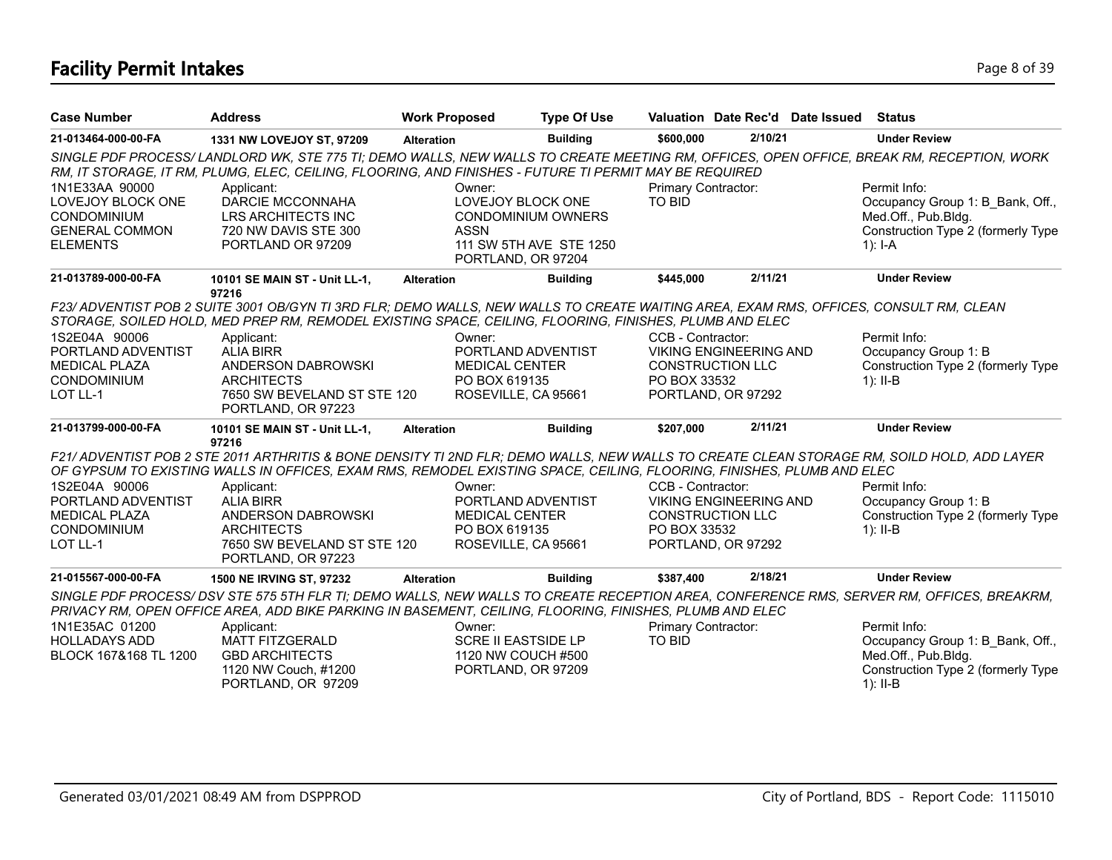# **Facility Permit Intakes** Page 8 of 39

| <b>Case Number</b>                                                                                    | <b>Address</b>                                                                                                                                                                                                                                                                                                                                                       | <b>Work Proposed</b>                                                                          | <b>Type Of Use</b>      |                                      |                                                                                | Valuation Date Rec'd Date Issued | Status                                                                                                                      |
|-------------------------------------------------------------------------------------------------------|----------------------------------------------------------------------------------------------------------------------------------------------------------------------------------------------------------------------------------------------------------------------------------------------------------------------------------------------------------------------|-----------------------------------------------------------------------------------------------|-------------------------|--------------------------------------|--------------------------------------------------------------------------------|----------------------------------|-----------------------------------------------------------------------------------------------------------------------------|
| 21-013464-000-00-FA                                                                                   | 1331 NW LOVEJOY ST, 97209                                                                                                                                                                                                                                                                                                                                            | <b>Alteration</b>                                                                             | <b>Building</b>         | \$600,000                            | 2/10/21                                                                        |                                  | <b>Under Review</b>                                                                                                         |
| 1N1E33AA 90000<br>LOVEJOY BLOCK ONE<br><b>CONDOMINIUM</b><br><b>GENERAL COMMON</b><br><b>ELEMENTS</b> | SINGLE PDF PROCESS/LANDLORD WK, STE 775 TI; DEMO WALLS, NEW WALLS TO CREATE MEETING RM, OFFICES, OPEN OFFICE, BREAK RM, RECEPTION, WORK<br>RM, IT STORAGE, IT RM, PLUMG, ELEC, CEILING, FLOORING, AND FINISHES - FUTURE TI PERMIT MAY BE REQUIRED<br>Applicant:<br>DARCIE MCCONNAHA<br>LRS ARCHITECTS INC<br>720 NW DAVIS STE 300<br>PORTLAND OR 97209               | Owner:<br>LOVEJOY BLOCK ONE<br><b>CONDOMINIUM OWNERS</b><br><b>ASSN</b>                       | 111 SW 5TH AVE STE 1250 | Primary Contractor:<br><b>TO BID</b> |                                                                                |                                  | Permit Info:<br>Occupancy Group 1: B Bank, Off.,<br>Med.Off., Pub.Bldg.<br>Construction Type 2 (formerly Type<br>1): $I-A$  |
| 21-013789-000-00-FA                                                                                   | 10101 SE MAIN ST - Unit LL-1,                                                                                                                                                                                                                                                                                                                                        | PORTLAND, OR 97204<br><b>Alteration</b>                                                       | <b>Building</b>         | \$445,000                            | 2/11/21                                                                        |                                  | <b>Under Review</b>                                                                                                         |
| 1S2E04A 90006<br>PORTLAND ADVENTIST<br><b>MEDICAL PLAZA</b><br><b>CONDOMINIUM</b><br>LOT LL-1         | 97216<br>F23/ ADVENTIST POB 2 SUITE 3001 OB/GYN TI 3RD FLR; DEMO WALLS, NEW WALLS TO CREATE WAITING AREA, EXAM RMS, OFFICES, CONSULT RM, CLEAN<br>STORAGE, SOILED HOLD, MED PREP RM, REMODEL EXISTING SPACE, CEILING, FLOORING, FINISHES, PLUMB AND ELEC<br>Applicant:<br><b>ALIA BIRR</b><br>ANDERSON DABROWSKI<br><b>ARCHITECTS</b><br>7650 SW BEVELAND ST STE 120 | Owner:<br>PORTLAND ADVENTIST<br><b>MEDICAL CENTER</b><br>PO BOX 619135<br>ROSEVILLE, CA 95661 |                         | CCB - Contractor:<br>PO BOX 33532    | <b>VIKING ENGINEERING AND</b><br><b>CONSTRUCTION LLC</b><br>PORTLAND, OR 97292 |                                  | Permit Info:<br>Occupancy Group 1: B<br>Construction Type 2 (formerly Type<br>$1$ : II-B                                    |
| 21-013799-000-00-FA                                                                                   | PORTLAND, OR 97223<br>10101 SE MAIN ST - Unit LL-1,                                                                                                                                                                                                                                                                                                                  | <b>Alteration</b>                                                                             | <b>Building</b>         | \$207,000                            | 2/11/21                                                                        |                                  | <b>Under Review</b>                                                                                                         |
| 1S2E04A 90006<br>PORTLAND ADVENTIST<br><b>MEDICAL PLAZA</b><br><b>CONDOMINIUM</b>                     | 97216<br>F21/ ADVENTIST POB 2 STE 2011 ARTHRITIS & BONE DENSITY TI 2ND FLR; DEMO WALLS, NEW WALLS TO CREATE CLEAN STORAGE RM, SOILD HOLD, ADD LAYER<br>OF GYPSUM TO EXISTING WALLS IN OFFICES, EXAM RMS, REMODEL EXISTING SPACE, CEILING, FLOORING, FINISHES, PLUMB AND ELEC<br>Applicant:<br><b>ALIA BIRR</b><br>ANDERSON DABROWSKI<br><b>ARCHITECTS</b>            | Owner:<br>PORTLAND ADVENTIST<br><b>MEDICAL CENTER</b><br>PO BOX 619135                        |                         | CCB - Contractor:<br>PO BOX 33532    | <b>VIKING ENGINEERING AND</b><br><b>CONSTRUCTION LLC</b>                       |                                  | Permit Info:<br>Occupancy Group 1: B<br>Construction Type 2 (formerly Type<br>$1$ : II-B                                    |
| LOT LL-1                                                                                              | 7650 SW BEVELAND ST STE 120<br>PORTLAND, OR 97223                                                                                                                                                                                                                                                                                                                    | ROSEVILLE, CA 95661                                                                           |                         |                                      | PORTLAND, OR 97292                                                             |                                  |                                                                                                                             |
| 21-015567-000-00-FA                                                                                   | <b>1500 NE IRVING ST, 97232</b>                                                                                                                                                                                                                                                                                                                                      | <b>Alteration</b>                                                                             | <b>Building</b>         | \$387,400                            | 2/18/21                                                                        |                                  | <b>Under Review</b>                                                                                                         |
| 1N1E35AC 01200<br><b>HOLLADAYS ADD</b><br>BLOCK 167&168 TL 1200                                       | SINGLE PDF PROCESS/DSV STE 575 5TH FLR TI; DEMO WALLS, NEW WALLS TO CREATE RECEPTION AREA, CONFERENCE RMS, SERVER RM, OFFICES, BREAKRM,<br>PRIVACY RM, OPEN OFFICE AREA, ADD BIKE PARKING IN BASEMENT, CEILING, FLOORING, FINISHES, PLUMB AND ELEC<br>Applicant:<br><b>MATT FITZGERALD</b><br><b>GBD ARCHITECTS</b><br>1120 NW Couch, #1200<br>PORTLAND, OR 97209    | Owner:<br><b>SCRE II EASTSIDE LP</b><br>1120 NW COUCH #500<br>PORTLAND, OR 97209              |                         | <b>Primary Contractor:</b><br>TO BID |                                                                                |                                  | Permit Info:<br>Occupancy Group 1: B Bank, Off.,<br>Med.Off., Pub.Bldg.<br>Construction Type 2 (formerly Type<br>1): $II-B$ |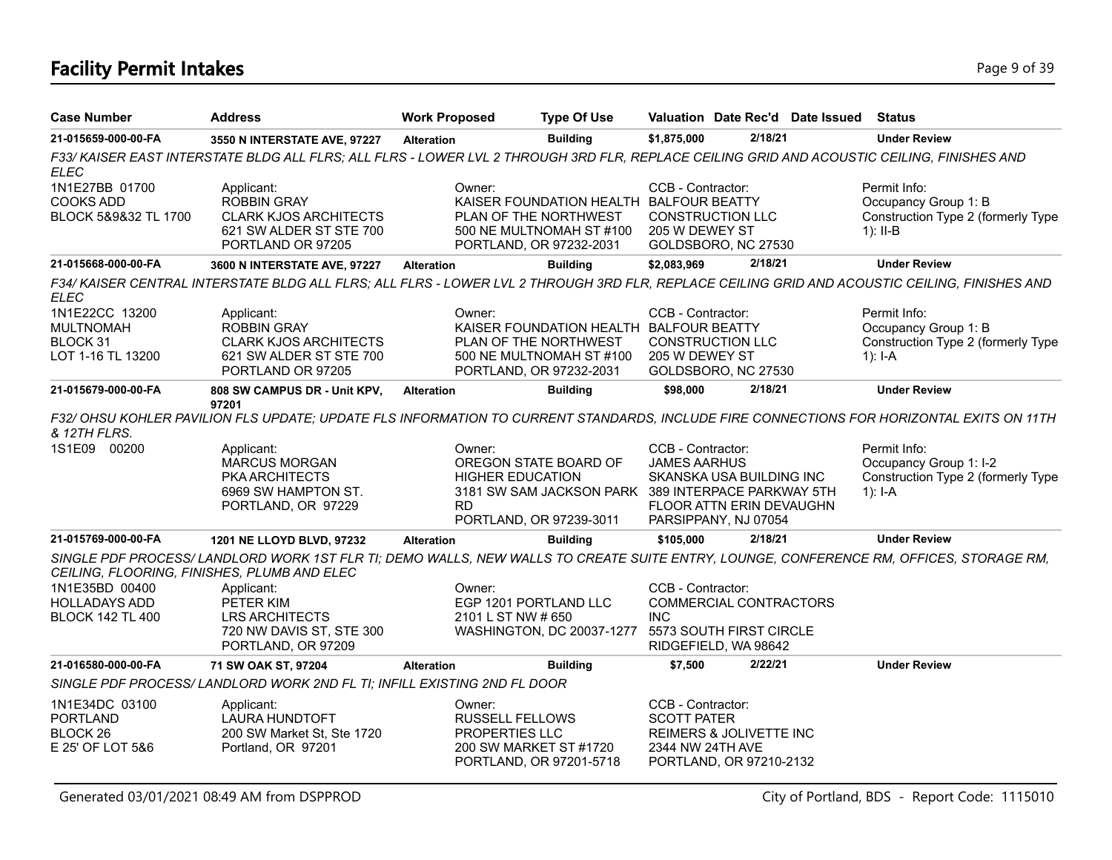# **Facility Permit Intakes** Page 9 of 39

| <b>Case Number</b>                                                  | <b>Address</b>                                                                                                                                                                        | <b>Work Proposed</b>                               | <b>Type Of Use</b>                                                                                                      |                                                                                                                                  |                                                                              | Valuation Date Rec'd Date Issued | <b>Status</b>                                                                                                                           |
|---------------------------------------------------------------------|---------------------------------------------------------------------------------------------------------------------------------------------------------------------------------------|----------------------------------------------------|-------------------------------------------------------------------------------------------------------------------------|----------------------------------------------------------------------------------------------------------------------------------|------------------------------------------------------------------------------|----------------------------------|-----------------------------------------------------------------------------------------------------------------------------------------|
| 21-015659-000-00-FA                                                 | 3550 N INTERSTATE AVE, 97227                                                                                                                                                          | <b>Alteration</b>                                  | <b>Building</b>                                                                                                         | \$1,875,000                                                                                                                      | 2/18/21                                                                      |                                  | <b>Under Review</b>                                                                                                                     |
| <b>ELEC</b>                                                         | F33/KAISER EAST INTERSTATE BLDG ALL FLRS; ALL FLRS - LOWER LVL 2 THROUGH 3RD FLR, REPLACE CEILING GRID AND ACOUSTIC CEILING, FINISHES AND                                             |                                                    |                                                                                                                         |                                                                                                                                  |                                                                              |                                  |                                                                                                                                         |
| 1N1E27BB 01700<br><b>COOKS ADD</b><br>BLOCK 5&9&32 TL 1700          | Applicant:<br><b>ROBBIN GRAY</b><br><b>CLARK KJOS ARCHITECTS</b><br>621 SW ALDER ST STE 700<br>PORTLAND OR 97205                                                                      | Owner:                                             | PLAN OF THE NORTHWEST<br>500 NE MULTNOMAH ST #100<br>PORTLAND, OR 97232-2031                                            | CCB - Contractor:<br>KAISER FOUNDATION HEALTH BALFOUR BEATTY<br><b>CONSTRUCTION LLC</b><br>205 W DEWEY ST<br>GOLDSBORO, NC 27530 |                                                                              |                                  | Permit Info:<br>Occupancy Group 1: B<br>Construction Type 2 (formerly Type<br>$1$ : II-B                                                |
| 21-015668-000-00-FA                                                 | 3600 N INTERSTATE AVE, 97227                                                                                                                                                          | <b>Alteration</b>                                  | <b>Building</b>                                                                                                         | \$2,083,969                                                                                                                      | 2/18/21                                                                      |                                  | <b>Under Review</b>                                                                                                                     |
| ELEC                                                                | F34/KAISER CENTRAL INTERSTATE BLDG ALL FLRS; ALL FLRS - LOWER LVL 2 THROUGH 3RD FLR, REPLACE CEILING GRID AND ACOUSTIC CEILING, FINISHES AND                                          |                                                    |                                                                                                                         |                                                                                                                                  |                                                                              |                                  |                                                                                                                                         |
| 1N1E22CC 13200<br><b>MULTNOMAH</b><br>BLOCK 31<br>LOT 1-16 TL 13200 | Applicant:<br><b>ROBBIN GRAY</b><br><b>CLARK KJOS ARCHITECTS</b><br>621 SW ALDER ST STE 700<br>PORTLAND OR 97205                                                                      | Owner:                                             | KAISER FOUNDATION HEALTH BALFOUR BEATTY<br>PLAN OF THE NORTHWEST<br>500 NE MULTNOMAH ST #100<br>PORTLAND, OR 97232-2031 | CCB - Contractor:<br>205 W DEWEY ST                                                                                              | <b>CONSTRUCTION LLC</b><br>GOLDSBORO, NC 27530                               |                                  | Permit Info:<br>Occupancy Group 1: B<br>Construction Type 2 (formerly Type<br>$1$ : I-A                                                 |
| 21-015679-000-00-FA                                                 | 808 SW CAMPUS DR - Unit KPV,                                                                                                                                                          | <b>Alteration</b>                                  | <b>Building</b>                                                                                                         | \$98,000                                                                                                                         | 2/18/21                                                                      |                                  | <b>Under Review</b>                                                                                                                     |
| & 12TH FLRS.                                                        | 97201                                                                                                                                                                                 |                                                    |                                                                                                                         |                                                                                                                                  |                                                                              |                                  | F32/OHSU KOHLER PAVILION FLS UPDATE; UPDATE FLS INFORMATION TO CURRENT STANDARDS, INCLUDE FIRE CONNECTIONS FOR HORIZONTAL EXITS ON 11TH |
| 1S1E09 00200                                                        | Applicant:<br><b>MARCUS MORGAN</b><br><b>PKA ARCHITECTS</b><br>6969 SW HAMPTON ST.<br>PORTLAND, OR 97229                                                                              | Owner:<br><b>HIGHER EDUCATION</b><br><b>RD</b>     | OREGON STATE BOARD OF<br>3181 SW SAM JACKSON PARK 389 INTERPACE PARKWAY 5TH<br>PORTLAND, OR 97239-3011                  | CCB - Contractor:<br><b>JAMES AARHUS</b>                                                                                         | SKANSKA USA BUILDING INC<br>FLOOR ATTN ERIN DEVAUGHN<br>PARSIPPANY, NJ 07054 |                                  | Permit Info:<br>Occupancy Group 1: I-2<br>Construction Type 2 (formerly Type<br>$1$ : I-A                                               |
| 21-015769-000-00-FA                                                 | 1201 NE LLOYD BLVD, 97232                                                                                                                                                             | <b>Alteration</b>                                  | <b>Building</b>                                                                                                         | \$105,000                                                                                                                        | 2/18/21                                                                      |                                  | <b>Under Review</b>                                                                                                                     |
|                                                                     | SINGLE PDF PROCESS/ LANDLORD WORK 1ST FLR TI; DEMO WALLS, NEW WALLS TO CREATE SUITE ENTRY, LOUNGE, CONFERENCE RM, OFFICES, STORAGE RM,<br>CEILING, FLOORING, FINISHES, PLUMB AND ELEC |                                                    |                                                                                                                         |                                                                                                                                  |                                                                              |                                  |                                                                                                                                         |
| 1N1E35BD 00400<br><b>HOLLADAYS ADD</b><br><b>BLOCK 142 TL 400</b>   | Applicant:<br>PETER KIM<br><b>LRS ARCHITECTS</b><br>720 NW DAVIS ST, STE 300<br>PORTLAND, OR 97209                                                                                    | Owner:<br>2101 L ST NW # 650                       | EGP 1201 PORTLAND LLC<br>WASHINGTON, DC 20037-1277                                                                      | CCB - Contractor:<br><b>INC</b>                                                                                                  | COMMERCIAL CONTRACTORS<br>5573 SOUTH FIRST CIRCLE<br>RIDGEFIELD, WA 98642    |                                  |                                                                                                                                         |
| 21-016580-000-00-FA                                                 | 71 SW OAK ST, 97204                                                                                                                                                                   | <b>Alteration</b>                                  | <b>Building</b>                                                                                                         | \$7,500                                                                                                                          | 2/22/21                                                                      |                                  | <b>Under Review</b>                                                                                                                     |
|                                                                     | SINGLE PDF PROCESS/LANDLORD WORK 2ND FL TI; INFILL EXISTING 2ND FL DOOR                                                                                                               |                                                    |                                                                                                                         |                                                                                                                                  |                                                                              |                                  |                                                                                                                                         |
| 1N1E34DC 03100<br><b>PORTLAND</b><br>BLOCK 26<br>E 25' OF LOT 5&6   | Applicant:<br>LAURA HUNDTOFT<br>200 SW Market St, Ste 1720<br>Portland, OR 97201                                                                                                      | Owner:<br><b>RUSSELL FELLOWS</b><br>PROPERTIES LLC | 200 SW MARKET ST #1720<br>PORTLAND, OR 97201-5718                                                                       | CCB - Contractor:<br><b>SCOTT PATER</b><br>2344 NW 24TH AVE                                                                      | REIMERS & JOLIVETTE INC<br>PORTLAND, OR 97210-2132                           |                                  |                                                                                                                                         |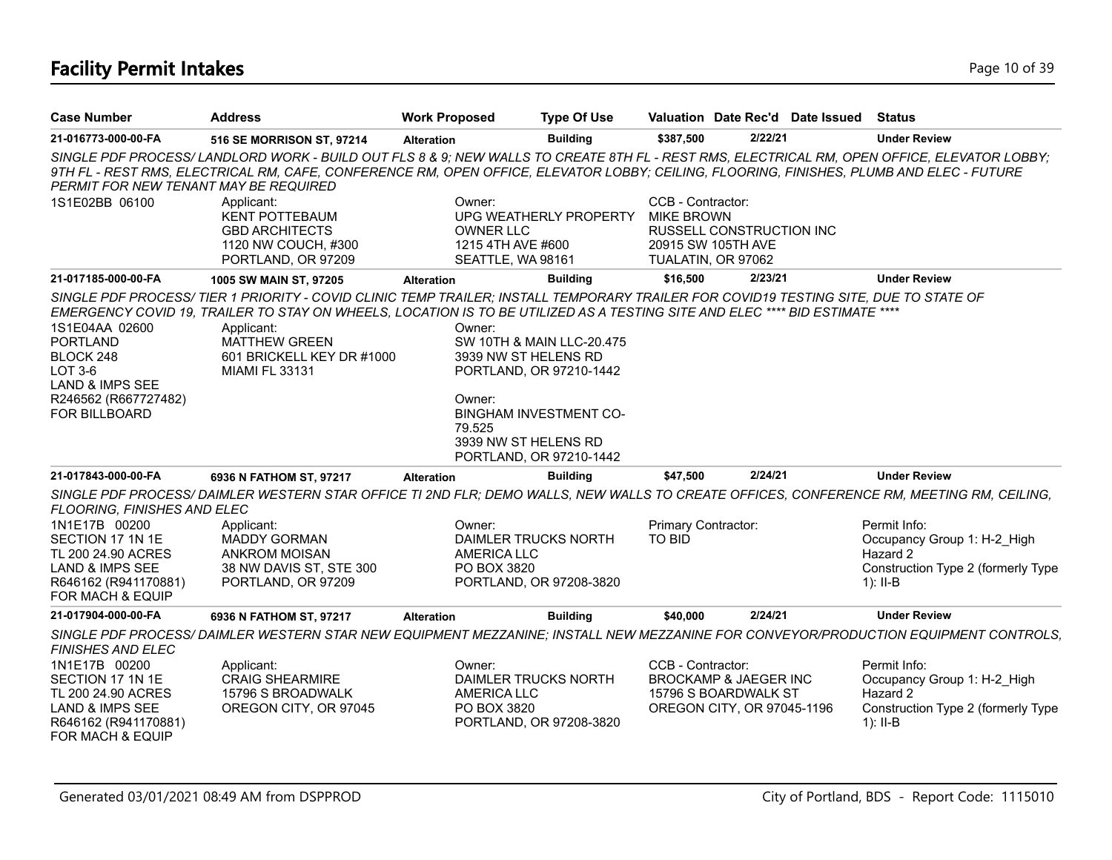# **Facility Permit Intakes** Page 10 of 39

| <b>Case Number</b>                                                                                                                                            | <b>Address</b>                                                                                                                                                                                                                                                                                                                                                 | <b>Work Proposed</b>                                                       | <b>Type Of Use</b>                                                                                               | Valuation Date Rec'd Date Issued                             |                                                                                        | Status                                                                                                      |
|---------------------------------------------------------------------------------------------------------------------------------------------------------------|----------------------------------------------------------------------------------------------------------------------------------------------------------------------------------------------------------------------------------------------------------------------------------------------------------------------------------------------------------------|----------------------------------------------------------------------------|------------------------------------------------------------------------------------------------------------------|--------------------------------------------------------------|----------------------------------------------------------------------------------------|-------------------------------------------------------------------------------------------------------------|
| 21-016773-000-00-FA                                                                                                                                           | 516 SE MORRISON ST, 97214                                                                                                                                                                                                                                                                                                                                      | <b>Alteration</b>                                                          | <b>Building</b>                                                                                                  | \$387,500                                                    | 2/22/21                                                                                | <b>Under Review</b>                                                                                         |
| PERMIT FOR NEW TENANT MAY BE REQUIRED                                                                                                                         | SINGLE PDF PROCESS/LANDLORD WORK - BUILD OUT FLS 8 & 9; NEW WALLS TO CREATE 8TH FL - REST RMS, ELECTRICAL RM, OPEN OFFICE, ELEVATOR LOBBY;<br>9TH FL - REST RMS, ELECTRICAL RM, CAFE, CONFERENCE RM, OPEN OFFICE, ELEVATOR LOBBY; CEILING, FLOORING, FINISHES, PLUMB AND ELEC - FUTURE                                                                         |                                                                            |                                                                                                                  |                                                              |                                                                                        |                                                                                                             |
| 1S1E02BB 06100                                                                                                                                                | Applicant:<br><b>KENT POTTEBAUM</b><br><b>GBD ARCHITECTS</b><br>1120 NW COUCH, #300<br>PORTLAND, OR 97209                                                                                                                                                                                                                                                      | Owner:<br><b>OWNER LLC</b><br>1215 4TH AVE #600<br>SEATTLE, WA 98161       | UPG WEATHERLY PROPERTY                                                                                           | CCB - Contractor:<br><b>MIKE BROWN</b><br>TUALATIN, OR 97062 | <b>RUSSELL CONSTRUCTION INC</b><br>20915 SW 105TH AVE                                  |                                                                                                             |
| 21-017185-000-00-FA                                                                                                                                           | 1005 SW MAIN ST, 97205                                                                                                                                                                                                                                                                                                                                         | <b>Alteration</b>                                                          | <b>Building</b>                                                                                                  | \$16,500                                                     | 2/23/21                                                                                | <b>Under Review</b>                                                                                         |
| 1S1E04AA 02600<br><b>PORTLAND</b><br>BLOCK 248<br>$LOT3-6$<br><b>LAND &amp; IMPS SEE</b><br>R246562 (R667727482)<br>FOR BILLBOARD                             | SINGLE PDF PROCESS/TIER 1 PRIORITY - COVID CLINIC TEMP TRAILER; INSTALL TEMPORARY TRAILER FOR COVID19 TESTING SITE, DUE TO STATE OF<br>EMERGENCY COVID 19, TRAILER TO STAY ON WHEELS, LOCATION IS TO BE UTILIZED AS A TESTING SITE AND ELEC **** BID ESTIMATE ****<br>Applicant:<br><b>MATTHEW GREEN</b><br>601 BRICKELL KEY DR #1000<br><b>MIAMI FL 33131</b> | Owner:<br>3939 NW ST HELENS RD<br>Owner:<br>79.525<br>3939 NW ST HELENS RD | SW 10TH & MAIN LLC-20.475<br>PORTLAND, OR 97210-1442<br><b>BINGHAM INVESTMENT CO-</b><br>PORTLAND, OR 97210-1442 |                                                              |                                                                                        |                                                                                                             |
| 21-017843-000-00-FA                                                                                                                                           | 6936 N FATHOM ST, 97217                                                                                                                                                                                                                                                                                                                                        | <b>Alteration</b>                                                          | <b>Building</b>                                                                                                  | \$47,500                                                     | 2/24/21                                                                                | <b>Under Review</b>                                                                                         |
| FLOORING, FINISHES AND ELEC                                                                                                                                   | SINGLE PDF PROCESS/DAIMLER WESTERN STAR OFFICE TI 2ND FLR; DEMO WALLS, NEW WALLS TO CREATE OFFICES, CONFERENCE RM, MEETING RM, CEILING,                                                                                                                                                                                                                        |                                                                            |                                                                                                                  |                                                              |                                                                                        |                                                                                                             |
| 1N1E17B 00200<br>SECTION 17 1N 1E<br>TL 200 24.90 ACRES<br><b>LAND &amp; IMPS SEE</b><br>R646162 (R941170881)<br>FOR MACH & EQUIP                             | Applicant:<br><b>MADDY GORMAN</b><br><b>ANKROM MOISAN</b><br>38 NW DAVIS ST, STE 300<br>PORTLAND, OR 97209                                                                                                                                                                                                                                                     | Owner:<br><b>AMERICA LLC</b><br>PO BOX 3820                                | DAIMLER TRUCKS NORTH<br>PORTLAND, OR 97208-3820                                                                  | Primary Contractor:<br>TO BID                                |                                                                                        | Permit Info:<br>Occupancy Group 1: H-2 High<br>Hazard 2<br>Construction Type 2 (formerly Type<br>$1$ : II-B |
| 21-017904-000-00-FA                                                                                                                                           | 6936 N FATHOM ST, 97217                                                                                                                                                                                                                                                                                                                                        | <b>Alteration</b>                                                          | <b>Building</b>                                                                                                  | \$40,000                                                     | 2/24/21                                                                                | <b>Under Review</b>                                                                                         |
| <b>FINISHES AND ELEC</b><br>1N1E17B 00200<br>SECTION 17 1N 1E<br>TL 200 24.90 ACRES<br><b>LAND &amp; IMPS SEE</b><br>R646162 (R941170881)<br>FOR MACH & EQUIP | SINGLE PDF PROCESS/DAIMLER WESTERN STAR NEW EQUIPMENT MEZZANINE; INSTALL NEW MEZZANINE FOR CONVEYOR/PRODUCTION EQUIPMENT CONTROLS,<br>Applicant:<br><b>CRAIG SHEARMIRE</b><br>15796 S BROADWALK<br>OREGON CITY, OR 97045                                                                                                                                       | Owner:<br><b>AMERICA LLC</b><br>PO BOX 3820                                | DAIMLER TRUCKS NORTH<br>PORTLAND, OR 97208-3820                                                                  | CCB - Contractor:                                            | <b>BROCKAMP &amp; JAEGER INC</b><br>15796 S BOARDWALK ST<br>OREGON CITY, OR 97045-1196 | Permit Info:<br>Occupancy Group 1: H-2 High<br>Hazard 2<br>Construction Type 2 (formerly Type<br>$1$ : II-B |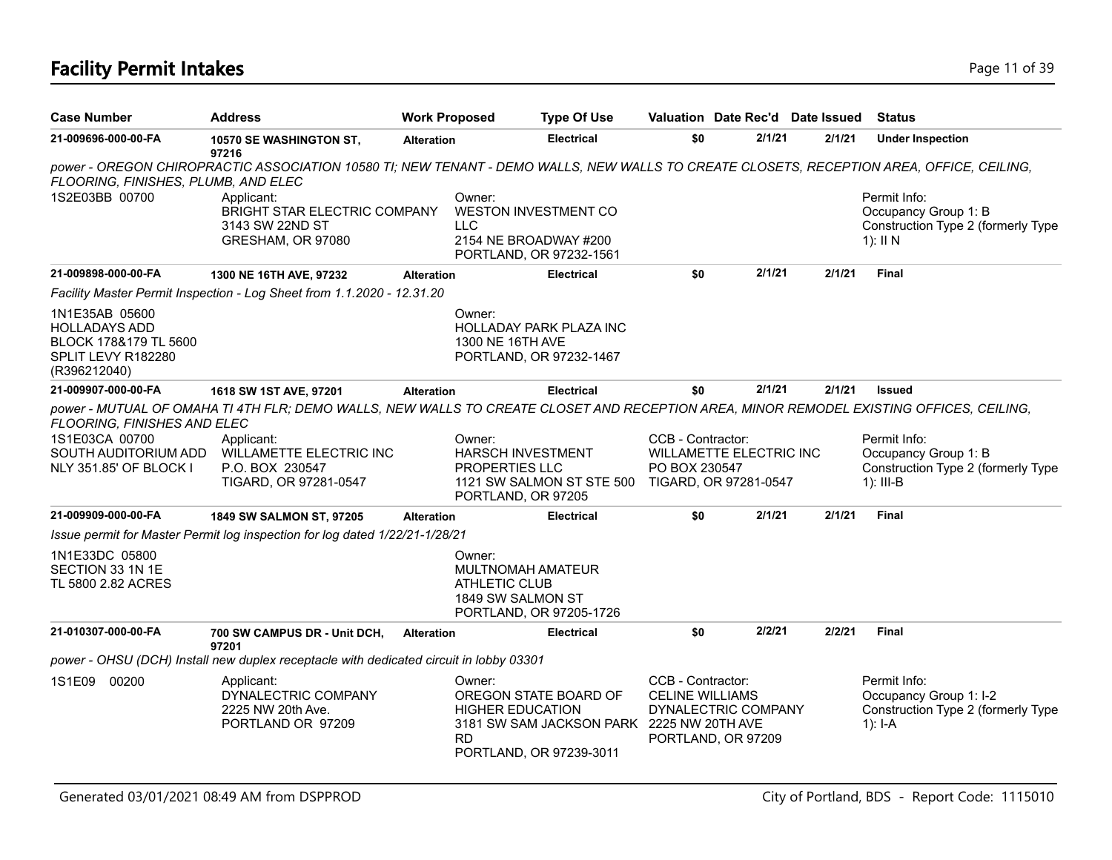# **Facility Permit Intakes** Page 11 of 39

| <b>Case Number</b>                                                                                    | <b>Address</b>                                                                                                                                                                                                                      | <b>Work Proposed</b> |                                                                            | <b>Type Of Use</b>                                                                            | Valuation Date Rec'd Date Issued                                                         |        |        | <b>Status</b>                                                                             |
|-------------------------------------------------------------------------------------------------------|-------------------------------------------------------------------------------------------------------------------------------------------------------------------------------------------------------------------------------------|----------------------|----------------------------------------------------------------------------|-----------------------------------------------------------------------------------------------|------------------------------------------------------------------------------------------|--------|--------|-------------------------------------------------------------------------------------------|
| 21-009696-000-00-FA                                                                                   | 10570 SE WASHINGTON ST,                                                                                                                                                                                                             | <b>Alteration</b>    |                                                                            | <b>Electrical</b>                                                                             | \$0                                                                                      | 2/1/21 | 2/1/21 | <b>Under Inspection</b>                                                                   |
| FLOORING, FINISHES, PLUMB, AND ELEC                                                                   | 97216<br>power - OREGON CHIROPRACTIC ASSOCIATION 10580 TI; NEW TENANT - DEMO WALLS, NEW WALLS TO CREATE CLOSETS, RECEPTION AREA, OFFICE, CEILING,                                                                                   |                      |                                                                            |                                                                                               |                                                                                          |        |        |                                                                                           |
| 1S2E03BB 00700                                                                                        | Applicant:<br><b>BRIGHT STAR ELECTRIC COMPANY</b><br>3143 SW 22ND ST<br>GRESHAM, OR 97080                                                                                                                                           |                      | Owner:<br><b>LLC</b>                                                       | <b>WESTON INVESTMENT CO</b><br>2154 NE BROADWAY #200<br>PORTLAND, OR 97232-1561               |                                                                                          |        |        | Permit Info:<br>Occupancy Group 1: B<br>Construction Type 2 (formerly Type<br>$1$ : II N  |
| 21-009898-000-00-FA                                                                                   | 1300 NE 16TH AVE, 97232                                                                                                                                                                                                             | <b>Alteration</b>    |                                                                            | <b>Electrical</b>                                                                             | \$0                                                                                      | 2/1/21 | 2/1/21 | Final                                                                                     |
|                                                                                                       | Facility Master Permit Inspection - Log Sheet from 1.1.2020 - 12.31.20                                                                                                                                                              |                      |                                                                            |                                                                                               |                                                                                          |        |        |                                                                                           |
| 1N1E35AB 05600<br><b>HOLLADAYS ADD</b><br>BLOCK 178&179 TL 5600<br>SPLIT LEVY R182280<br>(R396212040) |                                                                                                                                                                                                                                     |                      | Owner:<br>1300 NE 16TH AVE                                                 | HOLLADAY PARK PLAZA INC<br>PORTLAND, OR 97232-1467                                            |                                                                                          |        |        |                                                                                           |
| 21-009907-000-00-FA                                                                                   | 1618 SW 1ST AVE, 97201                                                                                                                                                                                                              | <b>Alteration</b>    |                                                                            | <b>Electrical</b>                                                                             | \$0                                                                                      | 2/1/21 | 2/1/21 | <b>Issued</b>                                                                             |
| FLOORING, FINISHES AND ELEC<br>1S1E03CA 00700<br>SOUTH AUDITORIUM ADD<br>NLY 351.85' OF BLOCK I       | power - MUTUAL OF OMAHA TI 4TH FLR; DEMO WALLS, NEW WALLS TO CREATE CLOSET AND RECEPTION AREA, MINOR REMODEL EXISTING OFFICES, CEILING,<br>Applicant:<br><b>WILLAMETTE ELECTRIC INC</b><br>P.O. BOX 230547<br>TIGARD, OR 97281-0547 |                      | Owner:<br><b>HARSCH INVESTMENT</b><br>PROPERTIES LLC<br>PORTLAND, OR 97205 | 1121 SW SALMON ST STE 500 TIGARD, OR 97281-0547                                               | CCB - Contractor:<br><b>WILLAMETTE ELECTRIC INC</b><br>PO BOX 230547                     |        |        | Permit Info:<br>Occupancy Group 1: B<br>Construction Type 2 (formerly Type<br>$1$ : III-B |
| 21-009909-000-00-FA                                                                                   | <b>1849 SW SALMON ST, 97205</b>                                                                                                                                                                                                     | <b>Alteration</b>    |                                                                            | <b>Electrical</b>                                                                             | \$0                                                                                      | 2/1/21 | 2/1/21 | <b>Final</b>                                                                              |
|                                                                                                       | Issue permit for Master Permit log inspection for log dated 1/22/21-1/28/21                                                                                                                                                         |                      |                                                                            |                                                                                               |                                                                                          |        |        |                                                                                           |
| 1N1E33DC 05800<br>SECTION 33 1N 1E<br>TL 5800 2.82 ACRES                                              |                                                                                                                                                                                                                                     |                      | Owner:<br>MULTNOMAH AMATEUR<br><b>ATHLETIC CLUB</b><br>1849 SW SALMON ST   | PORTLAND, OR 97205-1726                                                                       |                                                                                          |        |        |                                                                                           |
| 21-010307-000-00-FA                                                                                   | 700 SW CAMPUS DR - Unit DCH,<br>97201                                                                                                                                                                                               | <b>Alteration</b>    |                                                                            | <b>Electrical</b>                                                                             | \$0                                                                                      | 2/2/21 | 2/2/21 | <b>Final</b>                                                                              |
|                                                                                                       | power - OHSU (DCH) Install new duplex receptacle with dedicated circuit in lobby 03301                                                                                                                                              |                      |                                                                            |                                                                                               |                                                                                          |        |        |                                                                                           |
| 1S1E09<br>00200                                                                                       | Applicant:<br>DYNALECTRIC COMPANY<br>2225 NW 20th Ave.<br>PORTLAND OR 97209                                                                                                                                                         |                      | Owner:<br><b>HIGHER EDUCATION</b><br><b>RD</b>                             | OREGON STATE BOARD OF<br>3181 SW SAM JACKSON PARK 2225 NW 20TH AVE<br>PORTLAND, OR 97239-3011 | CCB - Contractor:<br><b>CELINE WILLIAMS</b><br>DYNALECTRIC COMPANY<br>PORTLAND, OR 97209 |        |        | Permit Info:<br>Occupancy Group 1: I-2<br>Construction Type 2 (formerly Type<br>$1$ : I-A |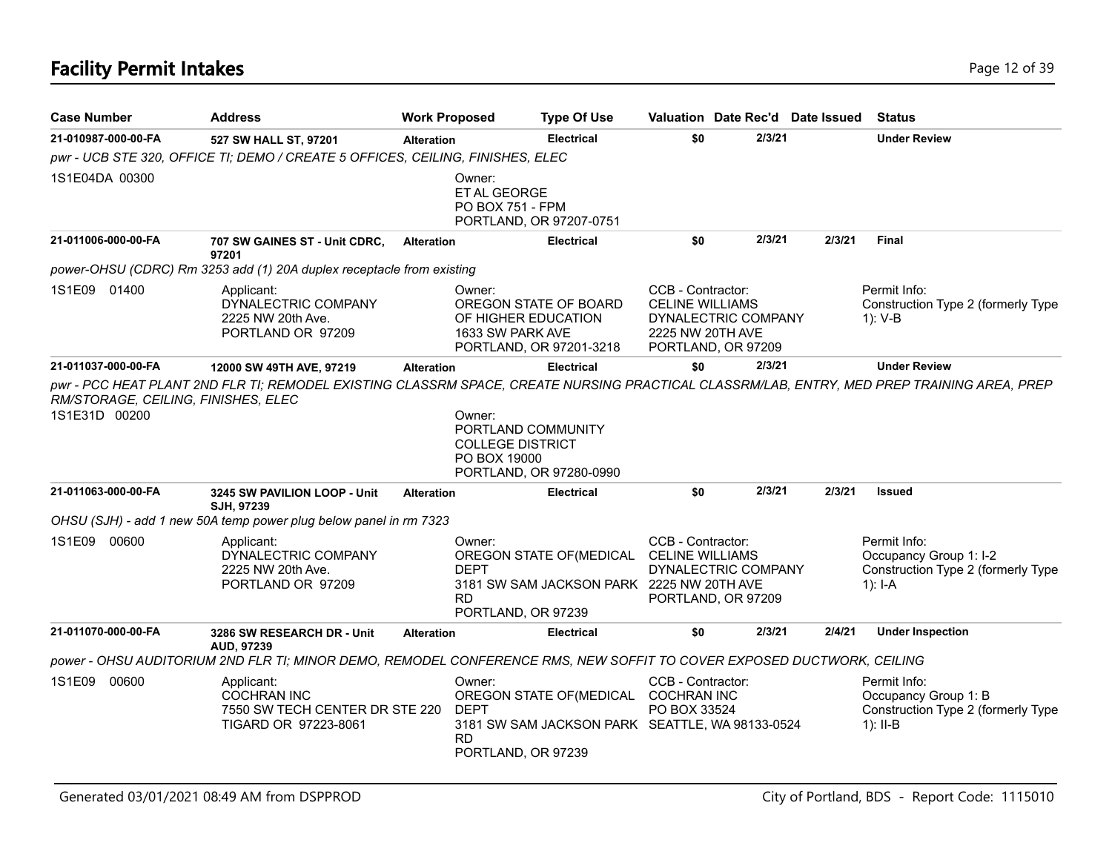| <b>Case Number</b>                                   | <b>Address</b>                                                                                                                      | <b>Work Proposed</b> |                                                                         | <b>Type Of Use</b>                                                                      | Valuation Date Rec'd Date Issued                                                                             |        |        | Status                                                                                    |
|------------------------------------------------------|-------------------------------------------------------------------------------------------------------------------------------------|----------------------|-------------------------------------------------------------------------|-----------------------------------------------------------------------------------------|--------------------------------------------------------------------------------------------------------------|--------|--------|-------------------------------------------------------------------------------------------|
| 21-010987-000-00-FA                                  | 527 SW HALL ST, 97201                                                                                                               | <b>Alteration</b>    |                                                                         | <b>Electrical</b>                                                                       | \$0                                                                                                          | 2/3/21 |        | <b>Under Review</b>                                                                       |
|                                                      | pwr - UCB STE 320, OFFICE TI; DEMO / CREATE 5 OFFICES, CEILING, FINISHES, ELEC                                                      |                      |                                                                         |                                                                                         |                                                                                                              |        |        |                                                                                           |
| 1S1E04DA 00300                                       |                                                                                                                                     |                      | Owner:<br>ET AL GEORGE<br>PO BOX 751 - FPM                              | PORTLAND, OR 97207-0751                                                                 |                                                                                                              |        |        |                                                                                           |
| 21-011006-000-00-FA                                  | 707 SW GAINES ST - Unit CDRC,<br>97201                                                                                              | <b>Alteration</b>    |                                                                         | <b>Electrical</b>                                                                       | \$0                                                                                                          | 2/3/21 | 2/3/21 | <b>Final</b>                                                                              |
|                                                      | power-OHSU (CDRC) Rm 3253 add (1) 20A duplex receptacle from existing                                                               |                      |                                                                         |                                                                                         |                                                                                                              |        |        |                                                                                           |
| 1S1E09 01400                                         | Applicant:<br>DYNALECTRIC COMPANY<br>2225 NW 20th Ave.<br>PORTLAND OR 97209                                                         |                      | Owner:<br>OF HIGHER EDUCATION<br>1633 SW PARK AVE                       | OREGON STATE OF BOARD<br>PORTLAND, OR 97201-3218                                        | CCB - Contractor:<br><b>CELINE WILLIAMS</b><br>DYNALECTRIC COMPANY<br>2225 NW 20TH AVE<br>PORTLAND, OR 97209 |        |        | Permit Info:<br>Construction Type 2 (formerly Type<br>1): V-B                             |
| 21-011037-000-00-FA                                  | 12000 SW 49TH AVE, 97219                                                                                                            | <b>Alteration</b>    |                                                                         | <b>Electrical</b>                                                                       | \$0                                                                                                          | 2/3/21 |        | <b>Under Review</b>                                                                       |
| RM/STORAGE, CEILING, FINISHES, ELEC<br>1S1E31D 00200 |                                                                                                                                     |                      | Owner:<br>PORTLAND COMMUNITY<br><b>COLLEGE DISTRICT</b><br>PO BOX 19000 | PORTLAND, OR 97280-0990                                                                 |                                                                                                              |        |        |                                                                                           |
| 21-011063-000-00-FA                                  | 3245 SW PAVILION LOOP - Unit<br>SJH. 97239                                                                                          | <b>Alteration</b>    |                                                                         | <b>Electrical</b>                                                                       | \$0                                                                                                          | 2/3/21 | 2/3/21 | <b>Issued</b>                                                                             |
|                                                      | OHSU (SJH) - add 1 new 50A temp power plug below panel in rm 7323                                                                   |                      |                                                                         |                                                                                         |                                                                                                              |        |        |                                                                                           |
| 1S1E09 00600                                         | Applicant:<br>DYNALECTRIC COMPANY<br>2225 NW 20th Ave.<br>PORTLAND OR 97209                                                         |                      | Owner:<br><b>DEPT</b><br>RD.<br>PORTLAND, OR 97239                      | OREGON STATE OF (MEDICAL<br>3181 SW SAM JACKSON PARK 2225 NW 20TH AVE                   | CCB - Contractor:<br><b>CELINE WILLIAMS</b><br>DYNALECTRIC COMPANY<br>PORTLAND, OR 97209                     |        |        | Permit Info:<br>Occupancy Group 1: I-2<br>Construction Type 2 (formerly Type<br>$1): I-A$ |
| 21-011070-000-00-FA                                  | 3286 SW RESEARCH DR - Unit                                                                                                          | <b>Alteration</b>    |                                                                         | <b>Electrical</b>                                                                       | \$0                                                                                                          | 2/3/21 | 2/4/21 | <b>Under Inspection</b>                                                                   |
|                                                      | AUD, 97239<br>power - OHSU AUDITORIUM 2ND FLR TI; MINOR DEMO, REMODEL CONFERENCE RMS, NEW SOFFIT TO COVER EXPOSED DUCTWORK, CEILING |                      |                                                                         |                                                                                         |                                                                                                              |        |        |                                                                                           |
| 1S1E09 00600                                         | Applicant:<br><b>COCHRAN INC</b><br>7550 SW TECH CENTER DR STE 220<br>TIGARD OR 97223-8061                                          |                      | Owner:<br><b>DEPT</b><br><b>RD</b><br>PORTLAND, OR 97239                | OREGON STATE OF (MEDICAL COCHRAN INC<br>3181 SW SAM JACKSON PARK SEATTLE, WA 98133-0524 | CCB - Contractor:<br>PO BOX 33524                                                                            |        |        | Permit Info:<br>Occupancy Group 1: B<br>Construction Type 2 (formerly Type<br>$1$ : II-B  |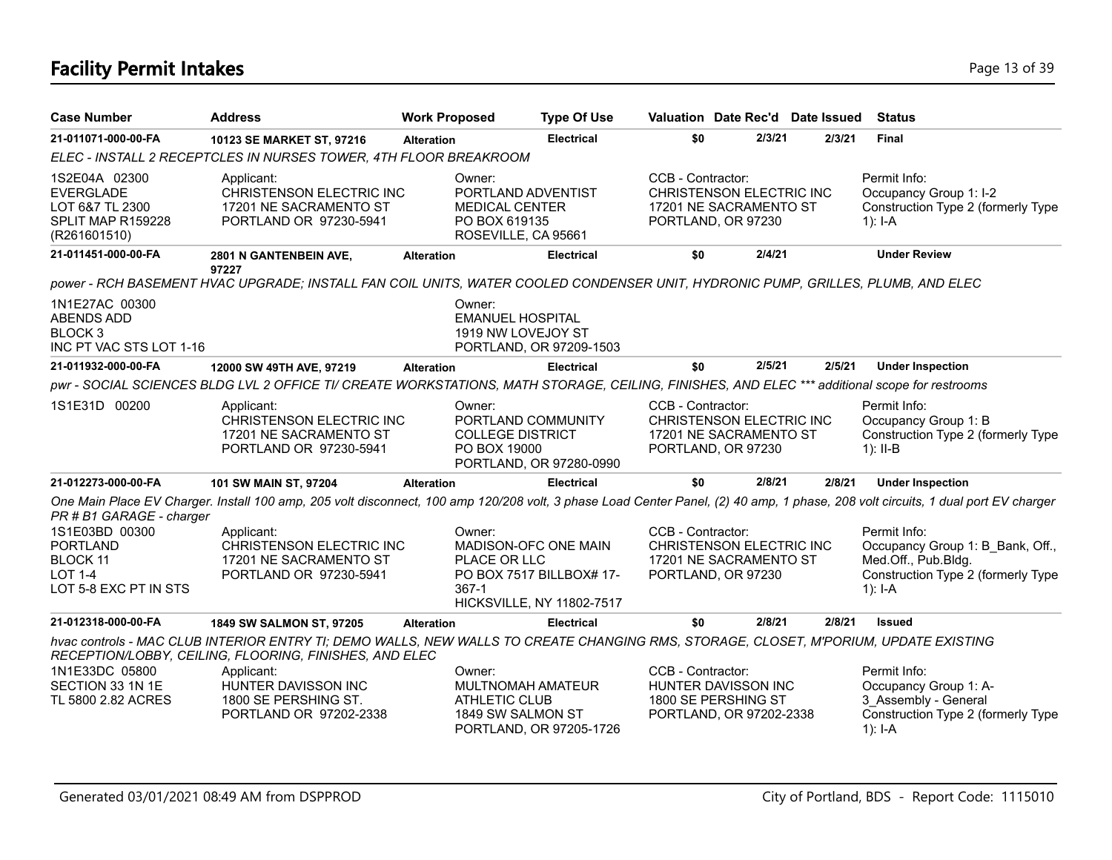### **Facility Permit Intakes** Page 13 of 39

| <b>Case Number</b>                                                                                                          | <b>Address</b>                                                                                                                                                                                                                                                                 | <b>Work Proposed</b> |                                                                                               | <b>Type Of Use</b>                                                                   | Valuation Date Rec'd Date Issued                                                                  |        |        | <b>Status</b>                                                                                                              |
|-----------------------------------------------------------------------------------------------------------------------------|--------------------------------------------------------------------------------------------------------------------------------------------------------------------------------------------------------------------------------------------------------------------------------|----------------------|-----------------------------------------------------------------------------------------------|--------------------------------------------------------------------------------------|---------------------------------------------------------------------------------------------------|--------|--------|----------------------------------------------------------------------------------------------------------------------------|
| 21-011071-000-00-FA                                                                                                         | 10123 SE MARKET ST, 97216                                                                                                                                                                                                                                                      | <b>Alteration</b>    |                                                                                               | <b>Electrical</b>                                                                    | \$0                                                                                               | 2/3/21 | 2/3/21 | <b>Final</b>                                                                                                               |
|                                                                                                                             | ELEC - INSTALL 2 RECEPTCLES IN NURSES TOWER, 4TH FLOOR BREAKROOM                                                                                                                                                                                                               |                      |                                                                                               |                                                                                      |                                                                                                   |        |        |                                                                                                                            |
| 1S2E04A 02300<br><b>EVERGLADE</b><br>LOT 6&7 TL 2300<br>SPLIT MAP R159228<br>(R261601510)                                   | Applicant:<br>CHRISTENSON ELECTRIC INC<br>17201 NE SACRAMENTO ST<br>PORTLAND OR 97230-5941                                                                                                                                                                                     |                      | Owner:<br>PORTLAND ADVENTIST<br><b>MEDICAL CENTER</b><br>PO BOX 619135<br>ROSEVILLE, CA 95661 |                                                                                      | CCB - Contractor:<br>CHRISTENSON ELECTRIC INC<br>17201 NE SACRAMENTO ST<br>PORTLAND, OR 97230     |        |        | Permit Info:<br>Occupancy Group 1: I-2<br>Construction Type 2 (formerly Type<br>1): $I - A$                                |
| 21-011451-000-00-FA                                                                                                         | 2801 N GANTENBEIN AVE,<br>97227                                                                                                                                                                                                                                                | <b>Alteration</b>    |                                                                                               | <b>Electrical</b>                                                                    | \$0                                                                                               | 2/4/21 |        | <b>Under Review</b>                                                                                                        |
|                                                                                                                             | power - RCH BASEMENT HVAC UPGRADE; INSTALL FAN COIL UNITS, WATER COOLED CONDENSER UNIT, HYDRONIC PUMP, GRILLES, PLUMB, AND ELEC                                                                                                                                                |                      |                                                                                               |                                                                                      |                                                                                                   |        |        |                                                                                                                            |
| 1N1E27AC 00300<br><b>ABENDS ADD</b><br>BLOCK <sub>3</sub><br>INC PT VAC STS LOT 1-16                                        |                                                                                                                                                                                                                                                                                |                      | Owner:<br><b>EMANUEL HOSPITAL</b><br>1919 NW LOVEJOY ST                                       | PORTLAND, OR 97209-1503                                                              |                                                                                                   |        |        |                                                                                                                            |
| 21-011932-000-00-FA                                                                                                         | 12000 SW 49TH AVE, 97219                                                                                                                                                                                                                                                       | <b>Alteration</b>    |                                                                                               | <b>Electrical</b>                                                                    | \$0                                                                                               | 2/5/21 | 2/5/21 | <b>Under Inspection</b>                                                                                                    |
|                                                                                                                             | pwr - SOCIAL SCIENCES BLDG LVL 2 OFFICE TI/ CREATE WORKSTATIONS, MATH STORAGE, CEILING, FINISHES, AND ELEC *** additional scope for restrooms                                                                                                                                  |                      |                                                                                               |                                                                                      |                                                                                                   |        |        |                                                                                                                            |
| 1S1E31D 00200                                                                                                               | Applicant:<br>CHRISTENSON ELECTRIC INC<br>17201 NE SACRAMENTO ST<br>PORTLAND OR 97230-5941                                                                                                                                                                                     |                      | Owner:<br><b>COLLEGE DISTRICT</b><br>PO BOX 19000                                             | PORTLAND COMMUNITY<br>PORTLAND, OR 97280-0990                                        | CCB - Contractor:<br>CHRISTENSON ELECTRIC INC<br>17201 NE SACRAMENTO ST<br>PORTLAND, OR 97230     |        |        | Permit Info:<br>Occupancy Group 1: B<br>Construction Type 2 (formerly Type<br>$1$ : II-B                                   |
| 21-012273-000-00-FA                                                                                                         | 101 SW MAIN ST, 97204                                                                                                                                                                                                                                                          | <b>Alteration</b>    |                                                                                               | <b>Electrical</b>                                                                    | \$0                                                                                               | 2/8/21 | 2/8/21 | <b>Under Inspection</b>                                                                                                    |
| PR # B1 GARAGE - charger<br>1S1E03BD 00300<br><b>PORTLAND</b><br><b>BLOCK 11</b><br><b>LOT 1-4</b><br>LOT 5-8 EXC PT IN STS | One Main Place EV Charger. Install 100 amp, 205 volt disconnect, 100 amp 120/208 volt, 3 phase Load Center Panel, (2) 40 amp, 1 phase, 208 volt circuits, 1 dual port EV charger<br>Applicant:<br>CHRISTENSON ELECTRIC INC<br>17201 NE SACRAMENTO ST<br>PORTLAND OR 97230-5941 |                      | Owner:<br>PLACE OR LLC<br>$367-1$                                                             | MADISON-OFC ONE MAIN<br>PO BOX 7517 BILLBOX# 17-<br><b>HICKSVILLE, NY 11802-7517</b> | CCB - Contractor:<br>CHRISTENSON ELECTRIC INC<br>17201 NE SACRAMENTO ST<br>PORTLAND, OR 97230     |        |        | Permit Info:<br>Occupancy Group 1: B Bank, Off.,<br>Med.Off., Pub.Bldg.<br>Construction Type 2 (formerly Type<br>$1$ : I-A |
| 21-012318-000-00-FA                                                                                                         | 1849 SW SALMON ST, 97205                                                                                                                                                                                                                                                       | <b>Alteration</b>    |                                                                                               | <b>Electrical</b>                                                                    | \$0                                                                                               | 2/8/21 | 2/8/21 | <b>Issued</b>                                                                                                              |
|                                                                                                                             | hvac controls - MAC CLUB INTERIOR ENTRY TI; DEMO WALLS, NEW WALLS TO CREATE CHANGING RMS, STORAGE, CLOSET, M'PORIUM, UPDATE EXISTING<br>RECEPTION/LOBBY, CEILING, FLOORING, FINISHES, AND ELEC                                                                                 |                      |                                                                                               |                                                                                      |                                                                                                   |        |        |                                                                                                                            |
| 1N1E33DC 05800<br>SECTION 33 1N 1E<br>TL 5800 2.82 ACRES                                                                    | Applicant:<br>HUNTER DAVISSON INC<br>1800 SE PERSHING ST.<br>PORTLAND OR 97202-2338                                                                                                                                                                                            |                      | Owner:<br>MULTNOMAH AMATEUR<br><b>ATHLETIC CLUB</b><br>1849 SW SALMON ST                      | PORTLAND, OR 97205-1726                                                              | CCB - Contractor:<br><b>HUNTER DAVISSON INC</b><br>1800 SE PERSHING ST<br>PORTLAND, OR 97202-2338 |        |        | Permit Info:<br>Occupancy Group 1: A-<br>3 Assembly - General<br>Construction Type 2 (formerly Type<br>$1$ : I-A           |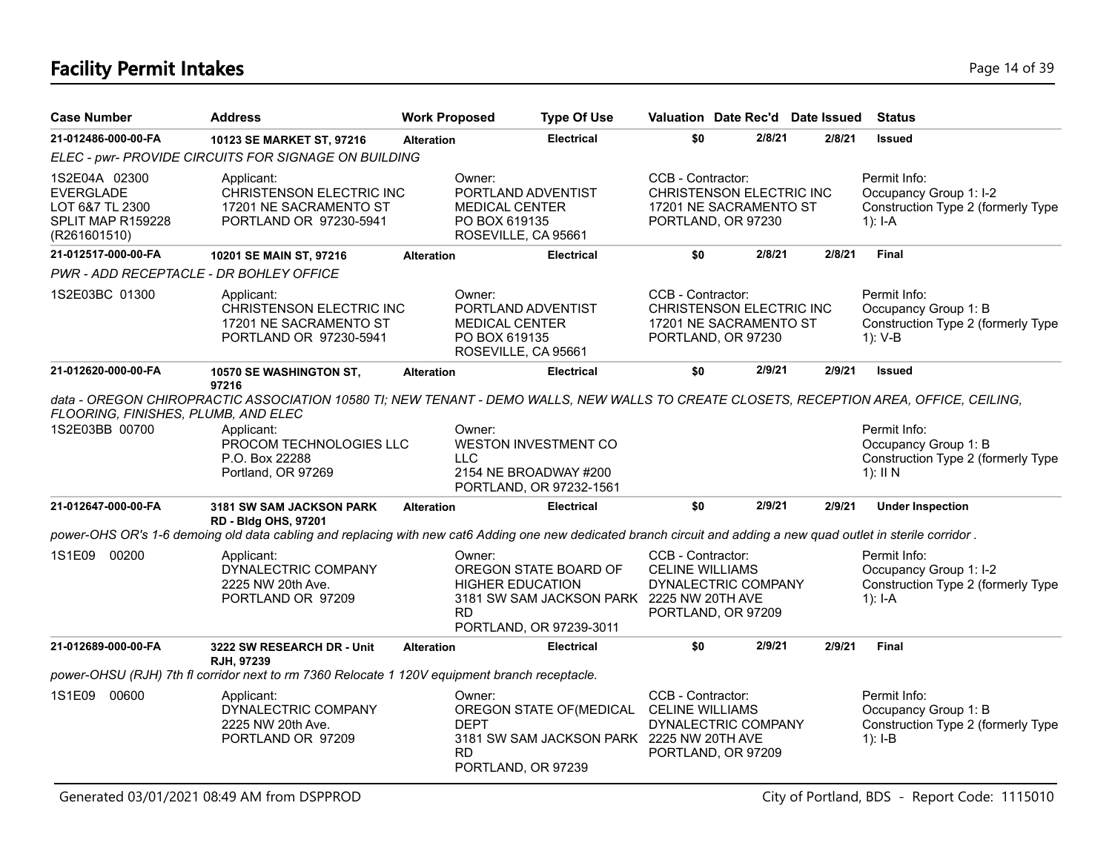# **Facility Permit Intakes** Page 14 of 39

| Case Number                                                                        | <b>Address</b>                                                                                                                                                                                                           | <b>Work Proposed</b> |                                                                                               | <b>Type Of Use</b>                                                                            | Valuation Date Rec'd Date Issued                                                              |        |        | <b>Status</b>                                                                            |
|------------------------------------------------------------------------------------|--------------------------------------------------------------------------------------------------------------------------------------------------------------------------------------------------------------------------|----------------------|-----------------------------------------------------------------------------------------------|-----------------------------------------------------------------------------------------------|-----------------------------------------------------------------------------------------------|--------|--------|------------------------------------------------------------------------------------------|
| 21-012486-000-00-FA                                                                | 10123 SE MARKET ST, 97216                                                                                                                                                                                                | <b>Alteration</b>    |                                                                                               | <b>Electrical</b>                                                                             | \$0                                                                                           | 2/8/21 | 2/8/21 | <b>Issued</b>                                                                            |
|                                                                                    | ELEC - pwr- PROVIDE CIRCUITS FOR SIGNAGE ON BUILDING                                                                                                                                                                     |                      |                                                                                               |                                                                                               |                                                                                               |        |        |                                                                                          |
| 1S2E04A 02300<br>EVERGLADE<br>LOT 6&7 TL 2300<br>SPLIT MAP R159228<br>(R261601510) | Applicant:<br>CHRISTENSON ELECTRIC INC<br>17201 NE SACRAMENTO ST<br>PORTLAND OR 97230-5941                                                                                                                               |                      | Owner:<br>PORTLAND ADVENTIST<br><b>MEDICAL CENTER</b><br>PO BOX 619135<br>ROSEVILLE, CA 95661 |                                                                                               | CCB - Contractor:<br>CHRISTENSON ELECTRIC INC<br>17201 NE SACRAMENTO ST<br>PORTLAND, OR 97230 |        |        | Permit Info:<br>Occupancy Group 1: I-2<br>Construction Type 2 (formerly Type<br>1): I-A  |
| 21-012517-000-00-FA                                                                | 10201 SE MAIN ST, 97216                                                                                                                                                                                                  | <b>Alteration</b>    |                                                                                               | <b>Electrical</b>                                                                             | \$0                                                                                           | 2/8/21 | 2/8/21 | <b>Final</b>                                                                             |
| PWR - ADD RECEPTACLE - DR BOHLEY OFFICE                                            |                                                                                                                                                                                                                          |                      |                                                                                               |                                                                                               |                                                                                               |        |        |                                                                                          |
| 1S2E03BC 01300                                                                     | Applicant:<br>CHRISTENSON ELECTRIC INC<br>17201 NE SACRAMENTO ST<br>PORTLAND OR 97230-5941                                                                                                                               |                      | Owner:<br>PORTLAND ADVENTIST<br><b>MEDICAL CENTER</b><br>PO BOX 619135<br>ROSEVILLE, CA 95661 |                                                                                               | CCB - Contractor:<br>CHRISTENSON ELECTRIC INC<br>17201 NE SACRAMENTO ST<br>PORTLAND, OR 97230 |        |        | Permit Info:<br>Occupancy Group 1: B<br>Construction Type 2 (formerly Type<br>1): V-B    |
| 21-012620-000-00-FA                                                                | 10570 SE WASHINGTON ST.<br>97216                                                                                                                                                                                         | <b>Alteration</b>    |                                                                                               | <b>Electrical</b>                                                                             | \$0                                                                                           | 2/9/21 | 2/9/21 | <b>Issued</b>                                                                            |
| FLOORING, FINISHES, PLUMB, AND ELEC<br>1S2E03BB 00700                              | data - OREGON CHIROPRACTIC ASSOCIATION 10580 TI; NEW TENANT - DEMO WALLS, NEW WALLS TO CREATE CLOSETS, RECEPTION AREA, OFFICE, CEILING,<br>Applicant:<br>PROCOM TECHNOLOGIES LLC<br>P.O. Box 22288<br>Portland, OR 97269 |                      | Owner:<br><b>LLC</b>                                                                          | <b>WESTON INVESTMENT CO</b><br>2154 NE BROADWAY #200<br>PORTLAND, OR 97232-1561               |                                                                                               |        |        | Permit Info:<br>Occupancy Group 1: B<br>Construction Type 2 (formerly Type<br>$1$ : II N |
| 21-012647-000-00-FA                                                                | 3181 SW SAM JACKSON PARK<br><b>RD - Bldg OHS, 97201</b>                                                                                                                                                                  | <b>Alteration</b>    |                                                                                               | <b>Electrical</b>                                                                             | \$0                                                                                           | 2/9/21 | 2/9/21 | <b>Under Inspection</b>                                                                  |
|                                                                                    | power-OHS OR's 1-6 demoing old data cabling and replacing with new cat6 Adding one new dedicated branch circuit and adding a new quad outlet in sterile corridor.                                                        |                      |                                                                                               |                                                                                               |                                                                                               |        |        |                                                                                          |
| 1S1E09 00200                                                                       | Applicant:<br>DYNALECTRIC COMPANY<br>2225 NW 20th Ave.<br>PORTLAND OR 97209                                                                                                                                              |                      | Owner:<br><b>HIGHER EDUCATION</b><br><b>RD</b>                                                | OREGON STATE BOARD OF<br>3181 SW SAM JACKSON PARK 2225 NW 20TH AVE<br>PORTLAND, OR 97239-3011 | CCB - Contractor:<br><b>CELINE WILLIAMS</b><br>DYNALECTRIC COMPANY<br>PORTLAND, OR 97209      |        |        | Permit Info:<br>Occupancy Group 1: I-2<br>Construction Type 2 (formerly Type<br>1): I-A  |
| 21-012689-000-00-FA                                                                | 3222 SW RESEARCH DR - Unit<br>RJH, 97239                                                                                                                                                                                 | <b>Alteration</b>    |                                                                                               | <b>Electrical</b>                                                                             | \$0                                                                                           | 2/9/21 | 2/9/21 | Final                                                                                    |
|                                                                                    | power-OHSU (RJH) 7th fl corridor next to rm 7360 Relocate 1 120V equipment branch receptacle.                                                                                                                            |                      |                                                                                               |                                                                                               |                                                                                               |        |        |                                                                                          |
| 1S1E09 00600                                                                       | Applicant:<br>DYNALECTRIC COMPANY<br>2225 NW 20th Ave.<br>PORTLAND OR 97209                                                                                                                                              |                      | Owner:<br><b>DEPT</b><br><b>RD</b><br>PORTLAND, OR 97239                                      | OREGON STATE OF (MEDICAL<br>3181 SW SAM JACKSON PARK 2225 NW 20TH AVE                         | CCB - Contractor:<br><b>CELINE WILLIAMS</b><br>DYNALECTRIC COMPANY<br>PORTLAND, OR 97209      |        |        | Permit Info:<br>Occupancy Group 1: B<br>Construction Type 2 (formerly Type<br>$1$ : I-B  |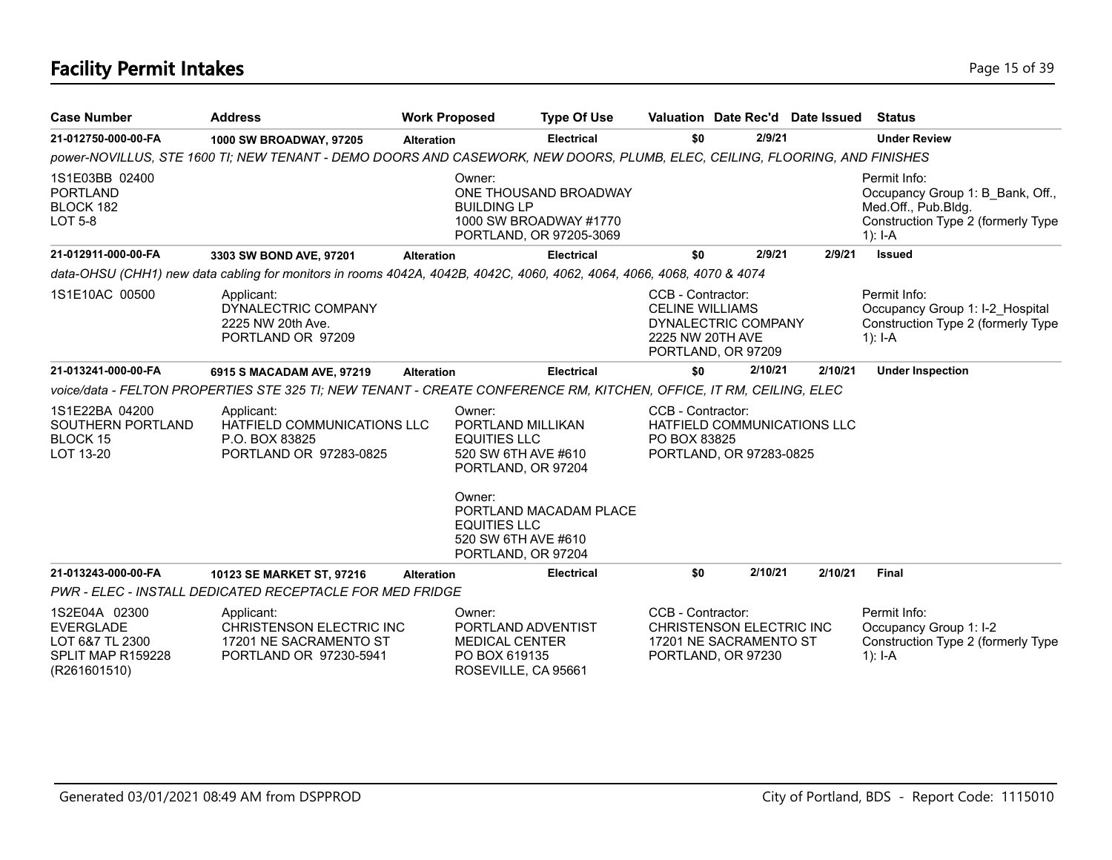# **Facility Permit Intakes** Page 15 of 39

| <b>Case Number</b>                                                                        | <b>Address</b>                                                                                                             | <b>Work Proposed</b> |                                                                                                 | <b>Type Of Use</b>                                                         | Valuation Date Rec'd Date Issued                                                                             |         |         | Status                                                                                                                     |
|-------------------------------------------------------------------------------------------|----------------------------------------------------------------------------------------------------------------------------|----------------------|-------------------------------------------------------------------------------------------------|----------------------------------------------------------------------------|--------------------------------------------------------------------------------------------------------------|---------|---------|----------------------------------------------------------------------------------------------------------------------------|
| 21-012750-000-00-FA                                                                       | 1000 SW BROADWAY, 97205                                                                                                    | <b>Alteration</b>    |                                                                                                 | <b>Electrical</b>                                                          | \$0                                                                                                          | 2/9/21  |         | <b>Under Review</b>                                                                                                        |
|                                                                                           | power-NOVILLUS, STE 1600 TI; NEW TENANT - DEMO DOORS AND CASEWORK, NEW DOORS, PLUMB, ELEC, CEILING, FLOORING, AND FINISHES |                      |                                                                                                 |                                                                            |                                                                                                              |         |         |                                                                                                                            |
| 1S1E03BB 02400<br><b>PORTLAND</b><br>BLOCK 182<br><b>LOT 5-8</b>                          |                                                                                                                            |                      | Owner:<br><b>BUILDING LP</b>                                                                    | ONE THOUSAND BROADWAY<br>1000 SW BROADWAY #1770<br>PORTLAND, OR 97205-3069 |                                                                                                              |         |         | Permit Info:<br>Occupancy Group 1: B_Bank, Off.,<br>Med.Off., Pub.Bldg.<br>Construction Type 2 (formerly Type<br>$1$ : I-A |
| 21-012911-000-00-FA                                                                       | 3303 SW BOND AVE, 97201                                                                                                    | <b>Alteration</b>    |                                                                                                 | <b>Electrical</b>                                                          | \$0                                                                                                          | 2/9/21  | 2/9/21  | <b>Issued</b>                                                                                                              |
|                                                                                           | data-OHSU (CHH1) new data cabling for monitors in rooms 4042A, 4042B, 4042C, 4060, 4062, 4064, 4066, 4068, 4070 & 4074     |                      |                                                                                                 |                                                                            |                                                                                                              |         |         |                                                                                                                            |
| 1S1E10AC 00500                                                                            | Applicant:<br>DYNALECTRIC COMPANY<br>2225 NW 20th Ave.<br>PORTLAND OR 97209                                                |                      |                                                                                                 |                                                                            | CCB - Contractor:<br><b>CELINE WILLIAMS</b><br>DYNALECTRIC COMPANY<br>2225 NW 20TH AVE<br>PORTLAND, OR 97209 |         |         | Permit Info:<br>Occupancy Group 1: I-2 Hospital<br>Construction Type 2 (formerly Type<br>1): $I - A$                       |
| 21-013241-000-00-FA                                                                       | 6915 S MACADAM AVE, 97219                                                                                                  | <b>Alteration</b>    |                                                                                                 | <b>Electrical</b>                                                          | \$0                                                                                                          | 2/10/21 | 2/10/21 | <b>Under Inspection</b>                                                                                                    |
|                                                                                           | voice/data - FELTON PROPERTIES STE 325 TI; NEW TENANT - CREATE CONFERENCE RM, KITCHEN, OFFICE, IT RM, CEILING, ELEC        |                      |                                                                                                 |                                                                            |                                                                                                              |         |         |                                                                                                                            |
| 1S1E22BA 04200<br>SOUTHERN PORTLAND<br>BLOCK 15<br>LOT 13-20                              | Applicant:<br>HATFIELD COMMUNICATIONS LLC<br>P.O. BOX 83825<br>PORTLAND OR 97283-0825                                      |                      | Owner:<br>PORTLAND MILLIKAN<br><b>EQUITIES LLC</b><br>520 SW 6TH AVE #610<br>PORTLAND, OR 97204 |                                                                            | CCB - Contractor:<br>HATFIELD COMMUNICATIONS LLC<br>PO BOX 83825<br>PORTLAND, OR 97283-0825                  |         |         |                                                                                                                            |
|                                                                                           |                                                                                                                            |                      | Owner:<br><b>EQUITIES LLC</b><br>520 SW 6TH AVE #610<br>PORTLAND, OR 97204                      | PORTLAND MACADAM PLACE                                                     |                                                                                                              |         |         |                                                                                                                            |
| 21-013243-000-00-FA                                                                       | 10123 SE MARKET ST, 97216                                                                                                  | <b>Alteration</b>    |                                                                                                 | <b>Electrical</b>                                                          | \$0                                                                                                          | 2/10/21 | 2/10/21 | <b>Final</b>                                                                                                               |
|                                                                                           | PWR - ELEC - INSTALL DEDICATED RECEPTACLE FOR MED FRIDGE                                                                   |                      |                                                                                                 |                                                                            |                                                                                                              |         |         |                                                                                                                            |
| 1S2E04A 02300<br><b>EVERGLADE</b><br>LOT 6&7 TL 2300<br>SPLIT MAP R159228<br>(R261601510) | Applicant:<br><b>CHRISTENSON ELECTRIC INC</b><br>17201 NE SACRAMENTO ST<br>PORTLAND OR 97230-5941                          |                      | Owner:<br>PORTLAND ADVENTIST<br><b>MEDICAL CENTER</b><br>PO BOX 619135<br>ROSEVILLE, CA 95661   |                                                                            | CCB - Contractor:<br><b>CHRISTENSON ELECTRIC INC</b><br>17201 NE SACRAMENTO ST<br>PORTLAND, OR 97230         |         |         | Permit Info:<br>Occupancy Group 1: I-2<br>Construction Type 2 (formerly Type<br>1): $I - A$                                |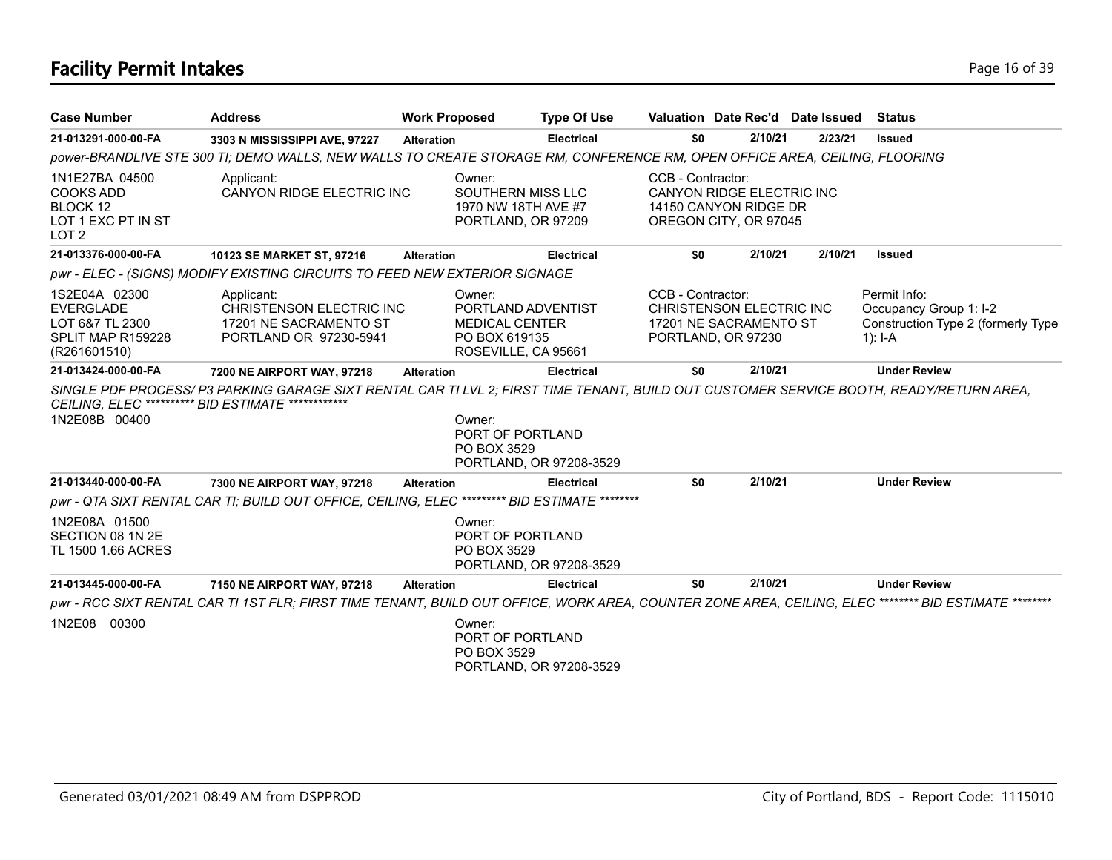# **Facility Permit Intakes** Page 16 of 39

| <b>Case Number</b>                                                                        | <b>Address</b>                                                                                                                                                                                  | <b>Work Proposed</b>                             | <b>Type Of Use</b>                                             |                   | Valuation Date Rec'd Date Issued                                            |         | Status                                                                                      |
|-------------------------------------------------------------------------------------------|-------------------------------------------------------------------------------------------------------------------------------------------------------------------------------------------------|--------------------------------------------------|----------------------------------------------------------------|-------------------|-----------------------------------------------------------------------------|---------|---------------------------------------------------------------------------------------------|
| 21-013291-000-00-FA                                                                       | 3303 N MISSISSIPPI AVE, 97227                                                                                                                                                                   | <b>Alteration</b>                                | <b>Electrical</b>                                              | \$0               | 2/10/21                                                                     | 2/23/21 | <b>Issued</b>                                                                               |
|                                                                                           | power-BRANDLIVE STE 300 TI; DEMO WALLS, NEW WALLS TO CREATE STORAGE RM, CONFERENCE RM, OPEN OFFICE AREA, CEILING, FLOORING                                                                      |                                                  |                                                                |                   |                                                                             |         |                                                                                             |
| 1N1E27BA 04500<br><b>COOKS ADD</b><br>BLOCK 12<br>LOT 1 EXC PT IN ST<br>LOT <sub>2</sub>  | Applicant:<br>CANYON RIDGE ELECTRIC INC                                                                                                                                                         | Owner:                                           | SOUTHERN MISS LLC<br>1970 NW 18TH AVE #7<br>PORTLAND, OR 97209 | CCB - Contractor: | CANYON RIDGE ELECTRIC INC<br>14150 CANYON RIDGE DR<br>OREGON CITY, OR 97045 |         |                                                                                             |
| 21-013376-000-00-FA                                                                       | 10123 SE MARKET ST, 97216                                                                                                                                                                       | <b>Alteration</b>                                | <b>Electrical</b>                                              | \$0               | 2/10/21                                                                     | 2/10/21 | <b>Issued</b>                                                                               |
|                                                                                           | pwr - ELEC - (SIGNS) MODIFY EXISTING CIRCUITS TO FEED NEW EXTERIOR SIGNAGE                                                                                                                      |                                                  |                                                                |                   |                                                                             |         |                                                                                             |
| 1S2E04A 02300<br><b>EVERGLADE</b><br>LOT 6&7 TL 2300<br>SPLIT MAP R159228<br>(R261601510) | Applicant:<br><b>CHRISTENSON ELECTRIC INC</b><br>17201 NE SACRAMENTO ST<br>PORTLAND OR 97230-5941                                                                                               | Owner:<br><b>MEDICAL CENTER</b><br>PO BOX 619135 | PORTLAND ADVENTIST<br>ROSEVILLE, CA 95661                      | CCB - Contractor: | CHRISTENSON ELECTRIC INC<br>17201 NE SACRAMENTO ST<br>PORTLAND, OR 97230    |         | Permit Info:<br>Occupancy Group 1: I-2<br>Construction Type 2 (formerly Type<br>1): $I - A$ |
| 21-013424-000-00-FA                                                                       | 7200 NE AIRPORT WAY, 97218                                                                                                                                                                      | <b>Alteration</b>                                | <b>Electrical</b>                                              | \$0               | 2/10/21                                                                     |         | <b>Under Review</b>                                                                         |
| 1N2E08B 00400                                                                             | SINGLE PDF PROCESS/ P3 PARKING GARAGE SIXT RENTAL CAR TI LVL 2; FIRST TIME TENANT, BUILD OUT CUSTOMER SERVICE BOOTH, READY/RETURN AREA,<br>CEILING, ELEC *********** BID ESTIMATE ************* | Owner:<br>PO BOX 3529                            | PORT OF PORTLAND<br>PORTLAND, OR 97208-3529                    |                   |                                                                             |         |                                                                                             |
| 21-013440-000-00-FA                                                                       | 7300 NE AIRPORT WAY, 97218                                                                                                                                                                      | <b>Alteration</b>                                | <b>Electrical</b>                                              | \$0               | 2/10/21                                                                     |         | <b>Under Review</b>                                                                         |
|                                                                                           | pwr - QTA SIXT RENTAL CAR TI; BUILD OUT OFFICE, CEILING, ELEC ********* BID ESTIMATE *********                                                                                                  |                                                  |                                                                |                   |                                                                             |         |                                                                                             |
| 1N2E08A 01500<br>SECTION 08 1N 2E<br>TL 1500 1.66 ACRES                                   |                                                                                                                                                                                                 | Owner:<br>PO BOX 3529                            | PORT OF PORTLAND<br>PORTLAND, OR 97208-3529                    |                   |                                                                             |         |                                                                                             |
| 21-013445-000-00-FA                                                                       | 7150 NE AIRPORT WAY, 97218                                                                                                                                                                      | <b>Alteration</b>                                | <b>Electrical</b>                                              | \$0               | 2/10/21                                                                     |         | <b>Under Review</b>                                                                         |
|                                                                                           | pwr - RCC SIXT RENTAL CAR TI 1ST FLR; FIRST TIME TENANT, BUILD OUT OFFICE, WORK AREA, COUNTER ZONE AREA, CEILING, ELEC ******** BID ESTIMATE                                                    |                                                  |                                                                |                   |                                                                             |         |                                                                                             |
| 1N2E08 00300                                                                              |                                                                                                                                                                                                 | Owner:<br>PO BOX 3529                            | PORT OF PORTLAND<br>PORTLAND, OR 97208-3529                    |                   |                                                                             |         |                                                                                             |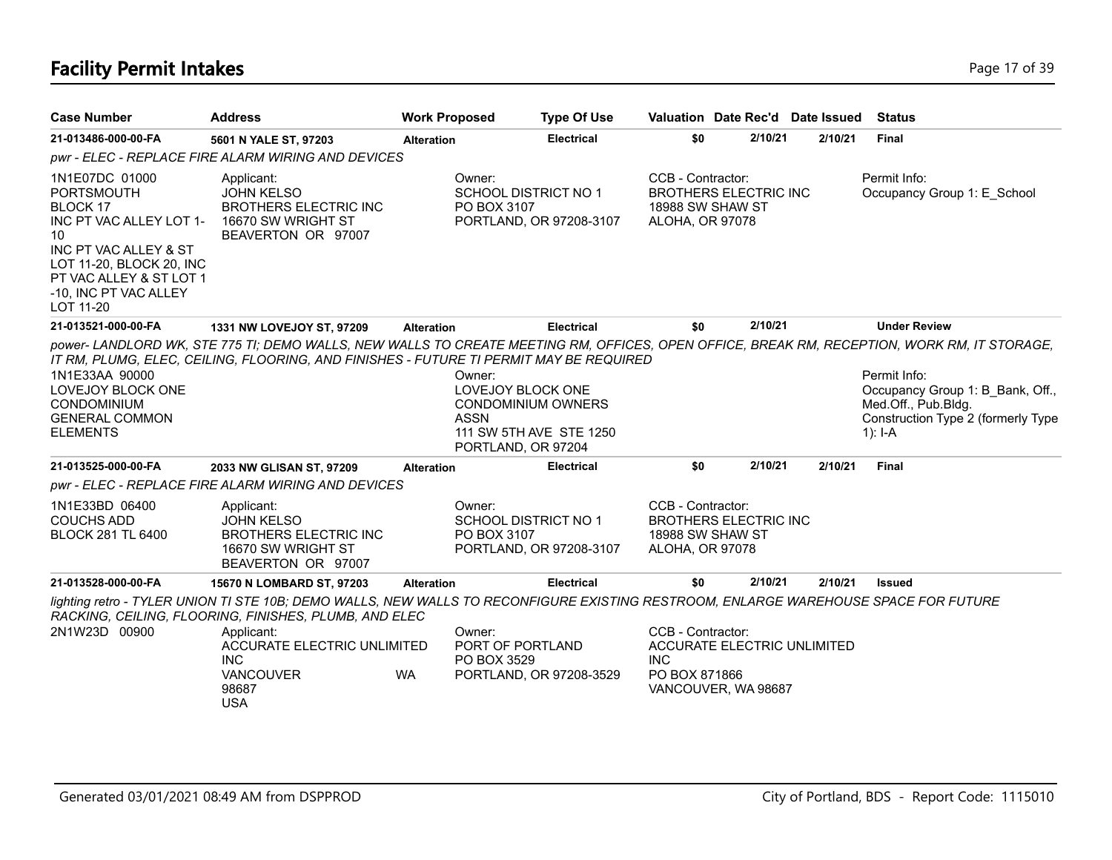# **Facility Permit Intakes** Page 17 of 39

| <b>Case Number</b>                                                                                                                                                                                     | <b>Address</b>                                                                                                                                                                               | <b>Work Proposed</b> |                                                                                               | <b>Type Of Use</b>      | Valuation Date Rec'd Date Issued                                                                       |         |         | <b>Status</b>                                                                                                                                                                                                                                                            |
|--------------------------------------------------------------------------------------------------------------------------------------------------------------------------------------------------------|----------------------------------------------------------------------------------------------------------------------------------------------------------------------------------------------|----------------------|-----------------------------------------------------------------------------------------------|-------------------------|--------------------------------------------------------------------------------------------------------|---------|---------|--------------------------------------------------------------------------------------------------------------------------------------------------------------------------------------------------------------------------------------------------------------------------|
| 21-013486-000-00-FA                                                                                                                                                                                    | 5601 N YALE ST, 97203                                                                                                                                                                        | <b>Alteration</b>    |                                                                                               | <b>Electrical</b>       | \$0                                                                                                    | 2/10/21 | 2/10/21 | Final                                                                                                                                                                                                                                                                    |
|                                                                                                                                                                                                        | pwr - ELEC - REPLACE FIRE ALARM WIRING AND DEVICES                                                                                                                                           |                      |                                                                                               |                         |                                                                                                        |         |         |                                                                                                                                                                                                                                                                          |
| 1N1E07DC 01000<br><b>PORTSMOUTH</b><br>BLOCK 17<br>INC PT VAC ALLEY LOT 1-<br>10<br>INC PT VAC ALLEY & ST<br>LOT 11-20, BLOCK 20, INC<br>PT VAC ALLEY & ST LOT 1<br>-10, INC PT VAC ALLEY<br>LOT 11-20 | Applicant:<br><b>JOHN KELSO</b><br><b>BROTHERS ELECTRIC INC</b><br>16670 SW WRIGHT ST<br>BEAVERTON OR 97007                                                                                  |                      | Owner:<br><b>SCHOOL DISTRICT NO 1</b><br>PO BOX 3107                                          | PORTLAND, OR 97208-3107 | CCB - Contractor:<br><b>BROTHERS ELECTRIC INC</b><br>18988 SW SHAW ST<br>ALOHA, OR 97078               |         |         | Permit Info:<br>Occupancy Group 1: E_School                                                                                                                                                                                                                              |
| 21-013521-000-00-FA                                                                                                                                                                                    | 1331 NW LOVEJOY ST, 97209                                                                                                                                                                    | <b>Alteration</b>    |                                                                                               | <b>Electrical</b>       | \$0                                                                                                    | 2/10/21 |         | <b>Under Review</b>                                                                                                                                                                                                                                                      |
| 1N1E33AA 90000<br><b>LOVEJOY BLOCK ONE</b><br>CONDOMINIUM<br><b>GENERAL COMMON</b><br><b>ELEMENTS</b>                                                                                                  | IT RM, PLUMG, ELEC, CEILING, FLOORING, AND FINISHES - FUTURE TI PERMIT MAY BE REQUIRED                                                                                                       |                      | Owner:<br>LOVEJOY BLOCK ONE<br><b>CONDOMINIUM OWNERS</b><br><b>ASSN</b><br>PORTLAND, OR 97204 | 111 SW 5TH AVE STE 1250 |                                                                                                        |         |         | power-LANDLORD WK, STE 775 TI; DEMO WALLS, NEW WALLS TO CREATE MEETING RM, OFFICES, OPEN OFFICE, BREAK RM, RECEPTION, WORK RM, IT STORAGE,<br>Permit Info:<br>Occupancy Group 1: B Bank, Off.,<br>Med.Off., Pub.Bldg.<br>Construction Type 2 (formerly Type<br>$1$ : I-A |
| 21-013525-000-00-FA                                                                                                                                                                                    | 2033 NW GLISAN ST, 97209                                                                                                                                                                     | <b>Alteration</b>    |                                                                                               | <b>Electrical</b>       | \$0                                                                                                    | 2/10/21 | 2/10/21 | <b>Final</b>                                                                                                                                                                                                                                                             |
|                                                                                                                                                                                                        | pwr - ELEC - REPLACE FIRE ALARM WIRING AND DEVICES                                                                                                                                           |                      |                                                                                               |                         |                                                                                                        |         |         |                                                                                                                                                                                                                                                                          |
| 1N1E33BD 06400<br><b>COUCHS ADD</b><br><b>BLOCK 281 TL 6400</b>                                                                                                                                        | Applicant:<br><b>JOHN KELSO</b><br><b>BROTHERS ELECTRIC INC</b><br>16670 SW WRIGHT ST<br>BEAVERTON OR 97007                                                                                  |                      | Owner:<br>SCHOOL DISTRICT NO 1<br>PO BOX 3107                                                 | PORTLAND, OR 97208-3107 | CCB - Contractor:<br><b>BROTHERS ELECTRIC INC</b><br>18988 SW SHAW ST<br>ALOHA, OR 97078               |         |         |                                                                                                                                                                                                                                                                          |
| 21-013528-000-00-FA                                                                                                                                                                                    | 15670 N LOMBARD ST, 97203                                                                                                                                                                    | <b>Alteration</b>    |                                                                                               | <b>Electrical</b>       | \$0                                                                                                    | 2/10/21 | 2/10/21 | <b>Issued</b>                                                                                                                                                                                                                                                            |
|                                                                                                                                                                                                        | lighting retro - TYLER UNION TI STE 10B; DEMO WALLS, NEW WALLS TO RECONFIGURE EXISTING RESTROOM, ENLARGE WAREHOUSE SPACE FOR FUTURE<br>RACKING, CEILING, FLOORING, FINISHES, PLUMB, AND ELEC |                      |                                                                                               |                         |                                                                                                        |         |         |                                                                                                                                                                                                                                                                          |
| 2N1W23D 00900                                                                                                                                                                                          | Applicant:<br><b>ACCURATE ELECTRIC UNLIMITED</b><br><b>INC</b><br><b>VANCOUVER</b><br>98687<br><b>USA</b>                                                                                    | WA.                  | Owner:<br>PORT OF PORTLAND<br>PO BOX 3529                                                     | PORTLAND, OR 97208-3529 | CCB - Contractor:<br>ACCURATE ELECTRIC UNLIMITED<br><b>INC</b><br>PO BOX 871866<br>VANCOUVER, WA 98687 |         |         |                                                                                                                                                                                                                                                                          |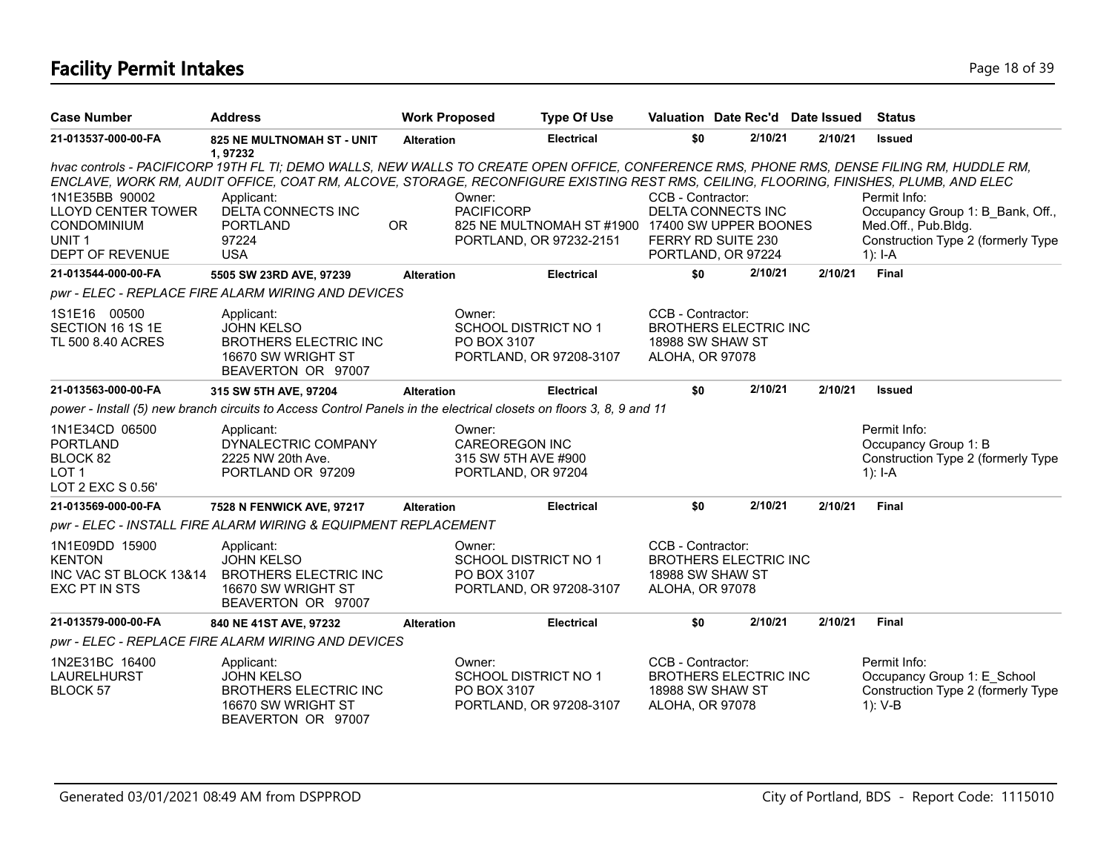# **Facility Permit Intakes** Page 18 of 39

| <b>Case Number</b>                                                                                               | <b>Address</b>                                                                                                                                                                                                                                                                                                                                                           | <b>Work Proposed</b> | <b>Type Of Use</b>                                                                              |                                             | Valuation Date Rec'd Date Issued                               |         | <b>Status</b>                                                                                                              |
|------------------------------------------------------------------------------------------------------------------|--------------------------------------------------------------------------------------------------------------------------------------------------------------------------------------------------------------------------------------------------------------------------------------------------------------------------------------------------------------------------|----------------------|-------------------------------------------------------------------------------------------------|---------------------------------------------|----------------------------------------------------------------|---------|----------------------------------------------------------------------------------------------------------------------------|
| 21-013537-000-00-FA                                                                                              | <b>825 NE MULTNOMAH ST - UNIT</b><br>1,97232                                                                                                                                                                                                                                                                                                                             | <b>Alteration</b>    | <b>Electrical</b>                                                                               | \$0                                         | 2/10/21                                                        | 2/10/21 | <b>Issued</b>                                                                                                              |
| 1N1E35BB 90002<br><b>LLOYD CENTER TOWER</b><br><b>CONDOMINIUM</b><br>UNIT <sub>1</sub><br><b>DEPT OF REVENUE</b> | hvac controls - PACIFICORP 19TH FL TI; DEMO WALLS, NEW WALLS TO CREATE OPEN OFFICE, CONFERENCE RMS, PHONE RMS, DENSE FILING RM, HUDDLE RM,<br>ENCLAVE, WORK RM, AUDIT OFFICE, COAT RM, ALCOVE, STORAGE, RECONFIGURE EXISTING REST RMS, CEILING, FLOORING, FINISHES, PLUMB, AND ELEC<br>Applicant:<br><b>DELTA CONNECTS INC</b><br><b>PORTLAND</b><br>97224<br><b>USA</b> | Owner:<br><b>OR</b>  | <b>PACIFICORP</b><br>825 NE MULTNOMAH ST #1900 17400 SW UPPER BOONES<br>PORTLAND, OR 97232-2151 | CCB - Contractor:                           | DELTA CONNECTS INC<br>FERRY RD SUITE 230<br>PORTLAND, OR 97224 |         | Permit Info:<br>Occupancy Group 1: B Bank, Off.,<br>Med.Off., Pub.Bldg.<br>Construction Type 2 (formerly Type<br>$1$ : I-A |
| 21-013544-000-00-FA                                                                                              | 5505 SW 23RD AVE, 97239                                                                                                                                                                                                                                                                                                                                                  | <b>Alteration</b>    | <b>Electrical</b>                                                                               | \$0                                         | 2/10/21                                                        | 2/10/21 | <b>Final</b>                                                                                                               |
|                                                                                                                  | pwr - ELEC - REPLACE FIRE ALARM WIRING AND DEVICES                                                                                                                                                                                                                                                                                                                       |                      |                                                                                                 |                                             |                                                                |         |                                                                                                                            |
| 1S1E16 00500<br>SECTION 16 1S 1E<br>TL 500 8.40 ACRES                                                            | Applicant:<br><b>JOHN KELSO</b><br><b>BROTHERS ELECTRIC INC</b><br>16670 SW WRIGHT ST<br>BEAVERTON OR 97007                                                                                                                                                                                                                                                              | Owner:               | <b>SCHOOL DISTRICT NO 1</b><br>PO BOX 3107<br>PORTLAND, OR 97208-3107                           | CCB - Contractor:<br>ALOHA, OR 97078        | <b>BROTHERS ELECTRIC INC</b><br>18988 SW SHAW ST               |         |                                                                                                                            |
| 21-013563-000-00-FA                                                                                              | 315 SW 5TH AVE, 97204                                                                                                                                                                                                                                                                                                                                                    | <b>Alteration</b>    | <b>Electrical</b>                                                                               | \$0                                         | 2/10/21                                                        | 2/10/21 | <b>Issued</b>                                                                                                              |
|                                                                                                                  | power - Install (5) new branch circuits to Access Control Panels in the electrical closets on floors 3, 8, 9 and 11                                                                                                                                                                                                                                                      |                      |                                                                                                 |                                             |                                                                |         |                                                                                                                            |
| 1N1E34CD 06500<br><b>PORTLAND</b><br>BLOCK 82<br>LOT <sub>1</sub><br>LOT 2 EXC S 0.56'                           | Applicant:<br>DYNALECTRIC COMPANY<br>2225 NW 20th Ave.<br>PORTLAND OR 97209                                                                                                                                                                                                                                                                                              | Owner:               | <b>CAREOREGON INC</b><br>315 SW 5TH AVE #900<br>PORTLAND, OR 97204                              |                                             |                                                                |         | Permit Info:<br>Occupancy Group 1: B<br>Construction Type 2 (formerly Type<br>1): I-A                                      |
| 21-013569-000-00-FA                                                                                              | 7528 N FENWICK AVE, 97217                                                                                                                                                                                                                                                                                                                                                | <b>Alteration</b>    | <b>Electrical</b>                                                                               | \$0                                         | 2/10/21                                                        | 2/10/21 | Final                                                                                                                      |
|                                                                                                                  | pwr - ELEC - INSTALL FIRE ALARM WIRING & EQUIPMENT REPLACEMENT                                                                                                                                                                                                                                                                                                           |                      |                                                                                                 |                                             |                                                                |         |                                                                                                                            |
| 1N1E09DD 15900<br><b>KENTON</b><br>INC VAC ST BLOCK 13&14<br>EXC PT IN STS                                       | Applicant:<br><b>JOHN KELSO</b><br><b>BROTHERS ELECTRIC INC</b><br>16670 SW WRIGHT ST<br>BEAVERTON OR 97007                                                                                                                                                                                                                                                              | Owner:               | <b>SCHOOL DISTRICT NO 1</b><br>PO BOX 3107<br>PORTLAND, OR 97208-3107                           | CCB - Contractor:<br><b>ALOHA, OR 97078</b> | <b>BROTHERS ELECTRIC INC</b><br>18988 SW SHAW ST               |         |                                                                                                                            |
| 21-013579-000-00-FA                                                                                              | 840 NE 41ST AVE, 97232                                                                                                                                                                                                                                                                                                                                                   | <b>Alteration</b>    | <b>Electrical</b>                                                                               | \$0                                         | 2/10/21                                                        | 2/10/21 | <b>Final</b>                                                                                                               |
|                                                                                                                  | pwr - ELEC - REPLACE FIRE ALARM WIRING AND DEVICES                                                                                                                                                                                                                                                                                                                       |                      |                                                                                                 |                                             |                                                                |         |                                                                                                                            |
| 1N2E31BC 16400<br>LAURELHURST<br>BLOCK 57                                                                        | Applicant:<br><b>JOHN KELSO</b><br><b>BROTHERS ELECTRIC INC</b><br>16670 SW WRIGHT ST<br>BEAVERTON OR 97007                                                                                                                                                                                                                                                              | Owner:               | <b>SCHOOL DISTRICT NO 1</b><br>PO BOX 3107<br>PORTLAND, OR 97208-3107                           | CCB - Contractor:<br>ALOHA, OR 97078        | <b>BROTHERS ELECTRIC INC</b><br>18988 SW SHAW ST               |         | Permit Info:<br>Occupancy Group 1: E School<br>Construction Type 2 (formerly Type<br>1): V-B                               |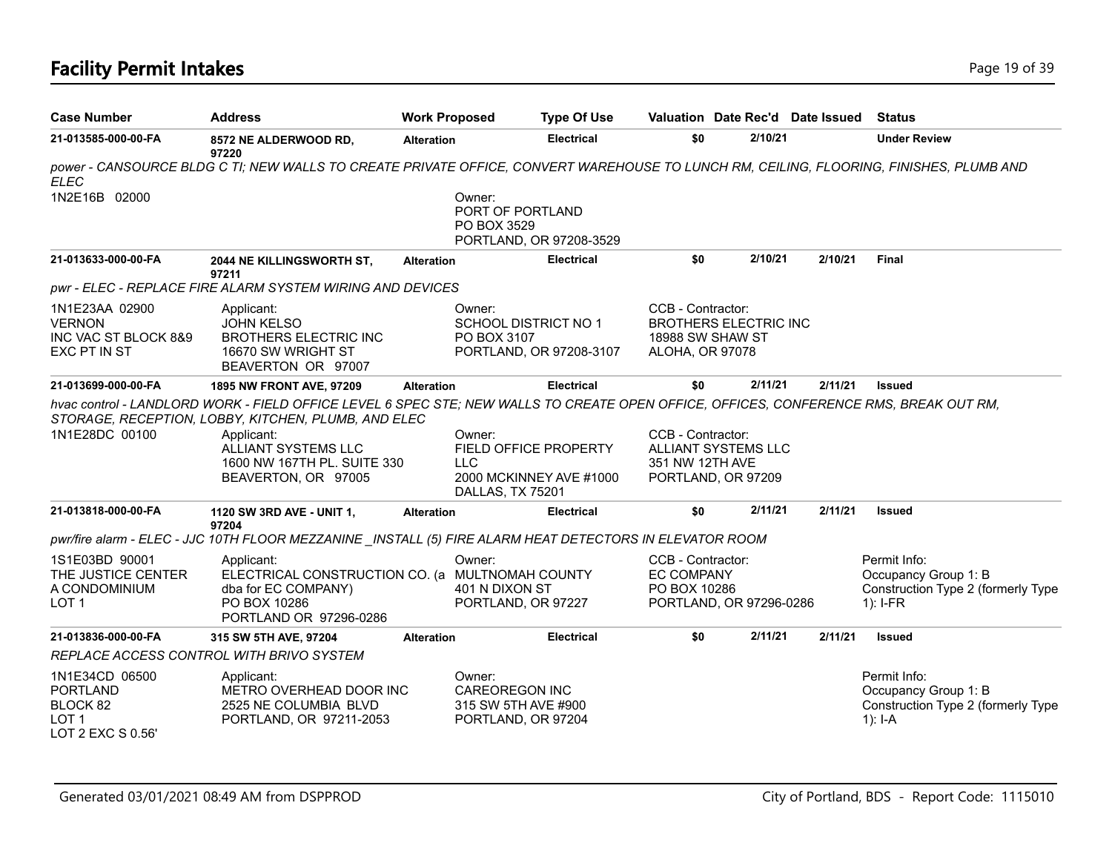# **Facility Permit Intakes** Page 19 of 39

| <b>Case Number</b>                                                                     | <b>Address</b>                                                                                                                                                                                                                                                                          | <b>Work Proposed</b> |                                                                              | <b>Type Of Use</b>                                      |                                                          | Valuation Date Rec'd Date Issued                 |         | Status                                                                                   |
|----------------------------------------------------------------------------------------|-----------------------------------------------------------------------------------------------------------------------------------------------------------------------------------------------------------------------------------------------------------------------------------------|----------------------|------------------------------------------------------------------------------|---------------------------------------------------------|----------------------------------------------------------|--------------------------------------------------|---------|------------------------------------------------------------------------------------------|
| 21-013585-000-00-FA                                                                    | 8572 NE ALDERWOOD RD,<br>97220                                                                                                                                                                                                                                                          | <b>Alteration</b>    |                                                                              | <b>Electrical</b>                                       | \$0                                                      | 2/10/21                                          |         | <b>Under Review</b>                                                                      |
| <b>ELEC</b>                                                                            | power - CANSOURCE BLDG C TI; NEW WALLS TO CREATE PRIVATE OFFICE, CONVERT WAREHOUSE TO LUNCH RM, CEILING, FLOORING, FINISHES, PLUMB AND                                                                                                                                                  |                      |                                                                              |                                                         |                                                          |                                                  |         |                                                                                          |
| 1N2E16B 02000                                                                          |                                                                                                                                                                                                                                                                                         |                      | Owner:<br>PORT OF PORTLAND<br>PO BOX 3529                                    | PORTLAND, OR 97208-3529                                 |                                                          |                                                  |         |                                                                                          |
| 21-013633-000-00-FA                                                                    | 2044 NE KILLINGSWORTH ST,<br>97211                                                                                                                                                                                                                                                      | <b>Alteration</b>    |                                                                              | <b>Electrical</b>                                       | \$0                                                      | 2/10/21                                          | 2/10/21 | <b>Final</b>                                                                             |
|                                                                                        | pwr - ELEC - REPLACE FIRE ALARM SYSTEM WIRING AND DEVICES                                                                                                                                                                                                                               |                      |                                                                              |                                                         |                                                          |                                                  |         |                                                                                          |
| 1N1E23AA 02900<br><b>VERNON</b><br>INC VAC ST BLOCK 8&9<br>EXC PT IN ST                | Applicant:<br><b>JOHN KELSO</b><br><b>BROTHERS ELECTRIC INC</b><br>16670 SW WRIGHT ST<br>BEAVERTON OR 97007                                                                                                                                                                             |                      | Owner:<br><b>SCHOOL DISTRICT NO 1</b><br>PO BOX 3107                         | PORTLAND, OR 97208-3107                                 | CCB - Contractor:<br>18988 SW SHAW ST<br>ALOHA, OR 97078 | <b>BROTHERS ELECTRIC INC</b>                     |         |                                                                                          |
| 21-013699-000-00-FA                                                                    | 1895 NW FRONT AVE, 97209                                                                                                                                                                                                                                                                | <b>Alteration</b>    |                                                                              | <b>Electrical</b>                                       | \$0                                                      | 2/11/21                                          | 2/11/21 | <b>Issued</b>                                                                            |
| 1N1E28DC 00100                                                                         | hvac control - LANDLORD WORK - FIELD OFFICE LEVEL 6 SPEC STE; NEW WALLS TO CREATE OPEN OFFICE, OFFICES, CONFERENCE RMS, BREAK OUT RM,<br>STORAGE, RECEPTION, LOBBY, KITCHEN, PLUMB, AND ELEC<br>Applicant:<br>ALLIANT SYSTEMS LLC<br>1600 NW 167TH PL. SUITE 330<br>BEAVERTON, OR 97005 |                      | Owner:<br><b>LLC</b><br>DALLAS, TX 75201                                     | <b>FIELD OFFICE PROPERTY</b><br>2000 MCKINNEY AVE #1000 | CCB - Contractor:<br>351 NW 12TH AVE                     | <b>ALLIANT SYSTEMS LLC</b><br>PORTLAND, OR 97209 |         |                                                                                          |
| 21-013818-000-00-FA                                                                    | 1120 SW 3RD AVE - UNIT 1,<br>97204                                                                                                                                                                                                                                                      | <b>Alteration</b>    |                                                                              | <b>Electrical</b>                                       | \$0                                                      | 2/11/21                                          | 2/11/21 | Issued                                                                                   |
|                                                                                        | pwr/fire alarm - ELEC - JJC 10TH FLOOR MEZZANINE _INSTALL (5) FIRE ALARM HEAT DETECTORS IN ELEVATOR ROOM                                                                                                                                                                                |                      |                                                                              |                                                         |                                                          |                                                  |         |                                                                                          |
| 1S1E03BD 90001<br>THE JUSTICE CENTER<br>A CONDOMINIUM<br>LOT <sub>1</sub>              | Applicant:<br>ELECTRICAL CONSTRUCTION CO. (a MULTNOMAH COUNTY<br>dba for EC COMPANY)<br>PO BOX 10286<br>PORTLAND OR 97296-0286                                                                                                                                                          |                      | Owner:<br>401 N DIXON ST<br>PORTLAND, OR 97227                               |                                                         | CCB - Contractor:<br><b>EC COMPANY</b><br>PO BOX 10286   | PORTLAND, OR 97296-0286                          |         | Permit Info:<br>Occupancy Group 1: B<br>Construction Type 2 (formerly Type<br>$1$ : I-FR |
| 21-013836-000-00-FA                                                                    | 315 SW 5TH AVE, 97204                                                                                                                                                                                                                                                                   | <b>Alteration</b>    |                                                                              | <b>Electrical</b>                                       | \$0                                                      | 2/11/21                                          | 2/11/21 | <b>Issued</b>                                                                            |
|                                                                                        | REPLACE ACCESS CONTROL WITH BRIVO SYSTEM                                                                                                                                                                                                                                                |                      |                                                                              |                                                         |                                                          |                                                  |         |                                                                                          |
| 1N1E34CD 06500<br><b>PORTLAND</b><br>BLOCK 82<br>LOT <sub>1</sub><br>LOT 2 EXC S 0.56' | Applicant:<br>METRO OVERHEAD DOOR INC<br>2525 NE COLUMBIA BLVD<br>PORTLAND, OR 97211-2053                                                                                                                                                                                               |                      | Owner:<br><b>CAREOREGON INC</b><br>315 SW 5TH AVE #900<br>PORTLAND, OR 97204 |                                                         |                                                          |                                                  |         | Permit Info:<br>Occupancy Group 1: B<br>Construction Type 2 (formerly Type<br>$1$ : I-A  |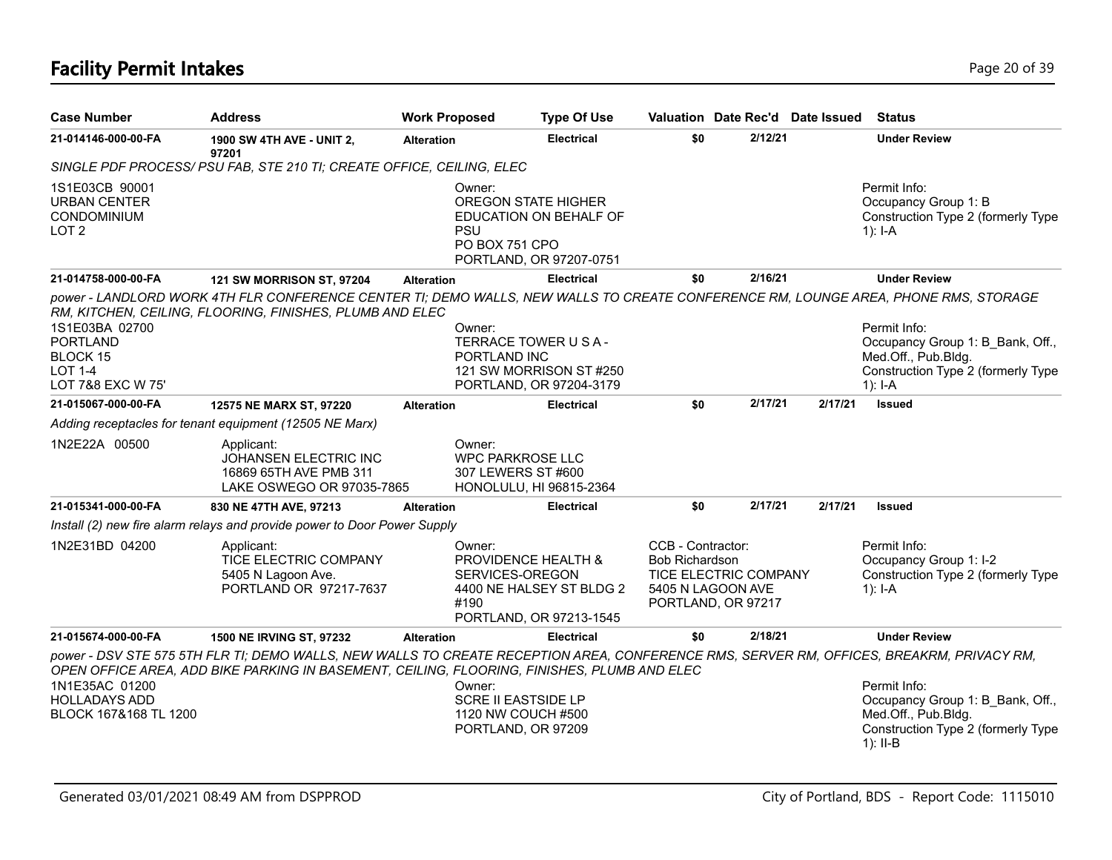# **Facility Permit Intakes** Page 20 of 39

| <b>Case Number</b>                                                                          | <b>Address</b>                                                                                                                                                                                                                          | <b>Work Proposed</b> |                                                                                    | <b>Type Of Use</b>                                  | Valuation Date Rec'd Date Issued                                                                                      |         |         |         | <b>Status</b>                                                                                                               |
|---------------------------------------------------------------------------------------------|-----------------------------------------------------------------------------------------------------------------------------------------------------------------------------------------------------------------------------------------|----------------------|------------------------------------------------------------------------------------|-----------------------------------------------------|-----------------------------------------------------------------------------------------------------------------------|---------|---------|---------|-----------------------------------------------------------------------------------------------------------------------------|
| 21-014146-000-00-FA                                                                         | 1900 SW 4TH AVE - UNIT 2,<br>97201                                                                                                                                                                                                      | <b>Alteration</b>    |                                                                                    | <b>Electrical</b>                                   | \$0                                                                                                                   |         | 2/12/21 |         | <b>Under Review</b>                                                                                                         |
|                                                                                             | SINGLE PDF PROCESS/ PSU FAB, STE 210 TI; CREATE OFFICE, CEILING, ELEC                                                                                                                                                                   |                      |                                                                                    |                                                     |                                                                                                                       |         |         |         |                                                                                                                             |
| 1S1E03CB 90001<br><b>URBAN CENTER</b><br>CONDOMINIUM<br>LOT <sub>2</sub>                    |                                                                                                                                                                                                                                         |                      | Owner:<br><b>OREGON STATE HIGHER</b><br><b>PSU</b><br>PO BOX 751 CPO               | EDUCATION ON BEHALF OF<br>PORTLAND, OR 97207-0751   |                                                                                                                       |         |         |         | Permit Info:<br>Occupancy Group 1: B<br>Construction Type 2 (formerly Type<br>$1$ : I-A                                     |
| 21-014758-000-00-FA                                                                         | <b>121 SW MORRISON ST, 97204</b>                                                                                                                                                                                                        | <b>Alteration</b>    |                                                                                    | <b>Electrical</b>                                   | \$0                                                                                                                   |         | 2/16/21 |         | <b>Under Review</b>                                                                                                         |
| 1S1E03BA 02700<br><b>PORTLAND</b><br><b>BLOCK 15</b><br><b>LOT 1-4</b><br>LOT 7&8 EXC W 75' | power - LANDLORD WORK 4TH FLR CONFERENCE CENTER TI; DEMO WALLS, NEW WALLS TO CREATE CONFERENCE RM, LOUNGE AREA, PHONE RMS, STORAGE<br>RM, KITCHEN, CEILING, FLOORING, FINISHES, PLUMB AND ELEC                                          |                      | Owner:<br>TERRACE TOWER U S A -<br>PORTLAND INC                                    | 121 SW MORRISON ST#250<br>PORTLAND, OR 97204-3179   |                                                                                                                       |         |         |         | Permit Info:<br>Occupancy Group 1: B_Bank, Off.,<br>Med.Off., Pub.Bldg.<br>Construction Type 2 (formerly Type<br>$1$ : I-A  |
| 21-015067-000-00-FA                                                                         | 12575 NE MARX ST, 97220                                                                                                                                                                                                                 | <b>Alteration</b>    |                                                                                    | <b>Electrical</b>                                   | \$0                                                                                                                   |         | 2/17/21 | 2/17/21 | <b>Issued</b>                                                                                                               |
|                                                                                             | Adding receptacles for tenant equipment (12505 NE Marx)                                                                                                                                                                                 |                      |                                                                                    |                                                     |                                                                                                                       |         |         |         |                                                                                                                             |
| 1N2E22A 00500                                                                               | Applicant:<br>JOHANSEN ELECTRIC INC<br>16869 65TH AVE PMB 311<br>LAKE OSWEGO OR 97035-7865                                                                                                                                              |                      | Owner:<br><b>WPC PARKROSE LLC</b><br>307 LEWERS ST #600<br>HONOLULU, HI 96815-2364 |                                                     |                                                                                                                       |         |         |         |                                                                                                                             |
| 21-015341-000-00-FA                                                                         | 830 NE 47TH AVE, 97213                                                                                                                                                                                                                  | <b>Alteration</b>    |                                                                                    | <b>Electrical</b>                                   | \$0                                                                                                                   |         | 2/17/21 | 2/17/21 | <b>Issued</b>                                                                                                               |
|                                                                                             | Install (2) new fire alarm relays and provide power to Door Power Supply                                                                                                                                                                |                      |                                                                                    |                                                     |                                                                                                                       |         |         |         |                                                                                                                             |
| 1N2E31BD 04200                                                                              | Applicant:<br>TICE ELECTRIC COMPANY<br>5405 N Lagoon Ave.<br>PORTLAND OR 97217-7637                                                                                                                                                     |                      | Owner:<br>PROVIDENCE HEALTH &<br>SERVICES-OREGON<br>#190                           | 4400 NE HALSEY ST BLDG 2<br>PORTLAND, OR 97213-1545 | CCB - Contractor:<br><b>Bob Richardson</b><br><b>TICE ELECTRIC COMPANY</b><br>5405 N LAGOON AVE<br>PORTLAND, OR 97217 |         |         |         | Permit Info:<br>Occupancy Group 1: I-2<br>Construction Type 2 (formerly Type<br>$1$ : I-A                                   |
| 21-015674-000-00-FA                                                                         | 1500 NE IRVING ST, 97232                                                                                                                                                                                                                | <b>Alteration</b>    |                                                                                    | <b>Electrical</b>                                   | \$0                                                                                                                   | 2/18/21 |         |         | <b>Under Review</b>                                                                                                         |
| 1N1E35AC 01200<br><b>HOLLADAYS ADD</b><br>BLOCK 167&168 TL 1200                             | power - DSV STE 575 5TH FLR TI; DEMO WALLS, NEW WALLS TO CREATE RECEPTION AREA, CONFERENCE RMS, SERVER RM, OFFICES, BREAKRM, PRIVACY RM,<br>OPEN OFFICE AREA, ADD BIKE PARKING IN BASEMENT, CEILING, FLOORING, FINISHES, PLUMB AND ELEC |                      | Owner:<br><b>SCRE II EASTSIDE LP</b><br>1120 NW COUCH #500<br>PORTLAND, OR 97209   |                                                     |                                                                                                                       |         |         |         | Permit Info:<br>Occupancy Group 1: B Bank, Off.,<br>Med.Off., Pub.Bldg.<br>Construction Type 2 (formerly Type<br>$1$ : II-B |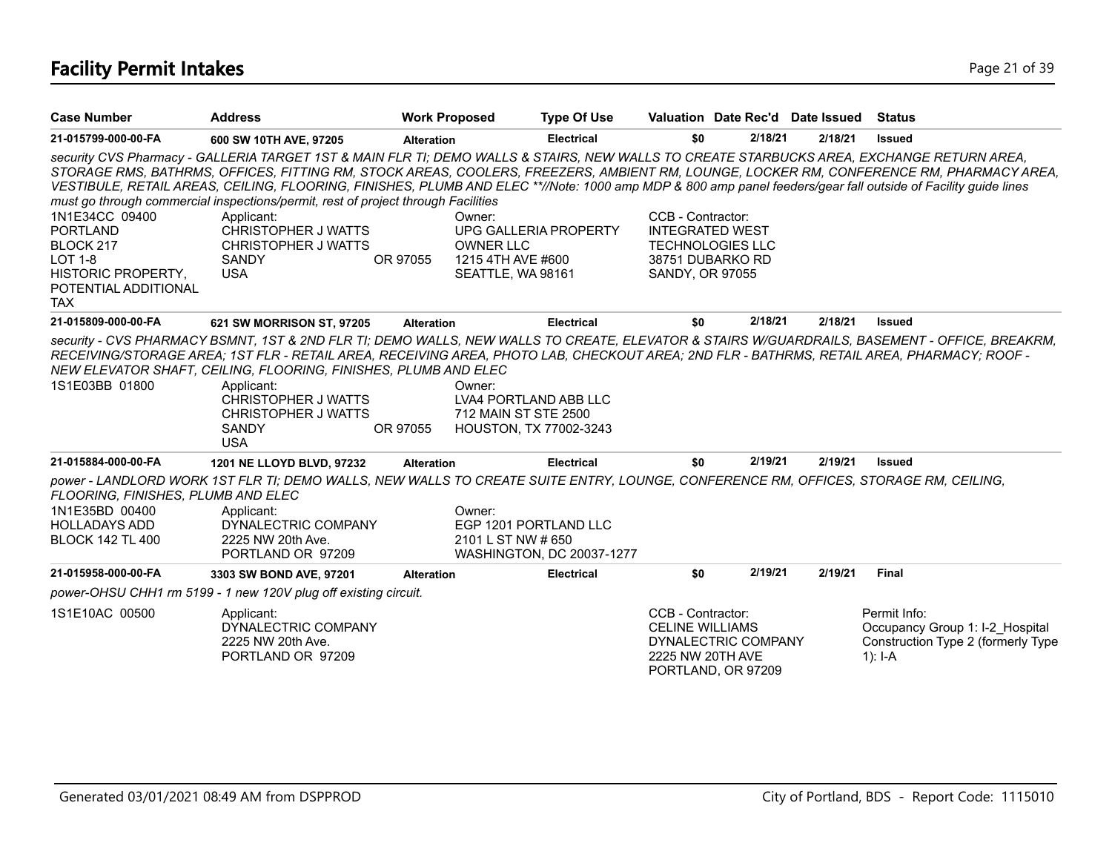# **Facility Permit Intakes** Page 21 of 39

| <b>Case Number</b>                                                                                                                  | <b>Address</b>                                                                                                                                                                                                                                                                                                                                                                                  | <b>Work Proposed</b>                                                                                 | <b>Type Of Use</b>        | Valuation Date Rec'd Date Issued                                                                              |         |         | Status                                                                                                                                        |
|-------------------------------------------------------------------------------------------------------------------------------------|-------------------------------------------------------------------------------------------------------------------------------------------------------------------------------------------------------------------------------------------------------------------------------------------------------------------------------------------------------------------------------------------------|------------------------------------------------------------------------------------------------------|---------------------------|---------------------------------------------------------------------------------------------------------------|---------|---------|-----------------------------------------------------------------------------------------------------------------------------------------------|
| 21-015799-000-00-FA                                                                                                                 | 600 SW 10TH AVE, 97205                                                                                                                                                                                                                                                                                                                                                                          | <b>Alteration</b>                                                                                    | <b>Electrical</b>         | \$0                                                                                                           | 2/18/21 | 2/18/21 | <b>Issued</b>                                                                                                                                 |
|                                                                                                                                     | security CVS Pharmacy - GALLERIA TARGET 1ST & MAIN FLR TI; DEMO WALLS & STAIRS, NEW WALLS TO CREATE STARBUCKS AREA, EXCHANGE RETURN AREA,<br>VESTIBULE, RETAIL AREAS, CEILING, FLOORING, FINISHES, PLUMB AND ELEC **//Note: 1000 amp MDP & 800 amp panel feeders/gear fall outside of Facility guide lines<br>must go through commercial inspections/permit, rest of project through Facilities |                                                                                                      |                           |                                                                                                               |         |         | STORAGE RMS, BATHRMS, OFFICES, FITTING RM, STOCK AREAS, COOLERS, FREEZERS, AMBIENT RM, LOUNGE, LOCKER RM, CONFERENCE RM, PHARMACY AREA,       |
| 1N1E34CC 09400<br><b>PORTLAND</b><br>BLOCK 217<br><b>LOT 1-8</b><br><b>HISTORIC PROPERTY,</b><br>POTENTIAL ADDITIONAL<br><b>TAX</b> | Applicant:<br><b>CHRISTOPHER J WATTS</b><br>CHRISTOPHER J WATTS<br><b>SANDY</b><br><b>USA</b>                                                                                                                                                                                                                                                                                                   | Owner:<br><b>OWNER LLC</b><br>OR 97055<br>1215 4TH AVE #600<br>SEATTLE, WA 98161                     | UPG GALLERIA PROPERTY     | CCB - Contractor:<br><b>INTEGRATED WEST</b><br><b>TECHNOLOGIES LLC</b><br>38751 DUBARKO RD<br>SANDY, OR 97055 |         |         |                                                                                                                                               |
| 21-015809-000-00-FA                                                                                                                 | 621 SW MORRISON ST, 97205                                                                                                                                                                                                                                                                                                                                                                       | <b>Alteration</b>                                                                                    | <b>Electrical</b>         | \$0                                                                                                           | 2/18/21 | 2/18/21 | <b>Issued</b>                                                                                                                                 |
| 1S1E03BB 01800                                                                                                                      | RECEIVING/STORAGE AREA; 1ST FLR - RETAIL AREA, RECEIVING AREA, PHOTO LAB, CHECKOUT AREA; 2ND FLR - BATHRMS, RETAIL AREA, PHARMACY; ROOF -<br>NEW ELEVATOR SHAFT, CEILING, FLOORING, FINISHES, PLUMB AND ELEC<br>Applicant:<br><b>CHRISTOPHER J WATTS</b><br>CHRISTOPHER J WATTS<br><b>SANDY</b><br><b>USA</b>                                                                                   | Owner:<br>LVA4 PORTLAND ABB LLC<br>712 MAIN ST STE 2500<br>OR 97055<br><b>HOUSTON, TX 77002-3243</b> |                           |                                                                                                               |         |         | security - CVS PHARMACY BSMNT, 1ST & 2ND FLR TI; DEMO WALLS, NEW WALLS TO CREATE, ELEVATOR & STAIRS W/GUARDRAILS, BASEMENT - OFFICE, BREAKRM, |
| 21-015884-000-00-FA                                                                                                                 | 1201 NE LLOYD BLVD, 97232                                                                                                                                                                                                                                                                                                                                                                       | <b>Alteration</b>                                                                                    | <b>Electrical</b>         | \$0                                                                                                           | 2/19/21 | 2/19/21 | <b>Issued</b>                                                                                                                                 |
| FLOORING, FINISHES, PLUMB AND ELEC<br>1N1E35BD 00400<br><b>HOLLADAYS ADD</b><br><b>BLOCK 142 TL 400</b>                             | power - LANDLORD WORK 1ST FLR TI; DEMO WALLS, NEW WALLS TO CREATE SUITE ENTRY, LOUNGE, CONFERENCE RM, OFFICES, STORAGE RM, CEILING,<br>Applicant:<br>DYNALECTRIC COMPANY<br>2225 NW 20th Ave.<br>PORTLAND OR 97209                                                                                                                                                                              | Owner:<br>EGP 1201 PORTLAND LLC<br>2101 L ST NW # 650                                                | WASHINGTON, DC 20037-1277 |                                                                                                               |         |         |                                                                                                                                               |
| 21-015958-000-00-FA                                                                                                                 | 3303 SW BOND AVE, 97201                                                                                                                                                                                                                                                                                                                                                                         | <b>Alteration</b>                                                                                    | <b>Electrical</b>         | \$0                                                                                                           | 2/19/21 | 2/19/21 | Final                                                                                                                                         |
|                                                                                                                                     | power-OHSU CHH1 rm 5199 - 1 new 120V plug off existing circuit.                                                                                                                                                                                                                                                                                                                                 |                                                                                                      |                           |                                                                                                               |         |         |                                                                                                                                               |
| 1S1E10AC 00500                                                                                                                      | Applicant:<br>DYNALECTRIC COMPANY<br>2225 NW 20th Ave.<br>PORTLAND OR 97209                                                                                                                                                                                                                                                                                                                     |                                                                                                      |                           | CCB - Contractor:<br><b>CELINE WILLIAMS</b><br>DYNALECTRIC COMPANY<br>2225 NW 20TH AVE<br>PORTLAND, OR 97209  |         |         | Permit Info:<br>Occupancy Group 1: I-2 Hospital<br>Construction Type 2 (formerly Type<br>1): $I - A$                                          |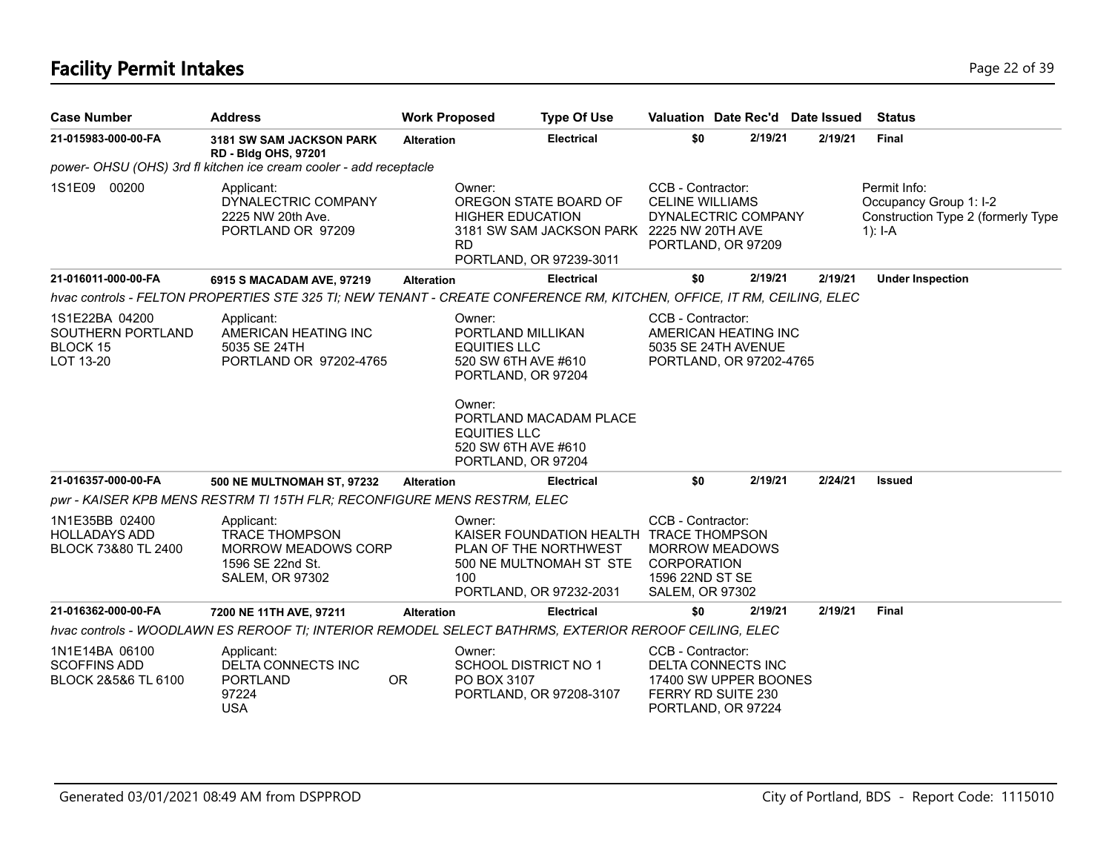# **Facility Permit Intakes** Page 22 of 39

| <b>Case Number</b>                                            | <b>Address</b>                                                                                                         | <b>Work Proposed</b>                                                                                                                            |                                                                                                                                                                               | <b>Type Of Use</b>                                                                                            | Valuation Date Rec'd Date Issued                                                                             |  |         |                                                                                             | <b>Status</b>           |
|---------------------------------------------------------------|------------------------------------------------------------------------------------------------------------------------|-------------------------------------------------------------------------------------------------------------------------------------------------|-------------------------------------------------------------------------------------------------------------------------------------------------------------------------------|---------------------------------------------------------------------------------------------------------------|--------------------------------------------------------------------------------------------------------------|--|---------|---------------------------------------------------------------------------------------------|-------------------------|
| 21-015983-000-00-FA                                           | 3181 SW SAM JACKSON PARK<br><b>RD - Bldg OHS, 97201</b>                                                                | <b>Alteration</b>                                                                                                                               |                                                                                                                                                                               | <b>Electrical</b>                                                                                             | \$0                                                                                                          |  | 2/19/21 | 2/19/21                                                                                     | <b>Final</b>            |
|                                                               | power- OHSU (OHS) 3rd fl kitchen ice cream cooler - add receptacle                                                     |                                                                                                                                                 |                                                                                                                                                                               |                                                                                                               |                                                                                                              |  |         |                                                                                             |                         |
| 1S1E09<br>00200                                               | Applicant:<br>DYNALECTRIC COMPANY<br>2225 NW 20th Ave.<br>PORTLAND OR 97209                                            | Owner:<br>OREGON STATE BOARD OF<br><b>HIGHER EDUCATION</b><br>3181 SW SAM JACKSON PARK 2225 NW 20TH AVE<br><b>RD</b><br>PORTLAND, OR 97239-3011 |                                                                                                                                                                               | CCB - Contractor:<br><b>CELINE WILLIAMS</b><br>DYNALECTRIC COMPANY<br>PORTLAND, OR 97209                      |                                                                                                              |  |         | Permit Info:<br>Occupancy Group 1: I-2<br>Construction Type 2 (formerly Type<br>1): $I - A$ |                         |
| 21-016011-000-00-FA                                           | 6915 S MACADAM AVE, 97219                                                                                              | <b>Alteration</b>                                                                                                                               |                                                                                                                                                                               | <b>Electrical</b>                                                                                             | \$0                                                                                                          |  | 2/19/21 | 2/19/21                                                                                     | <b>Under Inspection</b> |
|                                                               | hvac controls - FELTON PROPERTIES STE 325 TI; NEW TENANT - CREATE CONFERENCE RM, KITCHEN, OFFICE, IT RM, CEILING, ELEC |                                                                                                                                                 |                                                                                                                                                                               |                                                                                                               |                                                                                                              |  |         |                                                                                             |                         |
| 1S1E22BA 04200<br>SOUTHERN PORTLAND<br>BLOCK 15<br>LOT 13-20  | Applicant:<br>AMERICAN HEATING INC<br>5035 SE 24TH<br>PORTLAND OR 97202-4765                                           |                                                                                                                                                 | Owner:<br>PORTLAND MILLIKAN<br><b>EQUITIES LLC</b><br>520 SW 6TH AVE #610<br>PORTLAND, OR 97204<br>Owner:<br><b>EQUITIES LLC</b><br>520 SW 6TH AVE #610<br>PORTLAND, OR 97204 | PORTLAND MACADAM PLACE                                                                                        | CCB - Contractor:<br>AMERICAN HEATING INC<br>5035 SE 24TH AVENUE<br>PORTLAND, OR 97202-4765                  |  |         |                                                                                             |                         |
| 21-016357-000-00-FA                                           | <b>500 NE MULTNOMAH ST, 97232</b>                                                                                      | <b>Alteration</b>                                                                                                                               |                                                                                                                                                                               | <b>Electrical</b>                                                                                             | \$0                                                                                                          |  | 2/19/21 | 2/24/21                                                                                     | <b>Issued</b>           |
|                                                               | pwr - KAISER KPB MENS RESTRM TI 15TH FLR; RECONFIGURE MENS RESTRM, ELEC                                                |                                                                                                                                                 |                                                                                                                                                                               |                                                                                                               |                                                                                                              |  |         |                                                                                             |                         |
| 1N1E35BB 02400<br><b>HOLLADAYS ADD</b><br>BLOCK 73&80 TL 2400 | Applicant:<br><b>TRACE THOMPSON</b><br><b>MORROW MEADOWS CORP</b><br>1596 SE 22nd St.<br><b>SALEM, OR 97302</b>        | Owner:<br>KAISER FOUNDATION HEALTH TRACE THOMPSON<br>PLAN OF THE NORTHWEST<br>500 NE MULTNOMAH ST STE<br>100<br>PORTLAND, OR 97232-2031         |                                                                                                                                                                               | CCB - Contractor:<br><b>MORROW MEADOWS</b><br><b>CORPORATION</b><br>1596 22ND ST SE<br><b>SALEM, OR 97302</b> |                                                                                                              |  |         |                                                                                             |                         |
| 21-016362-000-00-FA                                           | 7200 NE 11TH AVE, 97211                                                                                                | <b>Alteration</b>                                                                                                                               |                                                                                                                                                                               | <b>Electrical</b>                                                                                             | \$0                                                                                                          |  | 2/19/21 | 2/19/21                                                                                     | <b>Final</b>            |
|                                                               | hvac controls - WOODLAWN ES REROOF TI; INTERIOR REMODEL SELECT BATHRMS, EXTERIOR REROOF CEILING, ELEC                  |                                                                                                                                                 |                                                                                                                                                                               |                                                                                                               |                                                                                                              |  |         |                                                                                             |                         |
| 1N1E14BA 06100<br><b>SCOFFINS ADD</b><br>BLOCK 2&5&6 TL 6100  | Applicant:<br>DELTA CONNECTS INC<br><b>PORTLAND</b><br>97224<br><b>USA</b>                                             | <b>OR</b>                                                                                                                                       | Owner:<br>SCHOOL DISTRICT NO 1<br>PO BOX 3107<br>PORTLAND, OR 97208-3107                                                                                                      |                                                                                                               | CCB - Contractor:<br>DELTA CONNECTS INC<br>17400 SW UPPER BOONES<br>FERRY RD SUITE 230<br>PORTLAND, OR 97224 |  |         |                                                                                             |                         |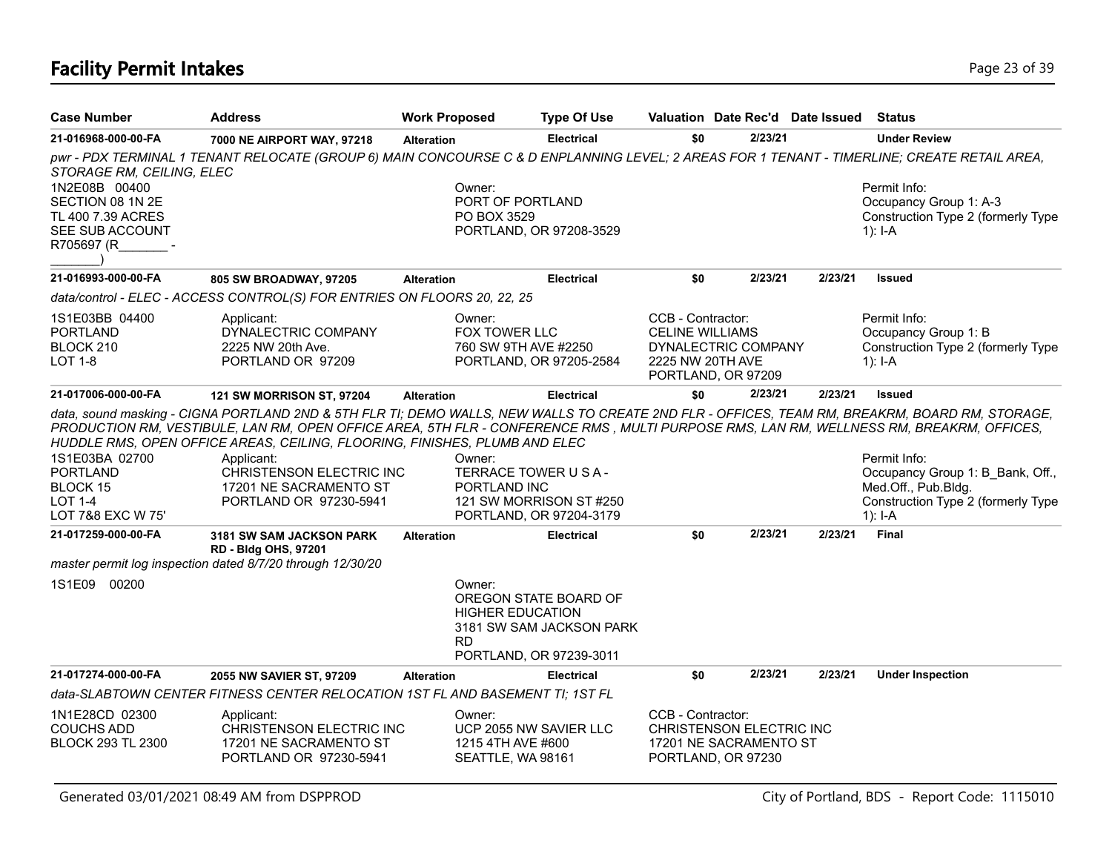# **Facility Permit Intakes** Page 23 of 39

| <b>Case Number</b>                                                                      | <b>Address</b>                                                                                                                                                                                                                                                                                                                                                                                                                                                        | <b>Work Proposed</b> | <b>Type Of Use</b>                                                                                      |                                                                 | Valuation Date Rec'd Date Issued                                         |         | <b>Status</b>                                                                                                              |
|-----------------------------------------------------------------------------------------|-----------------------------------------------------------------------------------------------------------------------------------------------------------------------------------------------------------------------------------------------------------------------------------------------------------------------------------------------------------------------------------------------------------------------------------------------------------------------|----------------------|---------------------------------------------------------------------------------------------------------|-----------------------------------------------------------------|--------------------------------------------------------------------------|---------|----------------------------------------------------------------------------------------------------------------------------|
| 21-016968-000-00-FA                                                                     | 7000 NE AIRPORT WAY, 97218                                                                                                                                                                                                                                                                                                                                                                                                                                            | <b>Alteration</b>    | Electrical                                                                                              | \$0                                                             | 2/23/21                                                                  |         | <b>Under Review</b>                                                                                                        |
| STORAGE RM, CEILING, ELEC                                                               | pwr - PDX TERMINAL 1 TENANT RELOCATE (GROUP 6) MAIN CONCOURSE C & D ENPLANNING LEVEL; 2 AREAS FOR 1 TENANT - TIMERLINE; CREATE RETAIL AREA,                                                                                                                                                                                                                                                                                                                           |                      |                                                                                                         |                                                                 |                                                                          |         |                                                                                                                            |
| 1N2E08B 00400<br>SECTION 08 1N 2E<br>TL 400 7.39 ACRES<br>SEE SUB ACCOUNT<br>R705697 (R |                                                                                                                                                                                                                                                                                                                                                                                                                                                                       | Owner:               | PORT OF PORTLAND<br>PO BOX 3529<br>PORTLAND, OR 97208-3529                                              |                                                                 |                                                                          |         | Permit Info:<br>Occupancy Group 1: A-3<br>Construction Type 2 (formerly Type<br>1): $I - A$                                |
| 21-016993-000-00-FA                                                                     | 805 SW BROADWAY, 97205                                                                                                                                                                                                                                                                                                                                                                                                                                                | <b>Alteration</b>    | <b>Electrical</b>                                                                                       | \$0                                                             | 2/23/21                                                                  | 2/23/21 | <b>Issued</b>                                                                                                              |
|                                                                                         | data/control - ELEC - ACCESS CONTROL(S) FOR ENTRIES ON FLOORS 20, 22, 25                                                                                                                                                                                                                                                                                                                                                                                              |                      |                                                                                                         |                                                                 |                                                                          |         |                                                                                                                            |
| 1S1E03BB 04400<br><b>PORTLAND</b><br>BLOCK 210<br>LOT 1-8                               | Applicant:<br>DYNALECTRIC COMPANY<br>2225 NW 20th Ave.<br>PORTLAND OR 97209                                                                                                                                                                                                                                                                                                                                                                                           | Owner:               | FOX TOWER LLC<br>760 SW 9TH AVE #2250<br>PORTLAND, OR 97205-2584                                        | CCB - Contractor:<br><b>CELINE WILLIAMS</b><br>2225 NW 20TH AVE | DYNALECTRIC COMPANY<br>PORTLAND, OR 97209                                |         | Permit Info:<br>Occupancy Group 1: B<br>Construction Type 2 (formerly Type<br>$1$ : I-A                                    |
| 21-017006-000-00-FA                                                                     | <b>121 SW MORRISON ST, 97204</b>                                                                                                                                                                                                                                                                                                                                                                                                                                      | <b>Alteration</b>    | <b>Electrical</b>                                                                                       | \$0                                                             | 2/23/21                                                                  | 2/23/21 | <b>Issued</b>                                                                                                              |
| 1S1E03BA 02700<br><b>PORTLAND</b><br><b>BLOCK 15</b><br>LOT 1-4<br>LOT 7&8 EXC W 75'    | data, sound masking - CIGNA PORTLAND 2ND & 5TH FLR TI; DEMO WALLS, NEW WALLS TO CREATE 2ND FLR - OFFICES, TEAM RM, BREAKRM, BOARD RM, STORAGE,<br>PRODUCTION RM, VESTIBULE, LAN RM, OPEN OFFICE AREA, 5TH FLR - CONFERENCE RMS, MULTI PURPOSE RMS, LAN RM, WELLNESS RM, BREAKRM, OFFICES,<br>HUDDLE RMS, OPEN OFFICE AREAS, CEILING, FLOORING, FINISHES, PLUMB AND ELEC<br>Applicant:<br>CHRISTENSON ELECTRIC INC<br>17201 NE SACRAMENTO ST<br>PORTLAND OR 97230-5941 | Owner:               | TERRACE TOWER U S A -<br>PORTLAND INC<br>121 SW MORRISON ST #250<br>PORTLAND, OR 97204-3179             |                                                                 |                                                                          |         | Permit Info:<br>Occupancy Group 1: B Bank, Off.,<br>Med.Off., Pub.Bldg.<br>Construction Type 2 (formerly Type<br>$1$ : I-A |
| 21-017259-000-00-FA                                                                     | 3181 SW SAM JACKSON PARK<br><b>RD - Bldg OHS, 97201</b>                                                                                                                                                                                                                                                                                                                                                                                                               | <b>Alteration</b>    | <b>Electrical</b>                                                                                       | \$0                                                             | 2/23/21                                                                  | 2/23/21 | Final                                                                                                                      |
|                                                                                         | master permit log inspection dated 8/7/20 through 12/30/20                                                                                                                                                                                                                                                                                                                                                                                                            |                      |                                                                                                         |                                                                 |                                                                          |         |                                                                                                                            |
| 1S1E09 00200                                                                            |                                                                                                                                                                                                                                                                                                                                                                                                                                                                       | Owner:<br><b>RD</b>  | OREGON STATE BOARD OF<br><b>HIGHER EDUCATION</b><br>3181 SW SAM JACKSON PARK<br>PORTLAND, OR 97239-3011 |                                                                 |                                                                          |         |                                                                                                                            |
| 21-017274-000-00-FA                                                                     | 2055 NW SAVIER ST, 97209                                                                                                                                                                                                                                                                                                                                                                                                                                              | <b>Alteration</b>    | <b>Electrical</b>                                                                                       | \$0                                                             | 2/23/21                                                                  | 2/23/21 | <b>Under Inspection</b>                                                                                                    |
|                                                                                         | data-SLABTOWN CENTER FITNESS CENTER RELOCATION 1ST FL AND BASEMENT TI; 1ST FL                                                                                                                                                                                                                                                                                                                                                                                         |                      |                                                                                                         |                                                                 |                                                                          |         |                                                                                                                            |
| 1N1E28CD 02300<br><b>COUCHS ADD</b><br><b>BLOCK 293 TL 2300</b>                         | Applicant:<br>CHRISTENSON ELECTRIC INC<br>17201 NE SACRAMENTO ST<br>PORTLAND OR 97230-5941                                                                                                                                                                                                                                                                                                                                                                            | Owner:               | UCP 2055 NW SAVIER LLC<br>1215 4TH AVE #600<br>SEATTLE, WA 98161                                        | CCB - Contractor:                                               | CHRISTENSON ELECTRIC INC<br>17201 NE SACRAMENTO ST<br>PORTLAND, OR 97230 |         |                                                                                                                            |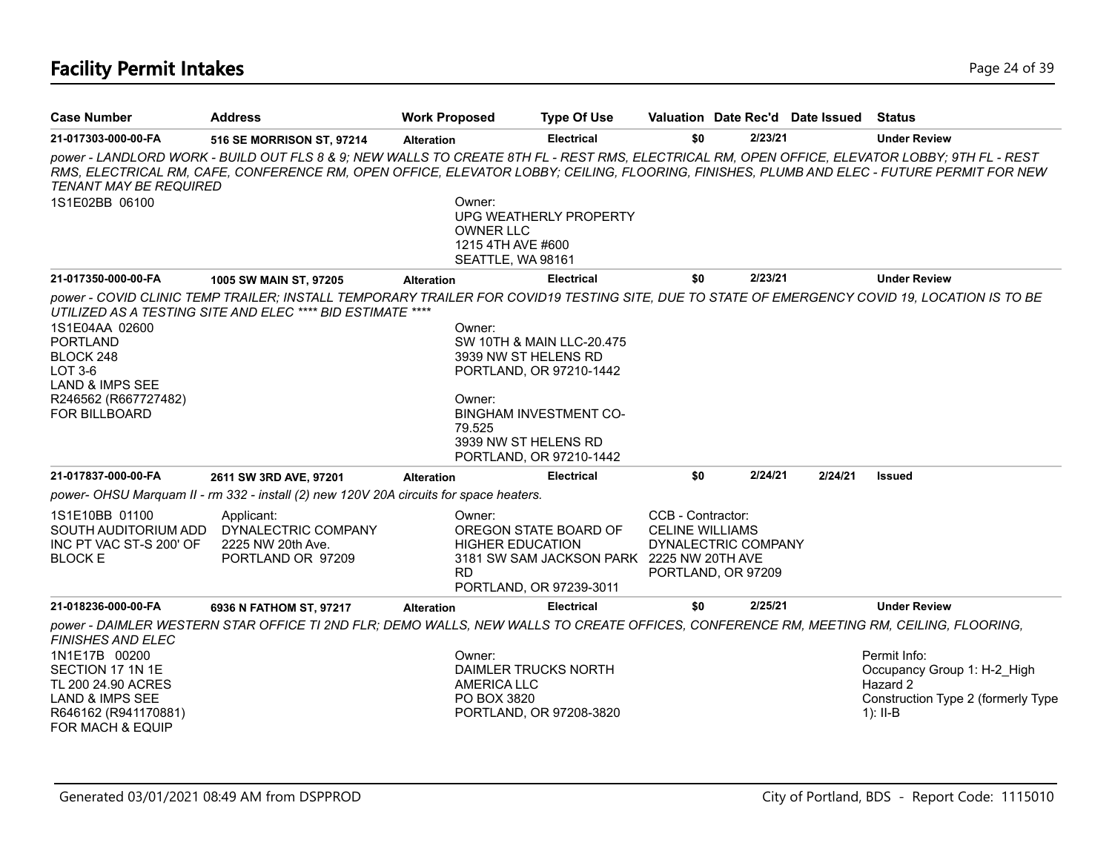| <b>Case Number</b>                                                                                                                                            | <b>Address</b>                                                                                                                                                                                                                                                                             | <b>Work Proposed</b>                                                 | <b>Type Of Use</b>                                                                                                                                               |                                             |                                           | Valuation Date Rec'd Date Issued | Status                                                                                                      |
|---------------------------------------------------------------------------------------------------------------------------------------------------------------|--------------------------------------------------------------------------------------------------------------------------------------------------------------------------------------------------------------------------------------------------------------------------------------------|----------------------------------------------------------------------|------------------------------------------------------------------------------------------------------------------------------------------------------------------|---------------------------------------------|-------------------------------------------|----------------------------------|-------------------------------------------------------------------------------------------------------------|
| 21-017303-000-00-FA                                                                                                                                           | 516 SE MORRISON ST, 97214                                                                                                                                                                                                                                                                  | <b>Alteration</b>                                                    | <b>Electrical</b>                                                                                                                                                | \$0                                         | 2/23/21                                   |                                  | <b>Under Review</b>                                                                                         |
| <b>TENANT MAY BE REQUIRED</b><br>1S1E02BB 06100                                                                                                               | power - LANDLORD WORK - BUILD OUT FLS 8 & 9; NEW WALLS TO CREATE 8TH FL - REST RMS, ELECTRICAL RM, OPEN OFFICE, ELEVATOR LOBBY; 9TH FL - REST<br>RMS, ELECTRICAL RM, CAFE, CONFERENCE RM, OPEN OFFICE, ELEVATOR LOBBY; CEILING, FLOORING, FINISHES, PLUMB AND ELEC - FUTURE PERMIT FOR NEW | Owner:<br><b>OWNER LLC</b><br>1215 4TH AVE #600<br>SEATTLE, WA 98161 | UPG WEATHERLY PROPERTY                                                                                                                                           |                                             |                                           |                                  |                                                                                                             |
| 21-017350-000-00-FA                                                                                                                                           | 1005 SW MAIN ST, 97205                                                                                                                                                                                                                                                                     | <b>Alteration</b>                                                    | <b>Electrical</b>                                                                                                                                                | \$0                                         | 2/23/21                                   |                                  | <b>Under Review</b>                                                                                         |
| 1S1E04AA 02600<br><b>PORTLAND</b><br>BLOCK 248<br>LOT 3-6<br><b>LAND &amp; IMPS SEE</b><br>R246562 (R667727482)<br><b>FOR BILLBOARD</b>                       | power - COVID CLINIC TEMP TRAILER; INSTALL TEMPORARY TRAILER FOR COVID19 TESTING SITE, DUE TO STATE OF EMERGENCY COVID 19, LOCATION IS TO BE<br>UTILIZED AS A TESTING SITE AND ELEC **** BID ESTIMATE ****                                                                                 | Owner:<br>Owner:<br>79.525                                           | SW 10TH & MAIN LLC-20.475<br>3939 NW ST HELENS RD<br>PORTLAND, OR 97210-1442<br><b>BINGHAM INVESTMENT CO-</b><br>3939 NW ST HELENS RD<br>PORTLAND, OR 97210-1442 |                                             |                                           |                                  |                                                                                                             |
| 21-017837-000-00-FA                                                                                                                                           | 2611 SW 3RD AVE, 97201                                                                                                                                                                                                                                                                     | <b>Alteration</b>                                                    | <b>Electrical</b>                                                                                                                                                | \$0                                         | 2/24/21                                   | 2/24/21                          | <b>Issued</b>                                                                                               |
|                                                                                                                                                               | power- OHSU Marquam II - rm 332 - install (2) new 120V 20A circuits for space heaters.                                                                                                                                                                                                     |                                                                      |                                                                                                                                                                  |                                             |                                           |                                  |                                                                                                             |
| 1S1E10BB 01100<br>SOUTH AUDITORIUM ADD<br>INC PT VAC ST-S 200' OF<br><b>BLOCK E</b>                                                                           | Applicant:<br>DYNALECTRIC COMPANY<br>2225 NW 20th Ave.<br>PORTLAND OR 97209                                                                                                                                                                                                                | Owner:<br><b>HIGHER EDUCATION</b><br><b>RD</b>                       | OREGON STATE BOARD OF<br>3181 SW SAM JACKSON PARK 2225 NW 20TH AVE<br>PORTLAND, OR 97239-3011                                                                    | CCB - Contractor:<br><b>CELINE WILLIAMS</b> | DYNALECTRIC COMPANY<br>PORTLAND, OR 97209 |                                  |                                                                                                             |
| 21-018236-000-00-FA                                                                                                                                           | 6936 N FATHOM ST, 97217                                                                                                                                                                                                                                                                    | <b>Alteration</b>                                                    | <b>Electrical</b>                                                                                                                                                | \$0                                         | 2/25/21                                   |                                  | <b>Under Review</b>                                                                                         |
| <b>FINISHES AND ELEC</b><br>1N1E17B 00200<br>SECTION 17 1N 1E<br>TL 200 24.90 ACRES<br><b>LAND &amp; IMPS SEE</b><br>R646162 (R941170881)<br>FOR MACH & EQUIP | power - DAIMLER WESTERN STAR OFFICE TI 2ND FLR; DEMO WALLS, NEW WALLS TO CREATE OFFICES, CONFERENCE RM, MEETING RM, CEILING, FLOORING,                                                                                                                                                     | Owner:<br><b>AMERICA LLC</b><br>PO BOX 3820                          | DAIMLER TRUCKS NORTH<br>PORTLAND, OR 97208-3820                                                                                                                  |                                             |                                           |                                  | Permit Info:<br>Occupancy Group 1: H-2 High<br>Hazard 2<br>Construction Type 2 (formerly Type<br>1): $II-B$ |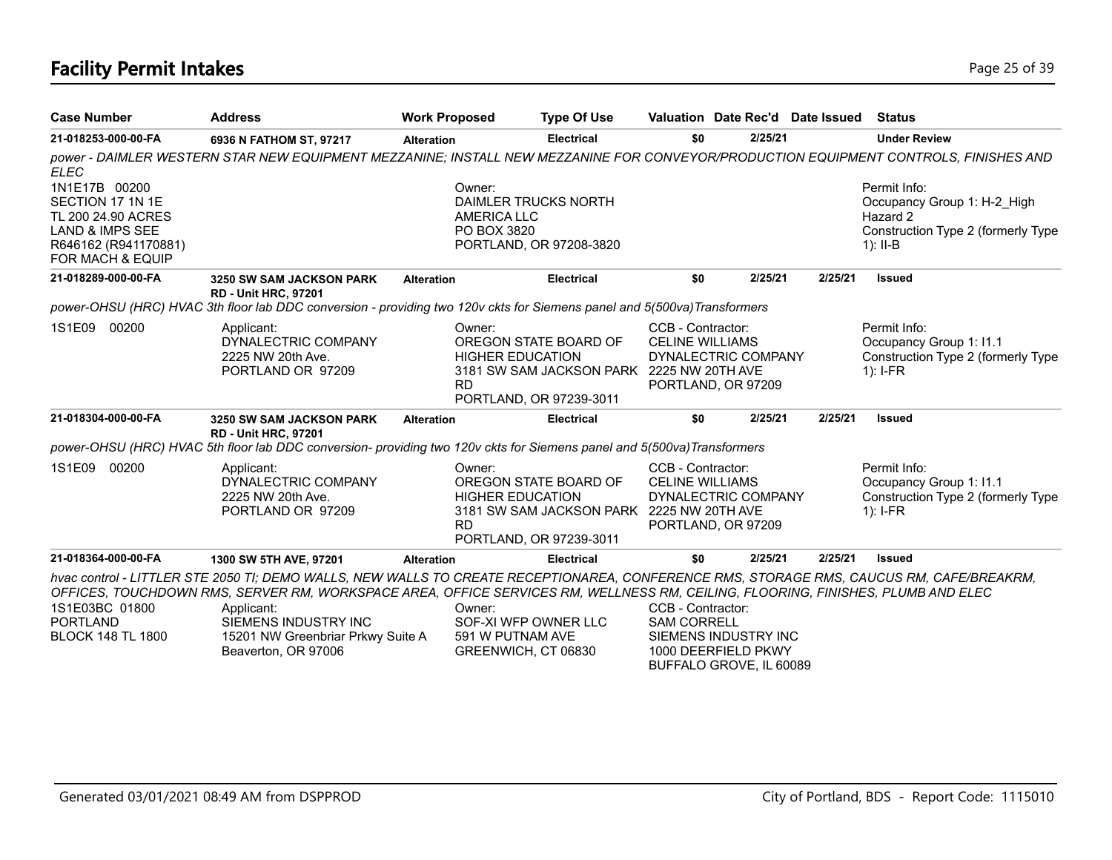# **Facility Permit Intakes** Page 25 of 39

| <b>Case Number</b>                                                                                                                           | <b>Address</b>                                                                                                                                                                                                                                                                                                                                         | <b>Work Proposed</b> |                                                                                                                                                 | <b>Type Of Use</b>                                                                            | Valuation Date Rec'd Date Issued                                                         |  |         |         | Status                                                                                                      |
|----------------------------------------------------------------------------------------------------------------------------------------------|--------------------------------------------------------------------------------------------------------------------------------------------------------------------------------------------------------------------------------------------------------------------------------------------------------------------------------------------------------|----------------------|-------------------------------------------------------------------------------------------------------------------------------------------------|-----------------------------------------------------------------------------------------------|------------------------------------------------------------------------------------------|--|---------|---------|-------------------------------------------------------------------------------------------------------------|
| 21-018253-000-00-FA                                                                                                                          | 6936 N FATHOM ST, 97217                                                                                                                                                                                                                                                                                                                                | <b>Alteration</b>    |                                                                                                                                                 | <b>Electrical</b>                                                                             | \$0                                                                                      |  | 2/25/21 |         | <b>Under Review</b>                                                                                         |
| <b>ELEC</b>                                                                                                                                  | power - DAIMLER WESTERN STAR NEW EQUIPMENT MEZZANINE; INSTALL NEW MEZZANINE FOR CONVEYOR/PRODUCTION EQUIPMENT CONTROLS, FINISHES AND                                                                                                                                                                                                                   |                      |                                                                                                                                                 |                                                                                               |                                                                                          |  |         |         |                                                                                                             |
| 1N1E17B 00200<br>SECTION 17 1N 1E<br>TL 200 24.90 ACRES<br><b>LAND &amp; IMPS SEE</b><br>R646162 (R941170881)<br><b>FOR MACH &amp; EQUIP</b> |                                                                                                                                                                                                                                                                                                                                                        |                      | Owner:<br><b>AMERICA LLC</b><br>PO BOX 3820                                                                                                     | DAIMLER TRUCKS NORTH<br>PORTLAND, OR 97208-3820                                               |                                                                                          |  |         |         | Permit Info:<br>Occupancy Group 1: H-2 High<br>Hazard 2<br>Construction Type 2 (formerly Type<br>$1$ : II-B |
| 21-018289-000-00-FA                                                                                                                          | <b>3250 SW SAM JACKSON PARK</b>                                                                                                                                                                                                                                                                                                                        | <b>Alteration</b>    |                                                                                                                                                 | <b>Electrical</b>                                                                             | \$0                                                                                      |  | 2/25/21 | 2/25/21 | <b>Issued</b>                                                                                               |
|                                                                                                                                              | <b>RD - Unit HRC, 97201</b><br>power-OHSU (HRC) HVAC 3th floor lab DDC conversion - providing two 120v ckts for Siemens panel and 5(500va) Transformers                                                                                                                                                                                                |                      |                                                                                                                                                 |                                                                                               |                                                                                          |  |         |         |                                                                                                             |
| 1S1E09 00200                                                                                                                                 | Applicant:<br>DYNALECTRIC COMPANY<br>2225 NW 20th Ave.<br>PORTLAND OR 97209                                                                                                                                                                                                                                                                            |                      | Owner:<br>OREGON STATE BOARD OF<br><b>HIGHER EDUCATION</b><br>3181 SW SAM JACKSON PARK 2225 NW 20TH AVE<br><b>RD</b><br>PORTLAND, OR 97239-3011 |                                                                                               | CCB - Contractor:<br><b>CELINE WILLIAMS</b><br>DYNALECTRIC COMPANY<br>PORTLAND, OR 97209 |  |         |         | Permit Info:<br>Occupancy Group 1: I1.1<br>Construction Type 2 (formerly Type<br>$1$ : I-FR                 |
| 21-018304-000-00-FA                                                                                                                          | 3250 SW SAM JACKSON PARK<br><b>RD - Unit HRC, 97201</b>                                                                                                                                                                                                                                                                                                | <b>Alteration</b>    |                                                                                                                                                 | <b>Electrical</b>                                                                             | \$0                                                                                      |  | 2/25/21 | 2/25/21 | <b>Issued</b>                                                                                               |
|                                                                                                                                              | power-OHSU (HRC) HVAC 5th floor lab DDC conversion- providing two 120v ckts for Siemens panel and 5(500va)Transformers                                                                                                                                                                                                                                 |                      |                                                                                                                                                 |                                                                                               |                                                                                          |  |         |         |                                                                                                             |
| 1S1E09<br>00200                                                                                                                              | Applicant:<br>DYNALECTRIC COMPANY<br>2225 NW 20th Ave.<br>PORTLAND OR 97209                                                                                                                                                                                                                                                                            |                      | Owner:<br><b>HIGHER EDUCATION</b><br><b>RD</b>                                                                                                  | OREGON STATE BOARD OF<br>3181 SW SAM JACKSON PARK 2225 NW 20TH AVE<br>PORTLAND, OR 97239-3011 | CCB - Contractor:<br><b>CELINE WILLIAMS</b><br>DYNALECTRIC COMPANY<br>PORTLAND, OR 97209 |  |         |         | Permit Info:<br>Occupancy Group 1: I1.1<br>Construction Type 2 (formerly Type<br>$1$ : I-FR                 |
| 21-018364-000-00-FA                                                                                                                          | 1300 SW 5TH AVE, 97201                                                                                                                                                                                                                                                                                                                                 | <b>Alteration</b>    |                                                                                                                                                 | <b>Electrical</b>                                                                             | \$0                                                                                      |  | 2/25/21 | 2/25/21 | <b>Issued</b>                                                                                               |
| 1S1E03BC 01800<br><b>PORTLAND</b><br><b>BLOCK 148 TL 1800</b>                                                                                | hvac control - LITTLER STE 2050 TI; DEMO WALLS, NEW WALLS TO CREATE RECEPTIONAREA, CONFERENCE RMS, STORAGE RMS, CAUCUS RM, CAFE/BREAKRM,<br>OFFICES, TOUCHDOWN RMS, SERVER RM, WORKSPACE AREA, OFFICE SERVICES RM, WELLNESS RM, CEILING, FLOORING, FINISHES, PLUMB AND ELEC<br>Applicant:<br>SIEMENS INDUSTRY INC<br>15201 NW Greenbriar Prkwy Suite A |                      | Owner:<br>591 W PUTNAM AVE                                                                                                                      | SOF-XI WFP OWNER LLC                                                                          | CCB - Contractor:<br><b>SAM CORRELL</b><br>SIEMENS INDUSTRY INC                          |  |         |         |                                                                                                             |
|                                                                                                                                              | Beaverton, OR 97006                                                                                                                                                                                                                                                                                                                                    |                      | GREENWICH, CT 06830                                                                                                                             | 1000 DEERFIELD PKWY<br>BUFFALO GROVE, IL 60089                                                |                                                                                          |  |         |         |                                                                                                             |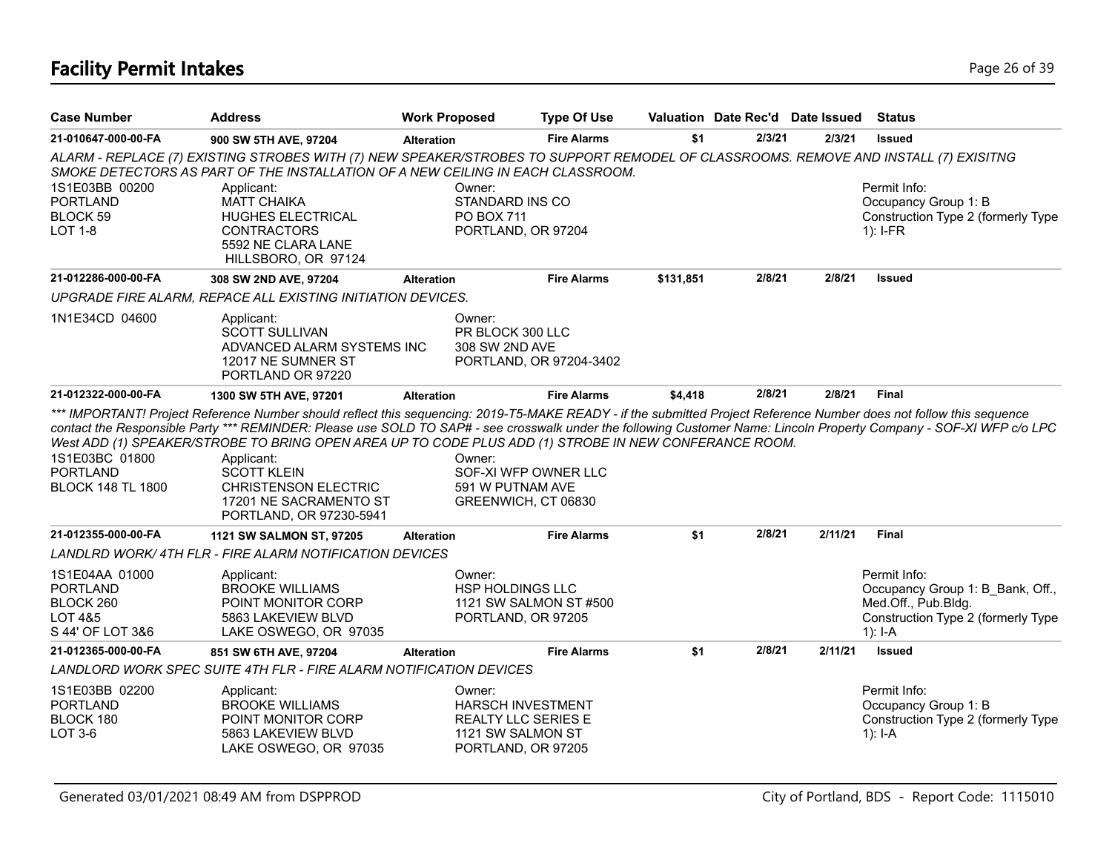# **Facility Permit Intakes** Page 26 of 39

| <b>Case Number</b>                                                            | <b>Address</b>                                                                                                                                                                                                                                                                                                                                                                                        | <b>Work Proposed</b>                                                                                 | <b>Type Of Use</b>      |           | Valuation Date Rec'd Date Issued Status |         |                                                                                                                                                                      |
|-------------------------------------------------------------------------------|-------------------------------------------------------------------------------------------------------------------------------------------------------------------------------------------------------------------------------------------------------------------------------------------------------------------------------------------------------------------------------------------------------|------------------------------------------------------------------------------------------------------|-------------------------|-----------|-----------------------------------------|---------|----------------------------------------------------------------------------------------------------------------------------------------------------------------------|
| 21-010647-000-00-FA                                                           | 900 SW 5TH AVE, 97204                                                                                                                                                                                                                                                                                                                                                                                 | <b>Alteration</b>                                                                                    | <b>Fire Alarms</b>      | \$1       | 2/3/21                                  | 2/3/21  | <b>Issued</b>                                                                                                                                                        |
|                                                                               | ALARM - REPLACE (7) EXISTING STROBES WITH (7) NEW SPEAKER/STROBES TO SUPPORT REMODEL OF CLASSROOMS. REMOVE AND INSTALL (7) EXISITNG<br>SMOKE DETECTORS AS PART OF THE INSTALLATION OF A NEW CEILING IN EACH CLASSROOM.                                                                                                                                                                                |                                                                                                      |                         |           |                                         |         |                                                                                                                                                                      |
| 1S1E03BB 00200<br><b>PORTLAND</b><br>BLOCK 59<br>LOT 1-8                      | Applicant:<br><b>MATT CHAIKA</b><br><b>HUGHES ELECTRICAL</b><br><b>CONTRACTORS</b><br>5592 NE CLARA LANE<br>HILLSBORO, OR 97124                                                                                                                                                                                                                                                                       | Owner:<br>STANDARD INS CO<br><b>PO BOX 711</b><br>PORTLAND, OR 97204                                 |                         |           |                                         |         | Permit Info:<br>Occupancy Group 1: B<br>Construction Type 2 (formerly Type<br>$1$ : I-FR                                                                             |
| 21-012286-000-00-FA                                                           | 308 SW 2ND AVE, 97204                                                                                                                                                                                                                                                                                                                                                                                 | <b>Alteration</b>                                                                                    | <b>Fire Alarms</b>      | \$131,851 | 2/8/21                                  | 2/8/21  | <b>Issued</b>                                                                                                                                                        |
|                                                                               | UPGRADE FIRE ALARM, REPACE ALL EXISTING INITIATION DEVICES.                                                                                                                                                                                                                                                                                                                                           |                                                                                                      |                         |           |                                         |         |                                                                                                                                                                      |
| 1N1E34CD 04600                                                                | Applicant:<br><b>SCOTT SULLIVAN</b><br>ADVANCED ALARM SYSTEMS INC<br>12017 NE SUMNER ST<br>PORTLAND OR 97220                                                                                                                                                                                                                                                                                          | Owner:<br>PR BLOCK 300 LLC<br>308 SW 2ND AVE                                                         | PORTLAND, OR 97204-3402 |           |                                         |         |                                                                                                                                                                      |
| 21-012322-000-00-FA                                                           | 1300 SW 5TH AVE, 97201                                                                                                                                                                                                                                                                                                                                                                                | <b>Alteration</b>                                                                                    | <b>Fire Alarms</b>      | \$4,418   | 2/8/21                                  | 2/8/21  | <b>Final</b>                                                                                                                                                         |
| 1S1E03BC 01800<br><b>PORTLAND</b><br><b>BLOCK 148 TL 1800</b>                 | *** IMPORTANT! Project Reference Number should reflect this sequencing: 2019-T5-MAKE READY - if the submitted Project Reference Number does not follow this sequence<br>West ADD (1) SPEAKER/STROBE TO BRING OPEN AREA UP TO CODE PLUS ADD (1) STROBE IN NEW CONFERANCE ROOM.<br>Applicant:<br><b>SCOTT KLEIN</b><br><b>CHRISTENSON ELECTRIC</b><br>17201 NE SACRAMENTO ST<br>PORTLAND, OR 97230-5941 | Owner:<br>591 W PUTNAM AVE<br>GREENWICH, CT 06830                                                    | SOF-XI WFP OWNER LLC    |           |                                         |         | contact the Responsible Party *** REMINDER: Please use SOLD TO SAP# - see crosswalk under the following Customer Name: Lincoln Property Company - SOF-XI WFP c/o LPC |
| 21-012355-000-00-FA                                                           | <b>1121 SW SALMON ST, 97205</b>                                                                                                                                                                                                                                                                                                                                                                       | <b>Alteration</b>                                                                                    | <b>Fire Alarms</b>      | \$1       | 2/8/21                                  | 2/11/21 | <b>Final</b>                                                                                                                                                         |
|                                                                               | <b>LANDLRD WORK/4TH FLR - FIRE ALARM NOTIFICATION DEVICES</b>                                                                                                                                                                                                                                                                                                                                         |                                                                                                      |                         |           |                                         |         |                                                                                                                                                                      |
| 1S1E04AA 01000<br><b>PORTLAND</b><br>BLOCK 260<br>LOT 4&5<br>S 44' OF LOT 3&6 | Applicant:<br><b>BROOKE WILLIAMS</b><br>POINT MONITOR CORP<br>5863 LAKEVIEW BLVD<br>LAKE OSWEGO, OR 97035                                                                                                                                                                                                                                                                                             | Owner:<br>HSP HOLDINGS LLC<br>PORTLAND, OR 97205                                                     | 1121 SW SALMON ST #500  |           |                                         |         | Permit Info:<br>Occupancy Group 1: B Bank, Off.,<br>Med.Off., Pub.Bldg.<br>Construction Type 2 (formerly Type<br>$1$ : I-A                                           |
| 21-012365-000-00-FA                                                           | 851 SW 6TH AVE, 97204                                                                                                                                                                                                                                                                                                                                                                                 | <b>Alteration</b>                                                                                    | <b>Fire Alarms</b>      | \$1       | 2/8/21                                  | 2/11/21 | <b>Issued</b>                                                                                                                                                        |
|                                                                               | LANDLORD WORK SPEC SUITE 4TH FLR - FIRE ALARM NOTIFICATION DEVICES                                                                                                                                                                                                                                                                                                                                    |                                                                                                      |                         |           |                                         |         |                                                                                                                                                                      |
| 1S1E03BB 02200<br><b>PORTLAND</b><br>BLOCK 180<br>LOT 3-6                     | Applicant:<br><b>BROOKE WILLIAMS</b><br>POINT MONITOR CORP<br>5863 LAKEVIEW BLVD<br>LAKE OSWEGO, OR 97035                                                                                                                                                                                                                                                                                             | Owner:<br><b>HARSCH INVESTMENT</b><br>REALTY LLC SERIES E<br>1121 SW SALMON ST<br>PORTLAND, OR 97205 |                         |           |                                         |         | Permit Info:<br>Occupancy Group 1: B<br>Construction Type 2 (formerly Type<br>1): $I - A$                                                                            |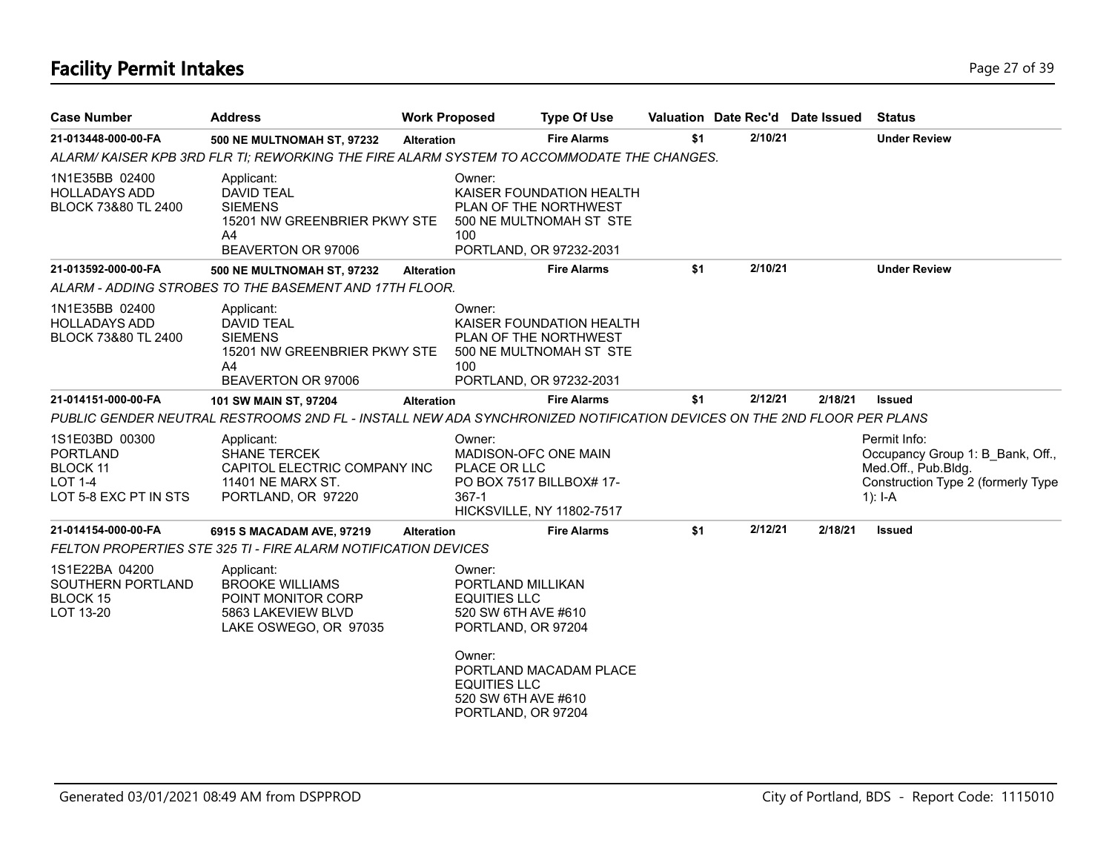# **Facility Permit Intakes** Page 27 of 39

| <b>Case Number</b>                                                                       | <b>Address</b>                                                                                                        | <b>Work Proposed</b> |                                                                                                                                                                               | <b>Type Of Use</b>                                                                                      | Valuation Date Rec'd Date Issued |         |         | <b>Status</b>                                                                                                                |
|------------------------------------------------------------------------------------------|-----------------------------------------------------------------------------------------------------------------------|----------------------|-------------------------------------------------------------------------------------------------------------------------------------------------------------------------------|---------------------------------------------------------------------------------------------------------|----------------------------------|---------|---------|------------------------------------------------------------------------------------------------------------------------------|
| 21-013448-000-00-FA                                                                      | <b>500 NE MULTNOMAH ST, 97232</b>                                                                                     | <b>Alteration</b>    |                                                                                                                                                                               | <b>Fire Alarms</b>                                                                                      | \$1                              | 2/10/21 |         | <b>Under Review</b>                                                                                                          |
|                                                                                          | ALARM/KAISER KPB 3RD FLR TI; REWORKING THE FIRE ALARM SYSTEM TO ACCOMMODATE THE CHANGES.                              |                      |                                                                                                                                                                               |                                                                                                         |                                  |         |         |                                                                                                                              |
| 1N1E35BB 02400<br><b>HOLLADAYS ADD</b><br>BLOCK 73&80 TL 2400                            | Applicant:<br><b>DAVID TEAL</b><br><b>SIEMENS</b><br>15201 NW GREENBRIER PKWY STE<br>A4<br>BEAVERTON OR 97006         |                      | Owner:<br>100                                                                                                                                                                 | KAISER FOUNDATION HEALTH<br>PLAN OF THE NORTHWEST<br>500 NE MULTNOMAH ST STE<br>PORTLAND, OR 97232-2031 |                                  |         |         |                                                                                                                              |
| 21-013592-000-00-FA                                                                      | <b>500 NE MULTNOMAH ST, 97232</b>                                                                                     | <b>Alteration</b>    |                                                                                                                                                                               | <b>Fire Alarms</b>                                                                                      | \$1                              | 2/10/21 |         | <b>Under Review</b>                                                                                                          |
|                                                                                          | ALARM - ADDING STROBES TO THE BASEMENT AND 17TH FLOOR.                                                                |                      |                                                                                                                                                                               |                                                                                                         |                                  |         |         |                                                                                                                              |
| 1N1E35BB 02400<br><b>HOLLADAYS ADD</b><br>BLOCK 73&80 TL 2400                            | Applicant:<br><b>DAVID TEAL</b><br><b>SIEMENS</b><br>15201 NW GREENBRIER PKWY STE<br>A4<br>BEAVERTON OR 97006         |                      | Owner:<br>100                                                                                                                                                                 | KAISER FOUNDATION HEALTH<br>PLAN OF THE NORTHWEST<br>500 NE MULTNOMAH ST STE<br>PORTLAND, OR 97232-2031 |                                  |         |         |                                                                                                                              |
| 21-014151-000-00-FA                                                                      | 101 SW MAIN ST, 97204                                                                                                 | <b>Alteration</b>    |                                                                                                                                                                               | <b>Fire Alarms</b>                                                                                      | \$1                              | 2/12/21 | 2/18/21 | <b>Issued</b>                                                                                                                |
|                                                                                          | PUBLIC GENDER NEUTRAL RESTROOMS 2ND FL - INSTALL NEW ADA SYNCHRONIZED NOTIFICATION DEVICES ON THE 2ND FLOOR PER PLANS |                      |                                                                                                                                                                               |                                                                                                         |                                  |         |         |                                                                                                                              |
| 1S1E03BD 00300<br><b>PORTLAND</b><br><b>BLOCK 11</b><br>LOT 1-4<br>LOT 5-8 EXC PT IN STS | Applicant:<br><b>SHANE TERCEK</b><br>CAPITOL ELECTRIC COMPANY INC<br>11401 NE MARX ST.<br>PORTLAND, OR 97220          |                      | Owner:<br>PLACE OR LLC<br>367-1                                                                                                                                               | MADISON-OFC ONE MAIN<br>PO BOX 7517 BILLBOX# 17-<br><b>HICKSVILLE, NY 11802-7517</b>                    |                                  |         |         | Permit Info:<br>Occupancy Group 1: B Bank, Off.,<br>Med.Off., Pub.Bldg.<br>Construction Type 2 (formerly Type<br>1): $I - A$ |
| 21-014154-000-00-FA                                                                      | 6915 S MACADAM AVE, 97219                                                                                             | <b>Alteration</b>    |                                                                                                                                                                               | <b>Fire Alarms</b>                                                                                      | \$1                              | 2/12/21 | 2/18/21 | <b>Issued</b>                                                                                                                |
|                                                                                          | <b>FELTON PROPERTIES STE 325 TI - FIRE ALARM NOTIFICATION DEVICES</b>                                                 |                      |                                                                                                                                                                               |                                                                                                         |                                  |         |         |                                                                                                                              |
| 1S1E22BA 04200<br>SOUTHERN PORTLAND<br>BLOCK 15<br>LOT 13-20                             | Applicant:<br><b>BROOKE WILLIAMS</b><br>POINT MONITOR CORP<br>5863 LAKEVIEW BLVD<br>LAKE OSWEGO, OR 97035             |                      | Owner:<br>PORTLAND MILLIKAN<br><b>EQUITIES LLC</b><br>520 SW 6TH AVE #610<br>PORTLAND, OR 97204<br>Owner:<br><b>EQUITIES LLC</b><br>520 SW 6TH AVE #610<br>PORTLAND, OR 97204 | PORTLAND MACADAM PLACE                                                                                  |                                  |         |         |                                                                                                                              |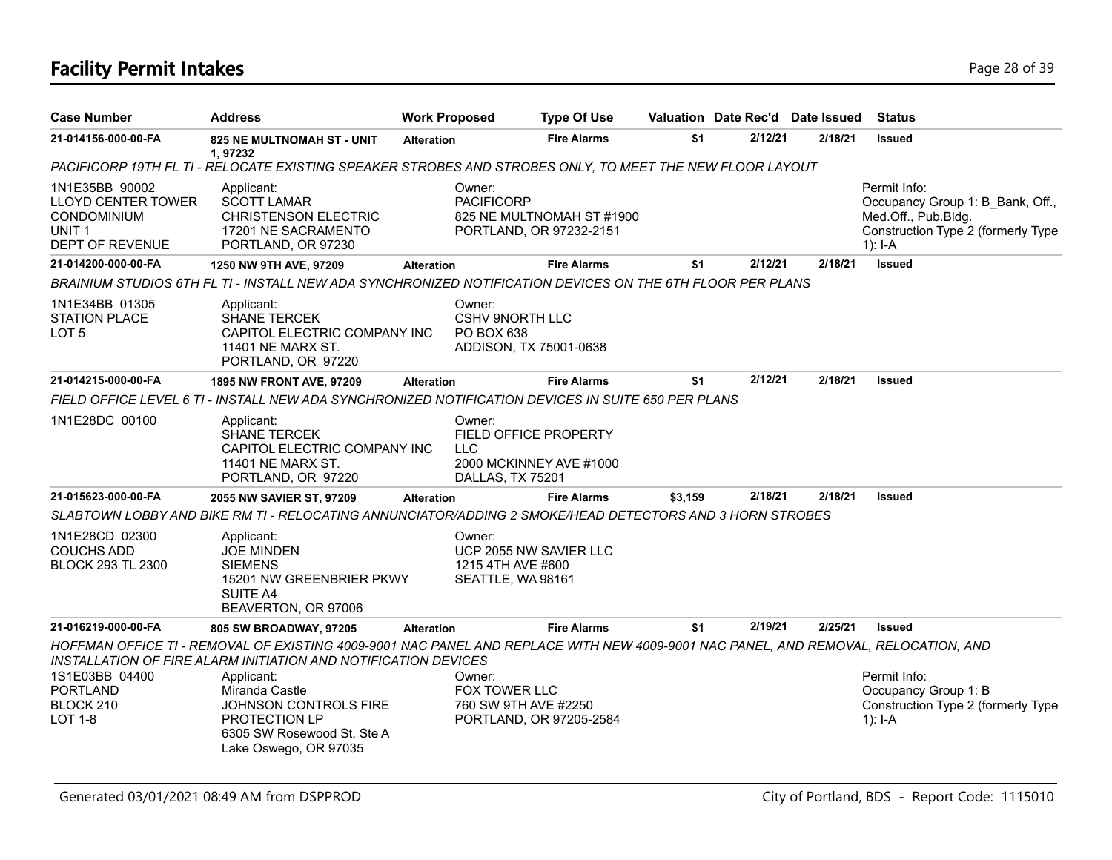# **Facility Permit Intakes** Page 28 of 39

| <b>Case Number</b>                                                                                        | <b>Address</b>                                                                                                                                                                                       | <b>Work Proposed</b> |                                                                                                     | <b>Type Of Use</b>        |         | Valuation Date Rec'd Date Issued |         | <b>Status</b>                                                                                                              |
|-----------------------------------------------------------------------------------------------------------|------------------------------------------------------------------------------------------------------------------------------------------------------------------------------------------------------|----------------------|-----------------------------------------------------------------------------------------------------|---------------------------|---------|----------------------------------|---------|----------------------------------------------------------------------------------------------------------------------------|
| 21-014156-000-00-FA                                                                                       | <b>825 NE MULTNOMAH ST - UNIT</b><br>1,97232                                                                                                                                                         | <b>Alteration</b>    |                                                                                                     | <b>Fire Alarms</b>        | \$1     | 2/12/21                          | 2/18/21 | Issued                                                                                                                     |
|                                                                                                           | PACIFICORP 19TH FL TI - RELOCATE EXISTING SPEAKER STROBES AND STROBES ONLY, TO MEET THE NEW FLOOR LAYOUT                                                                                             |                      |                                                                                                     |                           |         |                                  |         |                                                                                                                            |
| 1N1E35BB 90002<br><b>LLOYD CENTER TOWER</b><br><b>CONDOMINIUM</b><br>UNIT <sub>1</sub><br>DEPT OF REVENUE | Applicant:<br><b>SCOTT LAMAR</b><br>CHRISTENSON ELECTRIC<br>17201 NE SACRAMENTO<br>PORTLAND, OR 97230                                                                                                |                      | Owner:<br><b>PACIFICORP</b><br>PORTLAND, OR 97232-2151                                              | 825 NE MULTNOMAH ST #1900 |         |                                  |         | Permit Info:<br>Occupancy Group 1: B_Bank, Off.,<br>Med.Off., Pub.Bldg.<br>Construction Type 2 (formerly Type<br>$1$ : I-A |
| 21-014200-000-00-FA                                                                                       | 1250 NW 9TH AVE, 97209                                                                                                                                                                               | <b>Alteration</b>    |                                                                                                     | <b>Fire Alarms</b>        | \$1     | 2/12/21                          | 2/18/21 | <b>Issued</b>                                                                                                              |
|                                                                                                           | BRAINIUM STUDIOS 6TH FL TI - INSTALL NEW ADA SYNCHRONIZED NOTIFICATION DEVICES ON THE 6TH FLOOR PER PLANS                                                                                            |                      |                                                                                                     |                           |         |                                  |         |                                                                                                                            |
| 1N1E34BB 01305<br><b>STATION PLACE</b><br>LOT <sub>5</sub>                                                | Applicant:<br><b>SHANE TERCEK</b><br>CAPITOL ELECTRIC COMPANY INC<br>11401 NE MARX ST.<br>PORTLAND, OR 97220                                                                                         |                      | Owner:<br><b>CSHV 9NORTH LLC</b><br>PO BOX 638<br>ADDISON, TX 75001-0638                            |                           |         |                                  |         |                                                                                                                            |
| 21-014215-000-00-FA                                                                                       | 1895 NW FRONT AVE, 97209                                                                                                                                                                             | <b>Alteration</b>    |                                                                                                     | <b>Fire Alarms</b>        | \$1     | 2/12/21                          | 2/18/21 | <b>Issued</b>                                                                                                              |
|                                                                                                           | FIELD OFFICE LEVEL 6 TI - INSTALL NEW ADA SYNCHRONIZED NOTIFICATION DEVICES IN SUITE 650 PER PLANS                                                                                                   |                      |                                                                                                     |                           |         |                                  |         |                                                                                                                            |
| 1N1E28DC 00100                                                                                            | Applicant:<br><b>SHANE TERCEK</b><br>CAPITOL ELECTRIC COMPANY INC<br>11401 NE MARX ST.<br>PORTLAND, OR 97220                                                                                         |                      | Owner:<br><b>FIELD OFFICE PROPERTY</b><br><b>LLC</b><br>2000 MCKINNEY AVE #1000<br>DALLAS, TX 75201 |                           |         |                                  |         |                                                                                                                            |
| 21-015623-000-00-FA                                                                                       | 2055 NW SAVIER ST, 97209                                                                                                                                                                             | <b>Alteration</b>    |                                                                                                     | <b>Fire Alarms</b>        | \$3,159 | 2/18/21                          | 2/18/21 | <b>Issued</b>                                                                                                              |
|                                                                                                           | SLABTOWN LOBBY AND BIKE RM TI - RELOCATING ANNUNCIATOR/ADDING 2 SMOKE/HEAD DETECTORS AND 3 HORN STROBES                                                                                              |                      |                                                                                                     |                           |         |                                  |         |                                                                                                                            |
| 1N1E28CD 02300<br><b>COUCHS ADD</b><br><b>BLOCK 293 TL 2300</b>                                           | Applicant:<br><b>JOE MINDEN</b><br><b>SIEMENS</b><br>15201 NW GREENBRIER PKWY<br>SUITE A4<br>BEAVERTON, OR 97006                                                                                     |                      | Owner:<br>UCP 2055 NW SAVIER LLC<br>1215 4TH AVE #600<br>SEATTLE, WA 98161                          |                           |         |                                  |         |                                                                                                                            |
| 21-016219-000-00-FA                                                                                       | 805 SW BROADWAY, 97205                                                                                                                                                                               | <b>Alteration</b>    |                                                                                                     | <b>Fire Alarms</b>        | \$1     | 2/19/21                          | 2/25/21 | Issued                                                                                                                     |
|                                                                                                           | HOFFMAN OFFICE TI - REMOVAL OF EXISTING 4009-9001 NAC PANEL AND REPLACE WITH NEW 4009-9001 NAC PANEL, AND REMOVAL, RELOCATION, AND<br>INSTALLATION OF FIRE ALARM INITIATION AND NOTIFICATION DEVICES |                      |                                                                                                     |                           |         |                                  |         |                                                                                                                            |
| 1S1E03BB 04400<br><b>PORTLAND</b><br>BLOCK 210<br><b>LOT 1-8</b>                                          | Applicant:<br>Miranda Castle<br>JOHNSON CONTROLS FIRE<br>PROTECTION LP<br>6305 SW Rosewood St, Ste A<br>Lake Oswego, OR 97035                                                                        |                      | Owner:<br>FOX TOWER LLC<br>760 SW 9TH AVE #2250                                                     | PORTLAND, OR 97205-2584   |         |                                  |         | Permit Info:<br>Occupancy Group 1: B<br>Construction Type 2 (formerly Type<br>$1$ : I-A                                    |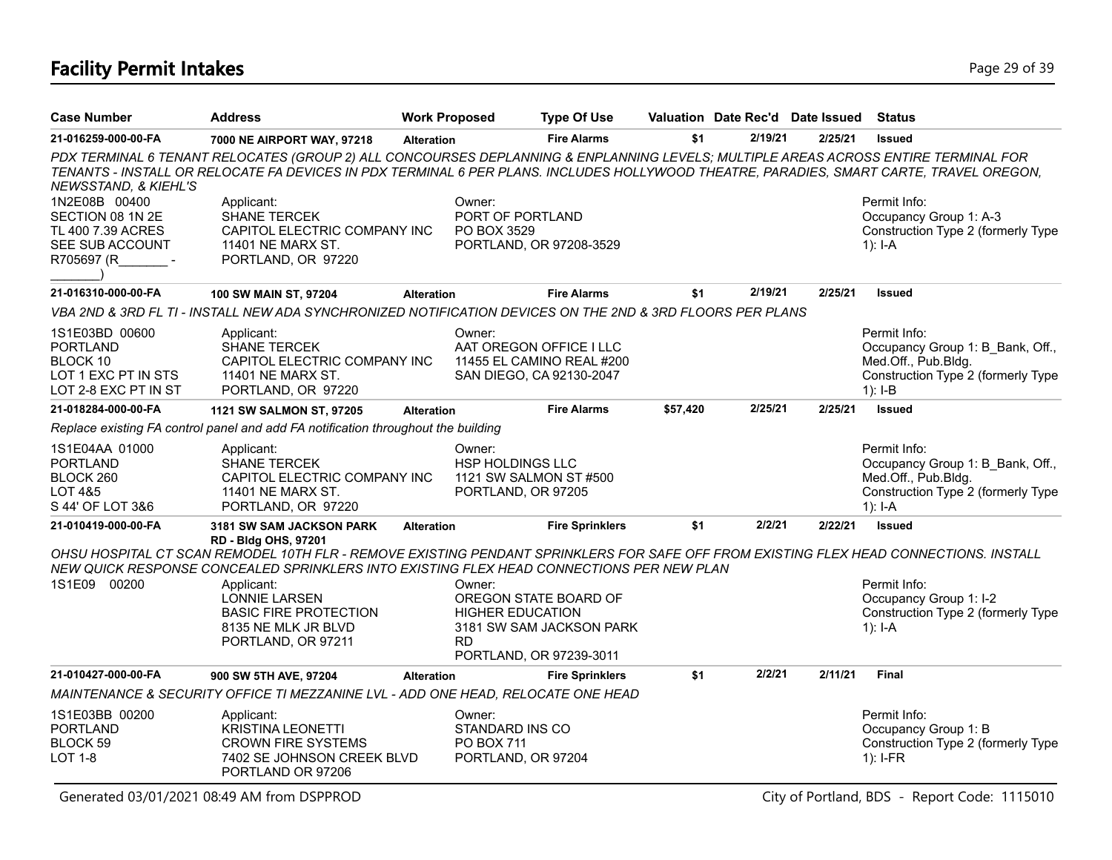# **Facility Permit Intakes** Page 29 of 39

| <b>Case Number</b>                                                                           | <b>Address</b>                                                                                                                                                                                                                                                                | <b>Work Proposed</b> |                                                                                   | <b>Type Of Use</b>                                                               |          | Valuation Date Rec'd Date Issued |         | Status                                                                                                                     |
|----------------------------------------------------------------------------------------------|-------------------------------------------------------------------------------------------------------------------------------------------------------------------------------------------------------------------------------------------------------------------------------|----------------------|-----------------------------------------------------------------------------------|----------------------------------------------------------------------------------|----------|----------------------------------|---------|----------------------------------------------------------------------------------------------------------------------------|
| 21-016259-000-00-FA                                                                          | 7000 NE AIRPORT WAY, 97218                                                                                                                                                                                                                                                    | <b>Alteration</b>    |                                                                                   | <b>Fire Alarms</b>                                                               | \$1      | 2/19/21                          | 2/25/21 | <b>Issued</b>                                                                                                              |
| NEWSSTAND, & KIEHL'S                                                                         | PDX TERMINAL 6 TENANT RELOCATES (GROUP 2) ALL CONCOURSES DEPLANNING & ENPLANNING LEVELS; MULTIPLE AREAS ACROSS ENTIRE TERMINAL FOR<br>TENANTS - INSTALL OR RELOCATE FA DEVICES IN PDX TERMINAL 6 PER PLANS. INCLUDES HOLLYWOOD THEATRE, PARADIES, SMART CARTE, TRAVEL OREGON, |                      |                                                                                   |                                                                                  |          |                                  |         |                                                                                                                            |
| 1N2E08B 00400<br>SECTION 08 1N 2E<br>TL 400 7.39 ACRES<br>SEE SUB ACCOUNT<br>R705697 (R      | Applicant:<br><b>SHANE TERCEK</b><br>CAPITOL ELECTRIC COMPANY INC<br>11401 NE MARX ST.<br>PORTLAND, OR 97220                                                                                                                                                                  |                      | Owner:<br>PORT OF PORTLAND<br>PO BOX 3529                                         | PORTLAND, OR 97208-3529                                                          |          |                                  |         | Permit Info:<br>Occupancy Group 1: A-3<br>Construction Type 2 (formerly Type<br>1): I-A                                    |
| 21-016310-000-00-FA                                                                          | 100 SW MAIN ST, 97204                                                                                                                                                                                                                                                         | <b>Alteration</b>    |                                                                                   | <b>Fire Alarms</b>                                                               | \$1      | 2/19/21                          | 2/25/21 | <b>Issued</b>                                                                                                              |
|                                                                                              | VBA 2ND & 3RD FL TI - INSTALL NEW ADA SYNCHRONIZED NOTIFICATION DEVICES ON THE 2ND & 3RD FLOORS PER PLANS                                                                                                                                                                     |                      |                                                                                   |                                                                                  |          |                                  |         |                                                                                                                            |
| 1S1E03BD 00600<br><b>PORTLAND</b><br>BLOCK 10<br>LOT 1 EXC PT IN STS<br>LOT 2-8 EXC PT IN ST | Applicant:<br><b>SHANE TERCEK</b><br>CAPITOL ELECTRIC COMPANY INC<br>11401 NE MARX ST.<br>PORTLAND, OR 97220                                                                                                                                                                  |                      | Owner:                                                                            | AAT OREGON OFFICE I LLC<br>11455 EL CAMINO REAL #200<br>SAN DIEGO, CA 92130-2047 |          |                                  |         | Permit Info:<br>Occupancy Group 1: B Bank, Off.,<br>Med.Off., Pub.Bldg.<br>Construction Type 2 (formerly Type<br>$1): I-B$ |
| 21-018284-000-00-FA                                                                          | 1121 SW SALMON ST, 97205                                                                                                                                                                                                                                                      | <b>Alteration</b>    |                                                                                   | <b>Fire Alarms</b>                                                               | \$57,420 | 2/25/21                          | 2/25/21 | <b>Issued</b>                                                                                                              |
|                                                                                              | Replace existing FA control panel and add FA notification throughout the building                                                                                                                                                                                             |                      |                                                                                   |                                                                                  |          |                                  |         |                                                                                                                            |
| 1S1E04AA 01000<br><b>PORTLAND</b><br>BLOCK 260<br>LOT 4&5<br>S 44' OF LOT 3&6                | Applicant:<br>SHANE TERCEK<br>CAPITOL ELECTRIC COMPANY INC<br>11401 NE MARX ST.<br>PORTLAND, OR 97220                                                                                                                                                                         |                      | Owner:<br><b>HSP HOLDINGS LLC</b><br>1121 SW SALMON ST #500<br>PORTLAND, OR 97205 |                                                                                  |          |                                  |         | Permit Info:<br>Occupancy Group 1: B Bank, Off.,<br>Med.Off., Pub.Bldg.<br>Construction Type 2 (formerly Type<br>$1): I-A$ |
| 21-010419-000-00-FA                                                                          | 3181 SW SAM JACKSON PARK                                                                                                                                                                                                                                                      | <b>Alteration</b>    |                                                                                   | <b>Fire Sprinklers</b>                                                           | \$1      | 2/2/21                           | 2/22/21 | <b>Issued</b>                                                                                                              |
|                                                                                              | RD - Bldg OHS, 97201<br>OHSU HOSPITAL CT SCAN REMODEL 10TH FLR - REMOVE EXISTING PENDANT SPRINKLERS FOR SAFE OFF FROM EXISTING FLEX HEAD CONNECTIONS. INSTALL<br>NEW QUICK RESPONSE CONCEALED SPRINKLERS INTO EXISTING FLEX HEAD CONNECTIONS PER NEW PLAN                     |                      |                                                                                   |                                                                                  |          |                                  |         |                                                                                                                            |
| 1S1E09 00200                                                                                 | Applicant:<br><b>LONNIE LARSEN</b><br><b>BASIC FIRE PROTECTION</b><br>8135 NE MLK JR BLVD<br>PORTLAND, OR 97211                                                                                                                                                               |                      | Owner:<br><b>HIGHER EDUCATION</b><br><b>RD</b>                                    | OREGON STATE BOARD OF<br>3181 SW SAM JACKSON PARK<br>PORTLAND, OR 97239-3011     |          |                                  |         | Permit Info:<br>Occupancy Group 1: I-2<br>Construction Type 2 (formerly Type<br>$1$ : I-A                                  |
| 21-010427-000-00-FA                                                                          | 900 SW 5TH AVE, 97204                                                                                                                                                                                                                                                         | <b>Alteration</b>    |                                                                                   | <b>Fire Sprinklers</b>                                                           | \$1      | 2/2/21                           | 2/11/21 | <b>Final</b>                                                                                                               |
|                                                                                              | MAINTENANCE & SECURITY OFFICE TI MEZZANINE LVL - ADD ONE HEAD, RELOCATE ONE HEAD                                                                                                                                                                                              |                      |                                                                                   |                                                                                  |          |                                  |         |                                                                                                                            |
| 1S1E03BB 00200<br><b>PORTLAND</b><br>BLOCK 59<br><b>LOT 1-8</b>                              | Applicant:<br><b>KRISTINA LEONETTI</b><br><b>CROWN FIRE SYSTEMS</b><br>7402 SE JOHNSON CREEK BLVD<br>PORTLAND OR 97206                                                                                                                                                        |                      | Owner:<br>STANDARD INS CO<br><b>PO BOX 711</b><br>PORTLAND, OR 97204              |                                                                                  |          |                                  |         | Permit Info:<br>Occupancy Group 1: B<br>Construction Type 2 (formerly Type<br>$1$ : I-FR                                   |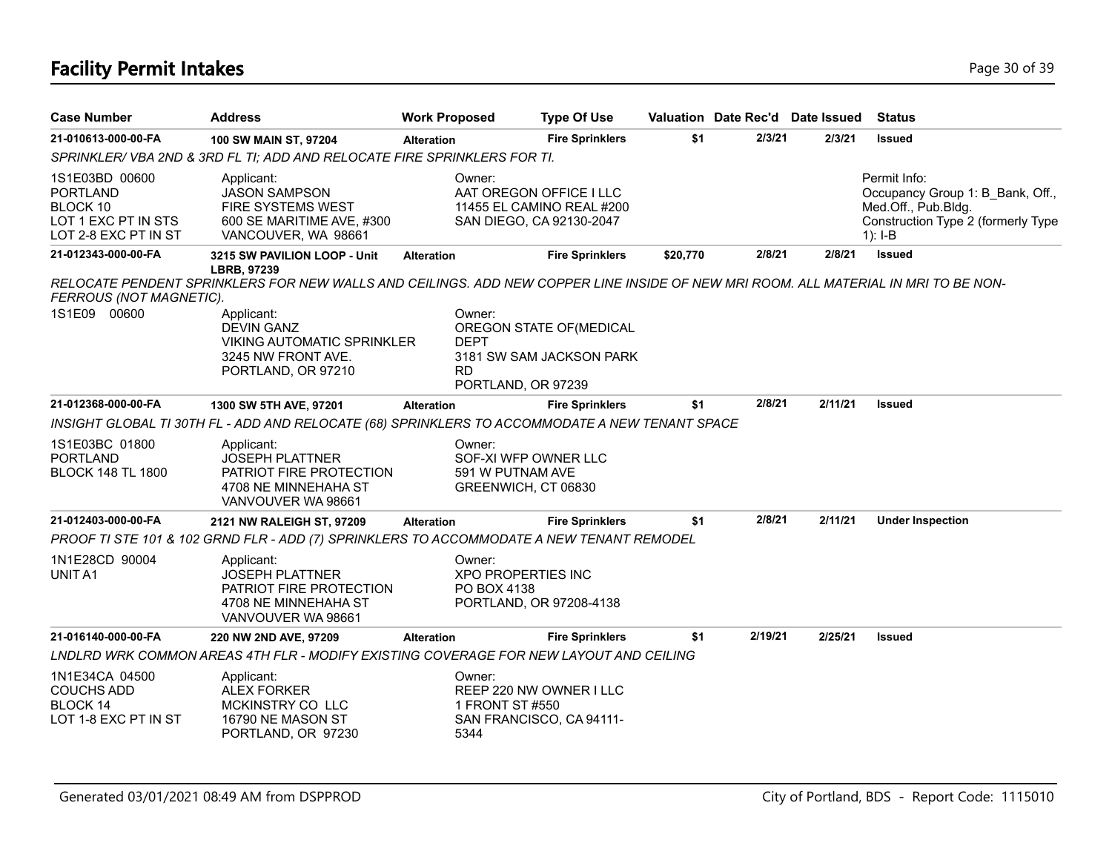# **Facility Permit Intakes** Page 30 of 39

| <b>Case Number</b>                                                                           | <b>Address</b>                                                                                                                     | <b>Work Proposed</b>               | <b>Type Of Use</b>                                                               |          |         | Valuation Date Rec'd Date Issued | <b>Status</b>                                                                                                              |
|----------------------------------------------------------------------------------------------|------------------------------------------------------------------------------------------------------------------------------------|------------------------------------|----------------------------------------------------------------------------------|----------|---------|----------------------------------|----------------------------------------------------------------------------------------------------------------------------|
| 21-010613-000-00-FA                                                                          | 100 SW MAIN ST, 97204                                                                                                              | <b>Alteration</b>                  | <b>Fire Sprinklers</b>                                                           | \$1      | 2/3/21  | 2/3/21                           | <b>Issued</b>                                                                                                              |
|                                                                                              | SPRINKLER/ VBA 2ND & 3RD FL TI; ADD AND RELOCATE FIRE SPRINKLERS FOR TI.                                                           |                                    |                                                                                  |          |         |                                  |                                                                                                                            |
| 1S1E03BD 00600<br><b>PORTLAND</b><br>BLOCK 10<br>LOT 1 EXC PT IN STS<br>LOT 2-8 EXC PT IN ST | Applicant:<br><b>JASON SAMPSON</b><br><b>FIRE SYSTEMS WEST</b><br>600 SE MARITIME AVE, #300<br>VANCOUVER, WA 98661                 | Owner:                             | AAT OREGON OFFICE I LLC<br>11455 EL CAMINO REAL #200<br>SAN DIEGO, CA 92130-2047 |          |         |                                  | Permit Info:<br>Occupancy Group 1: B Bank, Off.,<br>Med.Off., Pub.Bldg.<br>Construction Type 2 (formerly Type<br>$1): I-B$ |
| 21-012343-000-00-FA                                                                          | 3215 SW PAVILION LOOP - Unit<br><b>LBRB. 97239</b>                                                                                 | <b>Alteration</b>                  | <b>Fire Sprinklers</b>                                                           | \$20,770 | 2/8/21  | 2/8/21                           | <b>Issued</b>                                                                                                              |
| FERROUS (NOT MAGNETIC).                                                                      | RELOCATE PENDENT SPRINKLERS FOR NEW WALLS AND CEILINGS. ADD NEW COPPER LINE INSIDE OF NEW MRI ROOM. ALL MATERIAL IN MRI TO BE NON- |                                    |                                                                                  |          |         |                                  |                                                                                                                            |
| 1S1E09 00600                                                                                 | Applicant:<br><b>DEVIN GANZ</b><br><b>VIKING AUTOMATIC SPRINKLER</b><br>3245 NW FRONT AVE.<br>PORTLAND, OR 97210                   | Owner:<br><b>DEPT</b><br><b>RD</b> | OREGON STATE OF (MEDICAL<br>3181 SW SAM JACKSON PARK<br>PORTLAND, OR 97239       |          |         |                                  |                                                                                                                            |
| 21-012368-000-00-FA                                                                          | 1300 SW 5TH AVE, 97201                                                                                                             | <b>Alteration</b>                  | <b>Fire Sprinklers</b>                                                           | \$1      | 2/8/21  | 2/11/21                          | <b>Issued</b>                                                                                                              |
|                                                                                              | INSIGHT GLOBAL TI 30TH FL - ADD AND RELOCATE (68) SPRINKLERS TO ACCOMMODATE A NEW TENANT SPACE                                     |                                    |                                                                                  |          |         |                                  |                                                                                                                            |
| 1S1E03BC 01800<br><b>PORTLAND</b><br><b>BLOCK 148 TL 1800</b>                                | Applicant:<br><b>JOSEPH PLATTNER</b><br>PATRIOT FIRE PROTECTION<br>4708 NE MINNEHAHA ST<br>VANVOUVER WA 98661                      | Owner:                             | SOF-XI WFP OWNER LLC<br>591 W PUTNAM AVE<br>GREENWICH, CT 06830                  |          |         |                                  |                                                                                                                            |
| 21-012403-000-00-FA                                                                          | 2121 NW RALEIGH ST, 97209                                                                                                          | <b>Alteration</b>                  | <b>Fire Sprinklers</b>                                                           | \$1      | 2/8/21  | 2/11/21                          | <b>Under Inspection</b>                                                                                                    |
|                                                                                              | PROOF TI STE 101 & 102 GRND FLR - ADD (7) SPRINKLERS TO ACCOMMODATE A NEW TENANT REMODEL                                           |                                    |                                                                                  |          |         |                                  |                                                                                                                            |
| 1N1E28CD 90004<br>UNIT A1                                                                    | Applicant:<br><b>JOSEPH PLATTNER</b><br>PATRIOT FIRE PROTECTION<br>4708 NE MINNEHAHA ST<br>VANVOUVER WA 98661                      | Owner:<br>PO BOX 4138              | <b>XPO PROPERTIES INC</b><br>PORTLAND, OR 97208-4138                             |          |         |                                  |                                                                                                                            |
| 21-016140-000-00-FA                                                                          | 220 NW 2ND AVE, 97209                                                                                                              | <b>Alteration</b>                  | <b>Fire Sprinklers</b>                                                           | \$1      | 2/19/21 | 2/25/21                          | <b>Issued</b>                                                                                                              |
|                                                                                              | LNDLRD WRK COMMON AREAS 4TH FLR - MODIFY EXISTING COVERAGE FOR NEW LAYOUT AND CEILING                                              |                                    |                                                                                  |          |         |                                  |                                                                                                                            |
| 1N1E34CA 04500<br><b>COUCHS ADD</b><br><b>BLOCK 14</b><br>LOT 1-8 EXC PT IN ST               | Applicant:<br><b>ALEX FORKER</b><br>MCKINSTRY CO LLC<br>16790 NE MASON ST<br>PORTLAND, OR 97230                                    | Owner:<br>5344                     | REEP 220 NW OWNER I LLC<br>1 FRONT ST #550<br>SAN FRANCISCO, CA 94111-           |          |         |                                  |                                                                                                                            |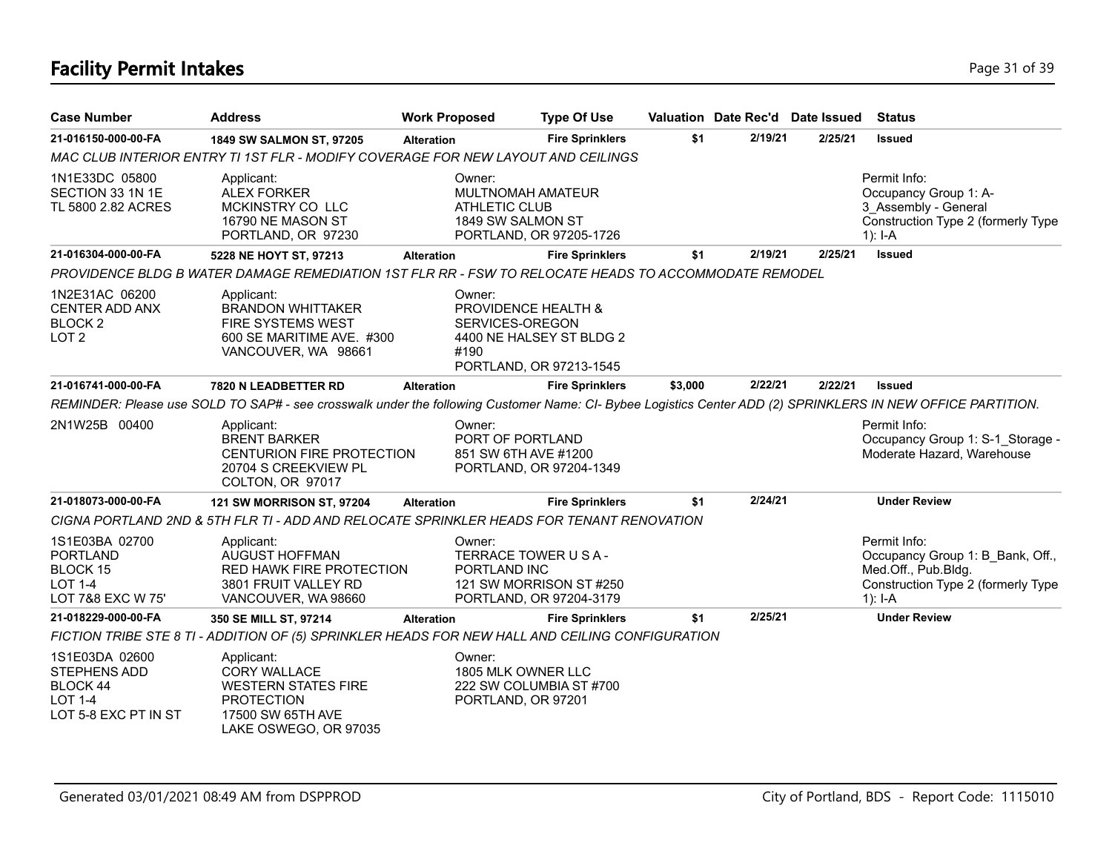# **Facility Permit Intakes** Page 31 of 39

| <b>Case Number</b>                                                                   | <b>Address</b>                                                                                                                                              | <b>Work Proposed</b> |                                                                          | <b>Type Of Use</b>                                  |         |         | Valuation Date Rec'd Date Issued | <b>Status</b>                                                                                                              |
|--------------------------------------------------------------------------------------|-------------------------------------------------------------------------------------------------------------------------------------------------------------|----------------------|--------------------------------------------------------------------------|-----------------------------------------------------|---------|---------|----------------------------------|----------------------------------------------------------------------------------------------------------------------------|
| 21-016150-000-00-FA                                                                  | 1849 SW SALMON ST, 97205                                                                                                                                    | <b>Alteration</b>    |                                                                          | <b>Fire Sprinklers</b>                              | \$1     | 2/19/21 | 2/25/21                          | <b>Issued</b>                                                                                                              |
|                                                                                      | MAC CLUB INTERIOR ENTRY TI 1ST FLR - MODIFY COVERAGE FOR NEW LAYOUT AND CEILINGS                                                                            |                      |                                                                          |                                                     |         |         |                                  |                                                                                                                            |
| 1N1E33DC 05800<br>SECTION 33 1N 1E<br>TL 5800 2.82 ACRES                             | Applicant:<br><b>ALEX FORKER</b><br>MCKINSTRY CO LLC<br>16790 NE MASON ST<br>PORTLAND, OR 97230                                                             |                      | Owner:<br>MULTNOMAH AMATEUR<br><b>ATHLETIC CLUB</b><br>1849 SW SALMON ST | PORTLAND, OR 97205-1726                             |         |         |                                  | Permit Info:<br>Occupancy Group 1: A-<br>3 Assembly - General<br>Construction Type 2 (formerly Type<br>$1$ : I-A           |
| 21-016304-000-00-FA                                                                  | 5228 NE HOYT ST, 97213                                                                                                                                      | <b>Alteration</b>    |                                                                          | <b>Fire Sprinklers</b>                              | \$1     | 2/19/21 | 2/25/21                          | <b>Issued</b>                                                                                                              |
|                                                                                      | PROVIDENCE BLDG B WATER DAMAGE REMEDIATION 1ST FLR RR - FSW TO RELOCATE HEADS TO ACCOMMODATE REMODEL                                                        |                      |                                                                          |                                                     |         |         |                                  |                                                                                                                            |
| 1N2E31AC 06200<br><b>CENTER ADD ANX</b><br>BLOCK <sub>2</sub><br>LOT <sub>2</sub>    | Applicant:<br><b>BRANDON WHITTAKER</b><br>FIRE SYSTEMS WEST<br>600 SE MARITIME AVE. #300<br>VANCOUVER, WA 98661                                             |                      | Owner:<br>PROVIDENCE HEALTH &<br>SERVICES-OREGON<br>#190                 | 4400 NE HALSEY ST BLDG 2<br>PORTLAND, OR 97213-1545 |         |         |                                  |                                                                                                                            |
| 21-016741-000-00-FA                                                                  | 7820 N LEADBETTER RD                                                                                                                                        | <b>Alteration</b>    |                                                                          | <b>Fire Sprinklers</b>                              | \$3,000 | 2/22/21 | 2/22/21                          | <b>Issued</b>                                                                                                              |
|                                                                                      | REMINDER: Please use SOLD TO SAP# - see crosswalk under the following Customer Name: CI- Bybee Logistics Center ADD (2) SPRINKLERS IN NEW OFFICE PARTITION. |                      |                                                                          |                                                     |         |         |                                  |                                                                                                                            |
| 2N1W25B 00400                                                                        | Applicant:<br><b>BRENT BARKER</b><br>CENTURION FIRE PROTECTION<br>20704 S CREEKVIEW PL<br>COLTON, OR 97017                                                  |                      | Owner:<br>PORT OF PORTLAND<br>851 SW 6TH AVE #1200                       | PORTLAND, OR 97204-1349                             |         |         |                                  | Permit Info:<br>Occupancy Group 1: S-1 Storage -<br>Moderate Hazard, Warehouse                                             |
| 21-018073-000-00-FA                                                                  | <b>121 SW MORRISON ST, 97204</b>                                                                                                                            | <b>Alteration</b>    |                                                                          | <b>Fire Sprinklers</b>                              | \$1     | 2/24/21 |                                  | <b>Under Review</b>                                                                                                        |
|                                                                                      | CIGNA PORTLAND 2ND & 5TH FLR TI - ADD AND RELOCATE SPRINKLER HEADS FOR TENANT RENOVATION                                                                    |                      |                                                                          |                                                     |         |         |                                  |                                                                                                                            |
| 1S1E03BA 02700<br><b>PORTLAND</b><br>BLOCK 15<br>LOT 1-4<br>LOT 7&8 EXC W 75'        | Applicant:<br>AUGUST HOFFMAN<br>RED HAWK FIRE PROTECTION<br>3801 FRUIT VALLEY RD<br>VANCOUVER, WA 98660                                                     |                      | Owner:<br>TERRACE TOWER USA-<br>PORTLAND INC                             | 121 SW MORRISON ST#250<br>PORTLAND, OR 97204-3179   |         |         |                                  | Permit Info:<br>Occupancy Group 1: B Bank, Off.,<br>Med.Off., Pub.Bldg.<br>Construction Type 2 (formerly Type<br>$1$ : I-A |
| 21-018229-000-00-FA                                                                  | 350 SE MILL ST, 97214                                                                                                                                       | <b>Alteration</b>    |                                                                          | <b>Fire Sprinklers</b>                              | \$1     | 2/25/21 |                                  | <b>Under Review</b>                                                                                                        |
|                                                                                      | FICTION TRIBE STE 8 TI - ADDITION OF (5) SPRINKLER HEADS FOR NEW HALL AND CEILING CONFIGURATION                                                             |                      |                                                                          |                                                     |         |         |                                  |                                                                                                                            |
| 1S1E03DA 02600<br>STEPHENS ADD<br>BLOCK 44<br><b>LOT 1-4</b><br>LOT 5-8 EXC PT IN ST | Applicant:<br><b>CORY WALLACE</b><br><b>WESTERN STATES FIRE</b><br><b>PROTECTION</b><br>17500 SW 65TH AVE<br>LAKE OSWEGO, OR 97035                          |                      | Owner:<br>1805 MLK OWNER LLC<br>PORTLAND, OR 97201                       | 222 SW COLUMBIA ST #700                             |         |         |                                  |                                                                                                                            |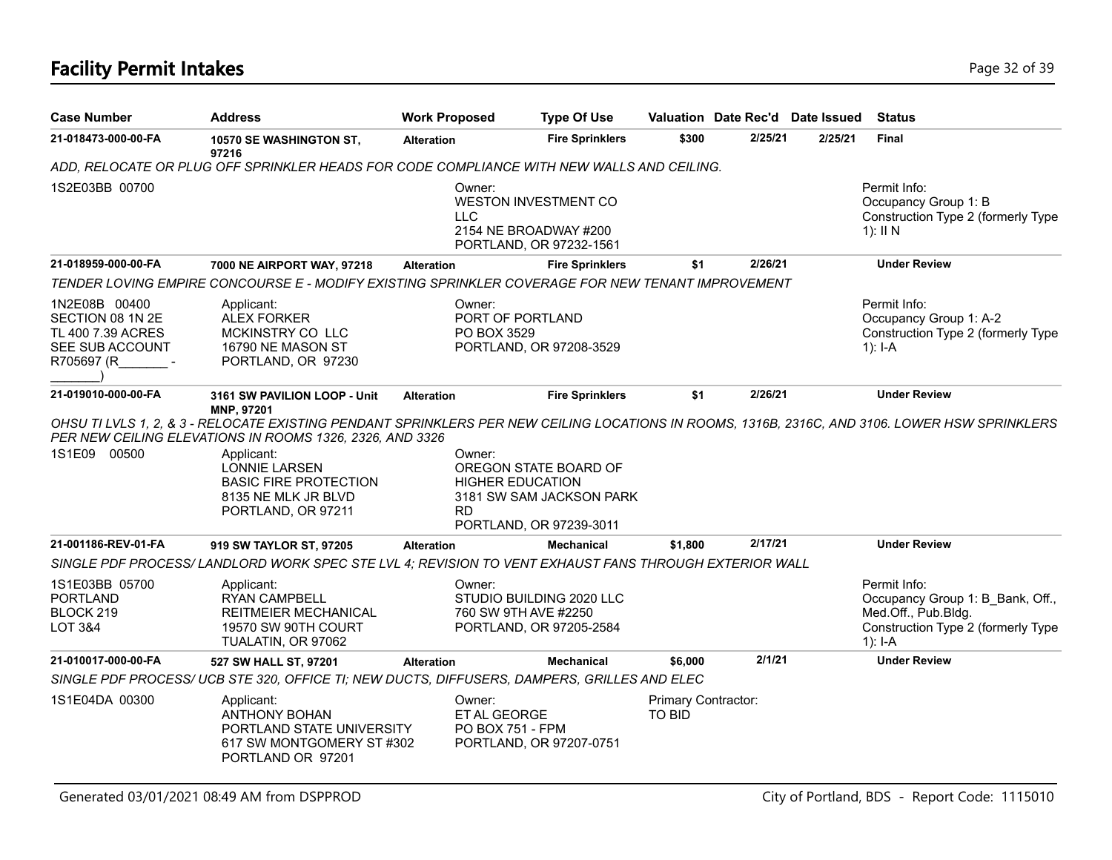# **Facility Permit Intakes** Page 32 of 39

| <b>Case Number</b>                                                                      | <b>Address</b>                                                                                                                                                                                                                                                                                                                | <b>Work Proposed</b>   | <b>Type Of Use</b>                                                                                      |                               |         | Valuation Date Rec'd Date Issued | <b>Status</b>                                                                                                              |
|-----------------------------------------------------------------------------------------|-------------------------------------------------------------------------------------------------------------------------------------------------------------------------------------------------------------------------------------------------------------------------------------------------------------------------------|------------------------|---------------------------------------------------------------------------------------------------------|-------------------------------|---------|----------------------------------|----------------------------------------------------------------------------------------------------------------------------|
| 21-018473-000-00-FA                                                                     | 10570 SE WASHINGTON ST,<br>97216                                                                                                                                                                                                                                                                                              | <b>Alteration</b>      | <b>Fire Sprinklers</b>                                                                                  | \$300                         | 2/25/21 | 2/25/21                          | <b>Final</b>                                                                                                               |
|                                                                                         | ADD, RELOCATE OR PLUG OFF SPRINKLER HEADS FOR CODE COMPLIANCE WITH NEW WALLS AND CEILING.                                                                                                                                                                                                                                     |                        |                                                                                                         |                               |         |                                  |                                                                                                                            |
| 1S2E03BB 00700                                                                          |                                                                                                                                                                                                                                                                                                                               | Owner:<br><b>LLC</b>   | WESTON INVESTMENT CO<br>2154 NE BROADWAY #200<br>PORTLAND, OR 97232-1561                                |                               |         |                                  | Permit Info:<br>Occupancy Group 1: B<br>Construction Type 2 (formerly Type<br>$1$ : II N                                   |
| 21-018959-000-00-FA                                                                     | 7000 NE AIRPORT WAY, 97218                                                                                                                                                                                                                                                                                                    | <b>Alteration</b>      | <b>Fire Sprinklers</b>                                                                                  | \$1                           | 2/26/21 |                                  | <b>Under Review</b>                                                                                                        |
|                                                                                         | TENDER LOVING EMPIRE CONCOURSE E - MODIFY EXISTING SPRINKLER COVERAGE FOR NEW TENANT IMPROVEMENT                                                                                                                                                                                                                              |                        |                                                                                                         |                               |         |                                  |                                                                                                                            |
| 1N2E08B 00400<br>SECTION 08 1N 2E<br>TL 400 7.39 ACRES<br>SEE SUB ACCOUNT<br>R705697 (R | Applicant:<br><b>ALEX FORKER</b><br>MCKINSTRY CO LLC<br>16790 NE MASON ST<br>PORTLAND, OR 97230                                                                                                                                                                                                                               | Owner:<br>PO BOX 3529  | PORT OF PORTLAND<br>PORTLAND, OR 97208-3529                                                             |                               |         |                                  | Permit Info:<br>Occupancy Group 1: A-2<br>Construction Type 2 (formerly Type<br>1): $I-A$                                  |
| 21-019010-000-00-FA                                                                     | 3161 SW PAVILION LOOP - Unit                                                                                                                                                                                                                                                                                                  | <b>Alteration</b>      | <b>Fire Sprinklers</b>                                                                                  | \$1                           | 2/26/21 |                                  | <b>Under Review</b>                                                                                                        |
| 1S1E09 00500                                                                            | OHSU TI LVLS 1, 2, & 3 - RELOCATE EXISTING PENDANT SPRINKLERS PER NEW CEILING LOCATIONS IN ROOMS, 1316B, 2316C, AND 3106. LOWER HSW SPRINKLERS<br>PER NEW CEILING ELEVATIONS IN ROOMS 1326, 2326, AND 3326<br>Applicant:<br><b>LONNIE LARSEN</b><br><b>BASIC FIRE PROTECTION</b><br>8135 NE MLK JR BLVD<br>PORTLAND, OR 97211 | Owner:<br>RD           | OREGON STATE BOARD OF<br><b>HIGHER EDUCATION</b><br>3181 SW SAM JACKSON PARK<br>PORTLAND, OR 97239-3011 |                               |         |                                  |                                                                                                                            |
| 21-001186-REV-01-FA                                                                     | 919 SW TAYLOR ST, 97205                                                                                                                                                                                                                                                                                                       | <b>Alteration</b>      | <b>Mechanical</b>                                                                                       | \$1,800                       | 2/17/21 |                                  | <b>Under Review</b>                                                                                                        |
|                                                                                         | SINGLE PDF PROCESS/LANDLORD WORK SPEC STE LVL 4; REVISION TO VENT EXHAUST FANS THROUGH EXTERIOR WALL                                                                                                                                                                                                                          |                        |                                                                                                         |                               |         |                                  |                                                                                                                            |
| 1S1E03BB 05700<br><b>PORTLAND</b><br>BLOCK 219<br>LOT 3&4                               | Applicant:<br><b>RYAN CAMPBELL</b><br><b>REITMEIER MECHANICAL</b><br>19570 SW 90TH COURT<br>TUALATIN, OR 97062                                                                                                                                                                                                                | Owner:                 | STUDIO BUILDING 2020 LLC<br>760 SW 9TH AVE #2250<br>PORTLAND, OR 97205-2584                             |                               |         |                                  | Permit Info:<br>Occupancy Group 1: B Bank, Off.,<br>Med.Off., Pub.Bldg.<br>Construction Type 2 (formerly Type<br>1): $I-A$ |
| 21-010017-000-00-FA                                                                     | 527 SW HALL ST, 97201                                                                                                                                                                                                                                                                                                         | <b>Alteration</b>      | <b>Mechanical</b>                                                                                       | \$6,000                       | 2/1/21  |                                  | <b>Under Review</b>                                                                                                        |
|                                                                                         | SINGLE PDF PROCESS/ UCB STE 320, OFFICE TI; NEW DUCTS, DIFFUSERS, DAMPERS, GRILLES AND ELEC                                                                                                                                                                                                                                   |                        |                                                                                                         |                               |         |                                  |                                                                                                                            |
| 1S1E04DA 00300                                                                          | Applicant:<br><b>ANTHONY BOHAN</b><br>PORTLAND STATE UNIVERSITY<br>617 SW MONTGOMERY ST #302<br>PORTLAND OR 97201                                                                                                                                                                                                             | Owner:<br>ET AL GEORGE | PO BOX 751 - FPM<br>PORTLAND, OR 97207-0751                                                             | Primary Contractor:<br>TO BID |         |                                  |                                                                                                                            |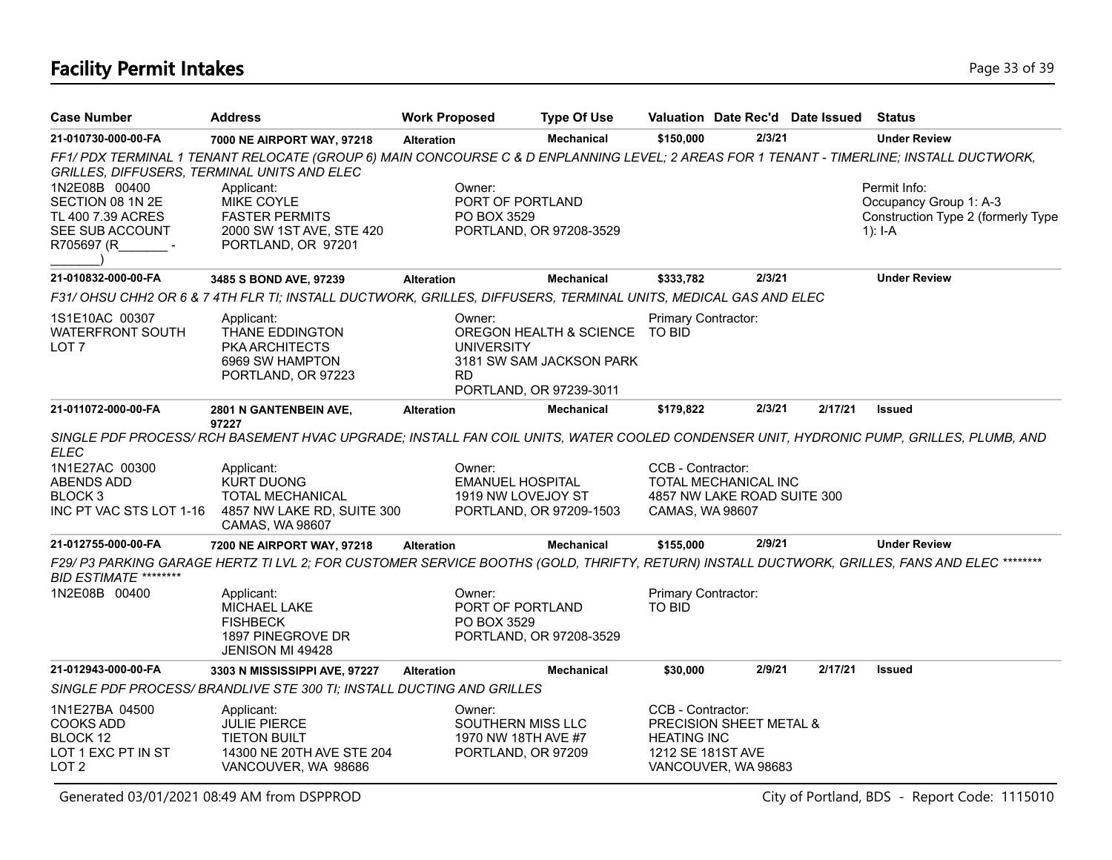### **Facility Permit Intakes** Page 13 of 39

| <b>Case Number</b>                                                                       | <b>Address</b>                                                                                                                                 | <b>Work Proposed</b>                     | <b>Type Of Use</b>                                                                    |                                                              |                                                     | Valuation Date Rec'd Date Issued | <b>Status</b>                                                                           |
|------------------------------------------------------------------------------------------|------------------------------------------------------------------------------------------------------------------------------------------------|------------------------------------------|---------------------------------------------------------------------------------------|--------------------------------------------------------------|-----------------------------------------------------|----------------------------------|-----------------------------------------------------------------------------------------|
| 21-010730-000-00-FA                                                                      | 7000 NE AIRPORT WAY, 97218                                                                                                                     | <b>Alteration</b>                        | <b>Mechanical</b>                                                                     | \$150,000                                                    | 2/3/21                                              |                                  | <b>Under Review</b>                                                                     |
| GRILLES, DIFFUSERS, TERMINAL UNITS AND ELEC                                              | FF1/PDX TERMINAL 1 TENANT RELOCATE (GROUP 6) MAIN CONCOURSE C & D ENPLANNING LEVEL; 2 AREAS FOR 1 TENANT - TIMERLINE; INSTALL DUCTWORK,        |                                          |                                                                                       |                                                              |                                                     |                                  |                                                                                         |
| 1N2E08B 00400<br>SECTION 08 1N 2E<br>TL 400 7.39 ACRES<br>SEE SUB ACCOUNT<br>R705697 (R  | Applicant:<br>MIKE COYLE<br><b>FASTER PERMITS</b><br>2000 SW 1ST AVE, STE 420<br>PORTLAND, OR 97201                                            | Owner:<br>PO BOX 3529                    | <b>PORT OF PORTLAND</b><br>PORTLAND, OR 97208-3529                                    |                                                              |                                                     |                                  | Permit Info:<br>Occupancy Group 1: A-3<br>Construction Type 2 (formerly Type<br>1): I-A |
| 21-010832-000-00-FA                                                                      | 3485 S BOND AVE, 97239                                                                                                                         | <b>Alteration</b>                        | <b>Mechanical</b>                                                                     | \$333,782                                                    | 2/3/21                                              |                                  | <b>Under Review</b>                                                                     |
|                                                                                          | F31/ OHSU CHH2 OR 6 & 7 4TH FLR TI; INSTALL DUCTWORK, GRILLES, DIFFUSERS, TERMINAL UNITS, MEDICAL GAS AND ELEC                                 |                                          |                                                                                       |                                                              |                                                     |                                  |                                                                                         |
| 1S1E10AC 00307<br>WATERFRONT SOUTH<br>LOT 7                                              | Applicant:<br>THANE EDDINGTON<br><b>PKA ARCHITECTS</b><br>6969 SW HAMPTON<br>PORTLAND, OR 97223                                                | Owner:<br><b>UNIVERSITY</b><br><b>RD</b> | OREGON HEALTH & SCIENCE TO BID<br>3181 SW SAM JACKSON PARK<br>PORTLAND, OR 97239-3011 | Primary Contractor:                                          |                                                     |                                  |                                                                                         |
| 21-011072-000-00-FA                                                                      | 2801 N GANTENBEIN AVE,                                                                                                                         | <b>Alteration</b>                        | <b>Mechanical</b>                                                                     | \$179,822                                                    | 2/3/21                                              | 2/17/21                          | <b>Issued</b>                                                                           |
| ELEC                                                                                     | 97227<br>SINGLE PDF PROCESS/RCH BASEMENT HVAC UPGRADE; INSTALL FAN COIL UNITS, WATER COOLED CONDENSER UNIT, HYDRONIC PUMP, GRILLES, PLUMB, AND |                                          |                                                                                       |                                                              |                                                     |                                  |                                                                                         |
| 1N1E27AC 00300<br><b>ABENDS ADD</b><br>BLOCK <sub>3</sub><br>INC PT VAC STS LOT 1-16     | Applicant:<br><b>KURT DUONG</b><br>TOTAL MECHANICAL<br>4857 NW LAKE RD, SUITE 300<br>CAMAS, WA 98607                                           | Owner:                                   | <b>EMANUEL HOSPITAL</b><br>1919 NW LOVEJOY ST<br>PORTLAND, OR 97209-1503              | CCB - Contractor:<br>CAMAS, WA 98607                         | TOTAL MECHANICAL INC<br>4857 NW LAKE ROAD SUITE 300 |                                  |                                                                                         |
| 21-012755-000-00-FA                                                                      | 7200 NE AIRPORT WAY, 97218                                                                                                                     | <b>Alteration</b>                        | <b>Mechanical</b>                                                                     | \$155,000                                                    | 2/9/21                                              |                                  | <b>Under Review</b>                                                                     |
| <b>BID ESTIMATE ********</b>                                                             | F29/ P3 PARKING GARAGE HERTZ TI LVL 2; FOR CUSTOMER SERVICE BOOTHS (GOLD, THRIFTY, RETURN) INSTALL DUCTWORK, GRILLES, FANS AND ELEC ********   |                                          |                                                                                       |                                                              |                                                     |                                  |                                                                                         |
| 1N2E08B 00400                                                                            | Applicant:<br><b>MICHAEL LAKE</b><br><b>FISHBECK</b><br>1897 PINEGROVE DR<br><b>JENISON MI 49428</b>                                           | Owner:<br>PO BOX 3529                    | PORT OF PORTLAND<br>PORTLAND, OR 97208-3529                                           | Primary Contractor:<br>TO BID                                |                                                     |                                  |                                                                                         |
| 21-012943-000-00-FA                                                                      | 3303 N MISSISSIPPI AVE, 97227                                                                                                                  | <b>Alteration</b>                        | <b>Mechanical</b>                                                                     | \$30,000                                                     | 2/9/21                                              | 2/17/21                          | <b>Issued</b>                                                                           |
|                                                                                          | SINGLE PDF PROCESS/ BRANDLIVE STE 300 TI; INSTALL DUCTING AND GRILLES                                                                          |                                          |                                                                                       |                                                              |                                                     |                                  |                                                                                         |
| 1N1E27BA 04500<br><b>COOKS ADD</b><br>BLOCK 12<br>LOT 1 EXC PT IN ST<br>LOT <sub>2</sub> | Applicant:<br><b>JULIE PIERCE</b><br><b>TIETON BUILT</b><br>14300 NE 20TH AVE STE 204<br>VANCOUVER, WA 98686                                   | Owner:                                   | SOUTHERN MISS LLC<br>1970 NW 18TH AVE #7<br>PORTLAND, OR 97209                        | CCB - Contractor:<br><b>HEATING INC</b><br>1212 SE 181ST AVE | PRECISION SHEET METAL &<br>VANCOUVER, WA 98683      |                                  |                                                                                         |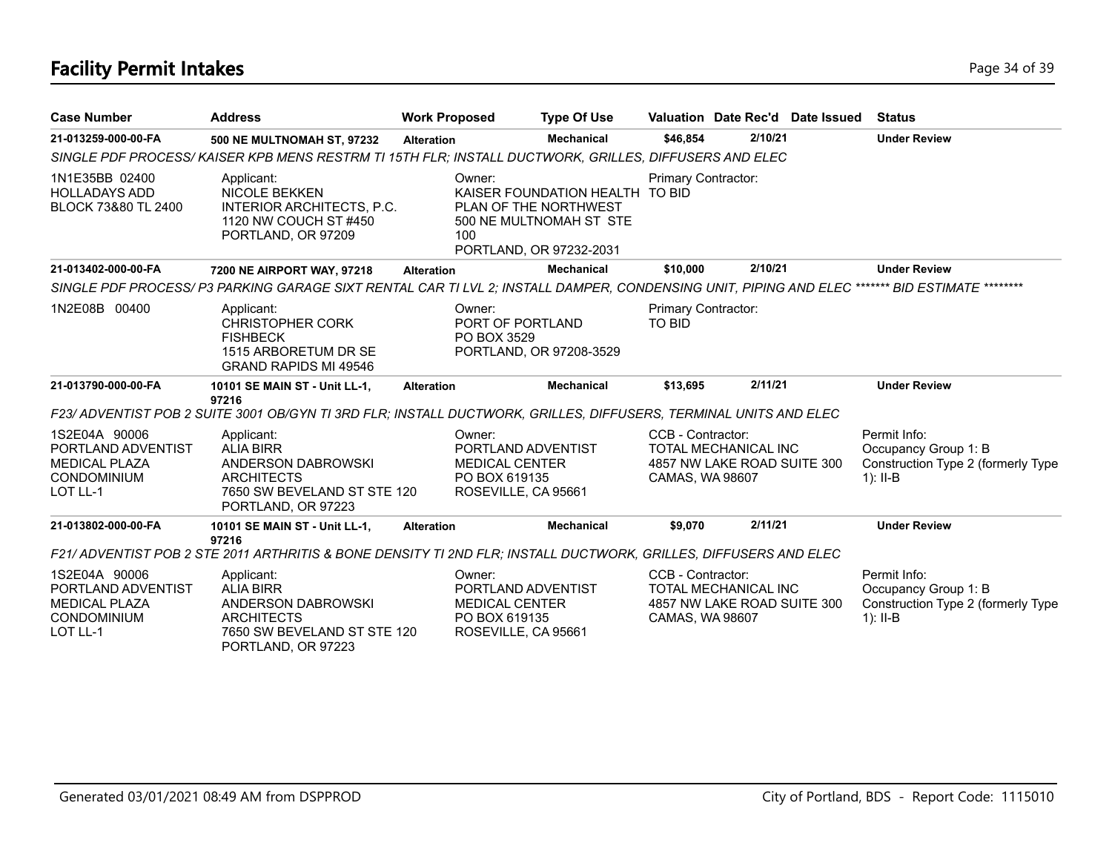# **Facility Permit Intakes** Page 34 of 39

| <b>Case Number</b>                                                                            | <b>Address</b>                                                                                                                                 | <b>Work Proposed</b>                                                    | <b>Type Of Use</b>                                                                                             |                                      | Valuation Date Rec'd Date Issued                           | <b>Status</b>                                                                            |
|-----------------------------------------------------------------------------------------------|------------------------------------------------------------------------------------------------------------------------------------------------|-------------------------------------------------------------------------|----------------------------------------------------------------------------------------------------------------|--------------------------------------|------------------------------------------------------------|------------------------------------------------------------------------------------------|
| 21-013259-000-00-FA                                                                           | 500 NE MULTNOMAH ST, 97232                                                                                                                     | <b>Alteration</b>                                                       | <b>Mechanical</b>                                                                                              | \$46,854                             | 2/10/21                                                    | <b>Under Review</b>                                                                      |
|                                                                                               | SINGLE PDF PROCESS/KAISER KPB MENS RESTRM TI 15TH FLR; INSTALL DUCTWORK, GRILLES, DIFFUSERS AND ELEC                                           |                                                                         |                                                                                                                |                                      |                                                            |                                                                                          |
| 1N1E35BB 02400<br><b>HOLLADAYS ADD</b><br>BLOCK 73&80 TL 2400                                 | Applicant:<br>NICOLE BEKKEN<br>INTERIOR ARCHITECTS, P.C.<br>1120 NW COUCH ST #450<br>PORTLAND, OR 97209                                        | Owner:<br>100                                                           | KAISER FOUNDATION HEALTH TO BID<br>PLAN OF THE NORTHWEST<br>500 NE MULTNOMAH ST STE<br>PORTLAND, OR 97232-2031 | Primary Contractor:                  |                                                            |                                                                                          |
| 21-013402-000-00-FA                                                                           | 7200 NE AIRPORT WAY, 97218                                                                                                                     | <b>Alteration</b>                                                       | <b>Mechanical</b>                                                                                              | \$10,000                             | 2/10/21                                                    | <b>Under Review</b>                                                                      |
|                                                                                               | SINGLE PDF PROCESS/ P3 PARKING GARAGE SIXT RENTAL CAR TI LVL 2; INSTALL DAMPER, CONDENSING UNIT, PIPING AND ELEC ******* BID ESTIMATE ******** |                                                                         |                                                                                                                |                                      |                                                            |                                                                                          |
| 1N2E08B 00400                                                                                 | Applicant:<br><b>CHRISTOPHER CORK</b><br><b>FISHBECK</b><br>1515 ARBORETUM DR SE<br><b>GRAND RAPIDS MI 49546</b>                               | Owner:<br>PORT OF PORTLAND<br>PO BOX 3529                               | PORTLAND, OR 97208-3529                                                                                        | Primary Contractor:<br><b>TO BID</b> |                                                            |                                                                                          |
| 21-013790-000-00-FA                                                                           | 10101 SE MAIN ST - Unit LL-1,<br>97216                                                                                                         | <b>Alteration</b>                                                       | <b>Mechanical</b>                                                                                              | \$13,695                             | 2/11/21                                                    | <b>Under Review</b>                                                                      |
|                                                                                               | F23/ADVENTIST POB 2 SUITE 3001 OB/GYN TI 3RD FLR; INSTALL DUCTWORK, GRILLES, DIFFUSERS, TERMINAL UNITS AND ELEC                                |                                                                         |                                                                                                                |                                      |                                                            |                                                                                          |
| 1S2E04A 90006<br>PORTLAND ADVENTIST<br><b>MEDICAL PLAZA</b><br><b>CONDOMINIUM</b><br>LOT LL-1 | Applicant:<br><b>ALIA BIRR</b><br>ANDERSON DABROWSKI<br><b>ARCHITECTS</b><br>7650 SW BEVELAND ST STE 120<br>PORTLAND, OR 97223                 | Owner:<br><b>MEDICAL CENTER</b><br>PO BOX 619135<br>ROSEVILLE, CA 95661 | PORTLAND ADVENTIST                                                                                             | CCB - Contractor:<br>CAMAS, WA 98607 | <b>TOTAL MECHANICAL INC</b><br>4857 NW LAKE ROAD SUITE 300 | Permit Info:<br>Occupancy Group 1: B<br>Construction Type 2 (formerly Type<br>$1$ : II-B |
| 21-013802-000-00-FA                                                                           | 10101 SE MAIN ST - Unit LL-1,                                                                                                                  | <b>Alteration</b>                                                       | <b>Mechanical</b>                                                                                              | \$9,070                              | 2/11/21                                                    | <b>Under Review</b>                                                                      |
|                                                                                               | 97216<br>F21/ ADVENTIST POB 2 STE 2011 ARTHRITIS & BONE DENSITY TI 2ND FLR; INSTALL DUCTWORK, GRILLES, DIFFUSERS AND ELEC                      |                                                                         |                                                                                                                |                                      |                                                            |                                                                                          |
| 1S2E04A 90006<br>PORTLAND ADVENTIST<br><b>MEDICAL PLAZA</b><br>CONDOMINIUM<br>LOT LL-1        | Applicant:<br><b>ALIA BIRR</b><br>ANDERSON DABROWSKI<br><b>ARCHITECTS</b><br>7650 SW BEVELAND ST STE 120<br>PORTLAND, OR 97223                 | Owner:<br><b>MEDICAL CENTER</b><br>PO BOX 619135<br>ROSEVILLE, CA 95661 | PORTLAND ADVENTIST                                                                                             | CCB - Contractor:<br>CAMAS, WA 98607 | <b>TOTAL MECHANICAL INC</b><br>4857 NW LAKE ROAD SUITE 300 | Permit Info:<br>Occupancy Group 1: B<br>Construction Type 2 (formerly Type<br>$1$ : II-B |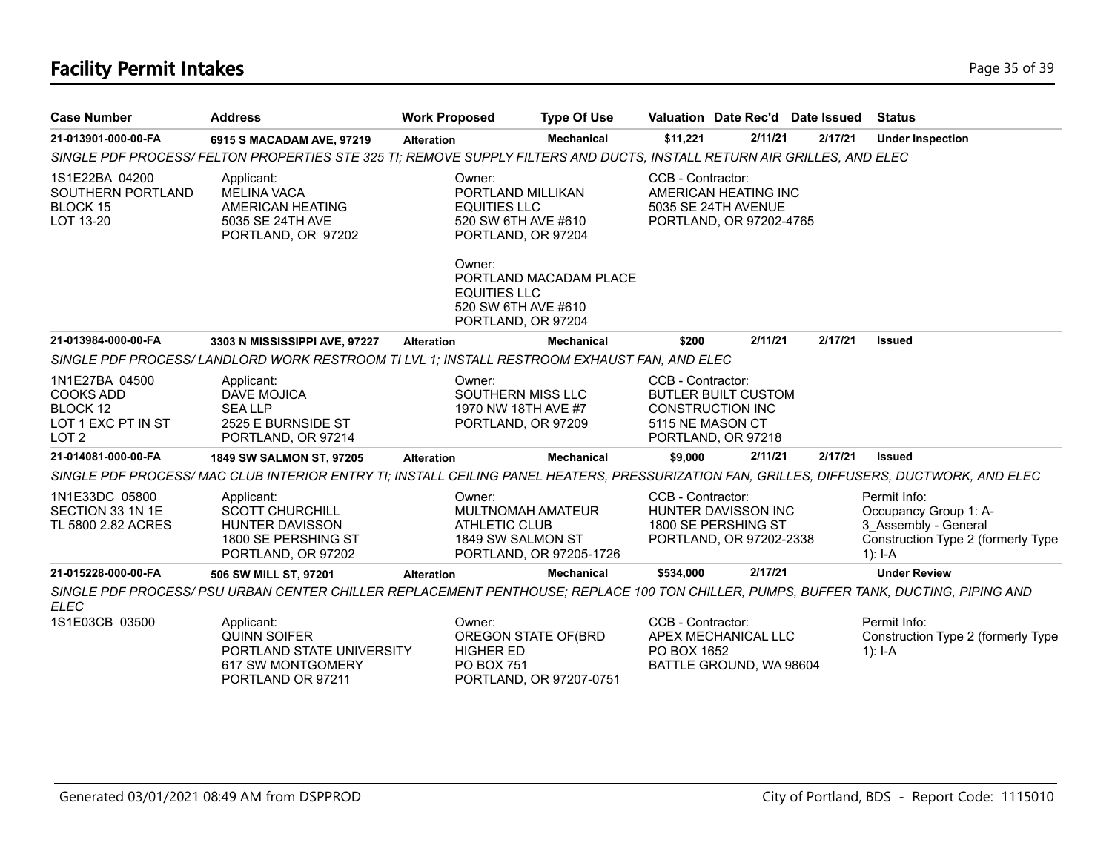# **Facility Permit Intakes** Page 35 of 39

| <b>Case Number</b>                                                                       | <b>Address</b>                                                                                                         | <b>Work Proposed</b>                                                                                                                                                                           | <b>Type Of Use</b>                                                                         |                                       | Valuation Date Rec'd Date Issued                                            |         | <b>Status</b>                                                                                                                            |
|------------------------------------------------------------------------------------------|------------------------------------------------------------------------------------------------------------------------|------------------------------------------------------------------------------------------------------------------------------------------------------------------------------------------------|--------------------------------------------------------------------------------------------|---------------------------------------|-----------------------------------------------------------------------------|---------|------------------------------------------------------------------------------------------------------------------------------------------|
| 21-013901-000-00-FA                                                                      | 6915 S MACADAM AVE, 97219                                                                                              | <b>Alteration</b>                                                                                                                                                                              | <b>Mechanical</b>                                                                          | \$11,221                              | 2/11/21                                                                     |         | 2/17/21<br><b>Under Inspection</b>                                                                                                       |
|                                                                                          | SINGLE PDF PROCESS/FELTON PROPERTIES STE 325 TI; REMOVE SUPPLY FILTERS AND DUCTS, INSTALL RETURN AIR GRILLES, AND ELEC |                                                                                                                                                                                                |                                                                                            |                                       |                                                                             |         |                                                                                                                                          |
| 1S1E22BA 04200<br>SOUTHERN PORTLAND<br>BLOCK 15<br>LOT 13-20                             | Applicant:<br><b>MELINA VACA</b><br>AMERICAN HEATING<br>5035 SE 24TH AVE<br>PORTLAND, OR 97202                         | Owner:<br>CCB - Contractor:<br>PORTLAND MILLIKAN<br>AMERICAN HEATING INC<br><b>EQUITIES LLC</b><br>5035 SE 24TH AVENUE<br>520 SW 6TH AVE #610<br>PORTLAND, OR 97202-4765<br>PORTLAND, OR 97204 |                                                                                            |                                       |                                                                             |         |                                                                                                                                          |
|                                                                                          |                                                                                                                        | Owner:                                                                                                                                                                                         | PORTLAND MACADAM PLACE<br><b>EQUITIES LLC</b><br>520 SW 6TH AVE #610<br>PORTLAND, OR 97204 |                                       |                                                                             |         |                                                                                                                                          |
| 21-013984-000-00-FA                                                                      | 3303 N MISSISSIPPI AVE, 97227                                                                                          | <b>Alteration</b>                                                                                                                                                                              | <b>Mechanical</b>                                                                          | \$200                                 | 2/11/21                                                                     | 2/17/21 | <b>Issued</b>                                                                                                                            |
|                                                                                          | SINGLE PDF PROCESS/LANDLORD WORK RESTROOM TI LVL 1; INSTALL RESTROOM EXHAUST FAN, AND ELEC                             |                                                                                                                                                                                                |                                                                                            |                                       |                                                                             |         |                                                                                                                                          |
| 1N1E27BA 04500<br><b>COOKS ADD</b><br>BLOCK 12<br>LOT 1 EXC PT IN ST<br>LOT <sub>2</sub> | Applicant:<br>DAVE MOJICA<br><b>SEALLP</b><br>2525 E BURNSIDE ST<br>PORTLAND, OR 97214                                 | Owner:                                                                                                                                                                                         | SOUTHERN MISS LLC<br>1970 NW 18TH AVE #7<br>PORTLAND, OR 97209                             | CCB - Contractor:<br>5115 NE MASON CT | <b>BUTLER BUILT CUSTOM</b><br><b>CONSTRUCTION INC</b><br>PORTLAND, OR 97218 |         |                                                                                                                                          |
| 21-014081-000-00-FA                                                                      | 1849 SW SALMON ST, 97205                                                                                               | <b>Alteration</b>                                                                                                                                                                              | <b>Mechanical</b>                                                                          | \$9,000                               | 2/11/21                                                                     |         | 2/17/21<br><b>Issued</b>                                                                                                                 |
|                                                                                          |                                                                                                                        |                                                                                                                                                                                                |                                                                                            |                                       |                                                                             |         | SINGLE PDF PROCESS/MAC CLUB INTERIOR ENTRY TI; INSTALL CEILING PANEL HEATERS, PRESSURIZATION FAN, GRILLES, DIFFUSERS, DUCTWORK, AND ELEC |
| 1N1E33DC 05800<br>SECTION 33 1N 1E<br>TL 5800 2.82 ACRES                                 | Applicant:<br><b>SCOTT CHURCHILL</b><br>HUNTER DAVISSON<br>1800 SE PERSHING ST<br>PORTLAND, OR 97202                   | Owner:                                                                                                                                                                                         | MULTNOMAH AMATEUR<br><b>ATHLETIC CLUB</b><br>1849 SW SALMON ST<br>PORTLAND, OR 97205-1726  | CCB - Contractor:                     | HUNTER DAVISSON INC<br>1800 SE PERSHING ST<br>PORTLAND, OR 97202-2338       |         | Permit Info:<br>Occupancy Group 1: A-<br>3 Assembly - General<br>Construction Type 2 (formerly Type<br>1): $I - A$                       |
| 21-015228-000-00-FA                                                                      | 506 SW MILL ST, 97201                                                                                                  | <b>Alteration</b>                                                                                                                                                                              | <b>Mechanical</b>                                                                          | \$534,000                             | 2/17/21                                                                     |         | <b>Under Review</b>                                                                                                                      |
| <b>ELEC</b>                                                                              |                                                                                                                        |                                                                                                                                                                                                |                                                                                            |                                       |                                                                             |         | SINGLE PDF PROCESS/ PSU URBAN CENTER CHILLER REPLACEMENT PENTHOUSE; REPLACE 100 TON CHILLER, PUMPS, BUFFER TANK, DUCTING, PIPING AND     |
| 1S1E03CB 03500                                                                           | Applicant:<br><b>QUINN SOIFER</b><br>PORTLAND STATE UNIVERSITY<br>617 SW MONTGOMERY<br>PORTLAND OR 97211               | Owner:                                                                                                                                                                                         | OREGON STATE OF(BRD<br><b>HIGHER ED</b><br><b>PO BOX 751</b><br>PORTLAND, OR 97207-0751    | CCB - Contractor:<br>PO BOX 1652      | APEX MECHANICAL LLC<br>BATTLE GROUND, WA 98604                              |         | Permit Info:<br>Construction Type 2 (formerly Type<br>$1$ : I-A                                                                          |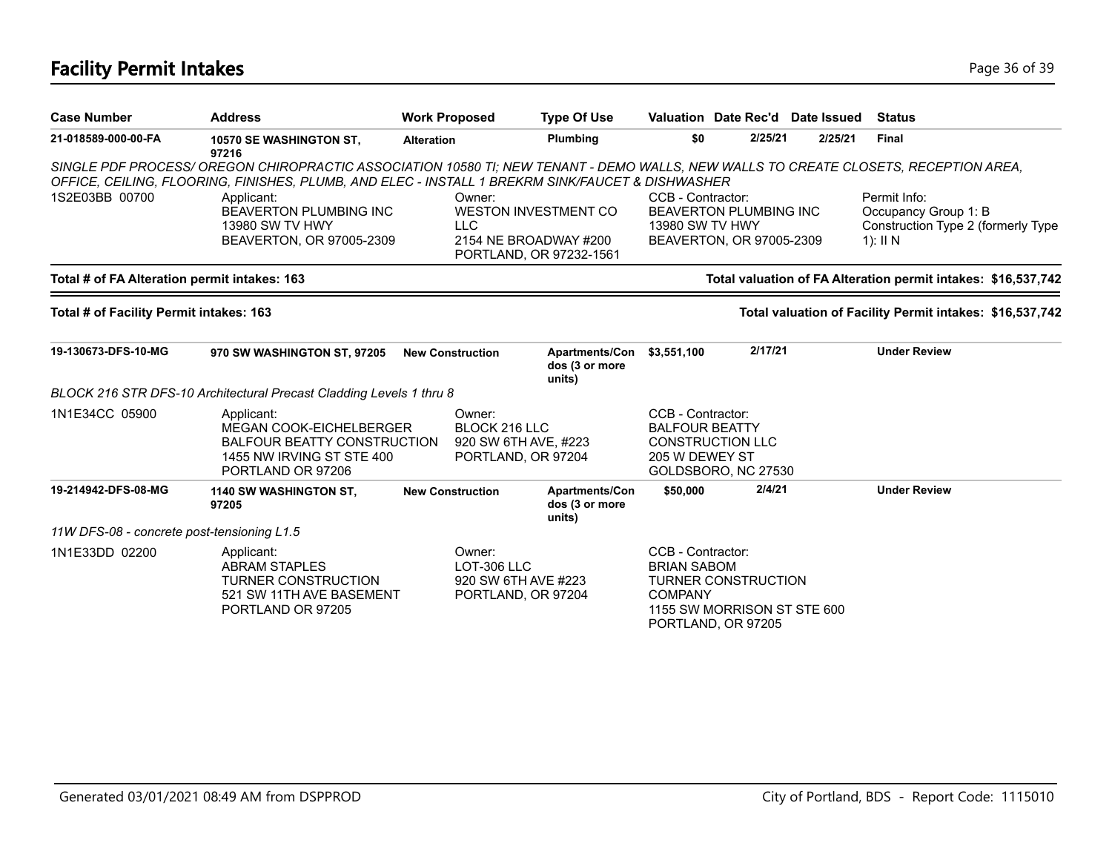# **Facility Permit Intakes** Page 36 of 39

| <b>Case Number</b>                           | <b>Address</b>                                                                                                                                                                                                                         | <b>Work Proposed</b> |                                                                                                         | <b>Type Of Use</b>                                |                                                              |                                                                                 | Valuation Date Rec'd Date Issued | <b>Status</b>                                                                            |
|----------------------------------------------|----------------------------------------------------------------------------------------------------------------------------------------------------------------------------------------------------------------------------------------|----------------------|---------------------------------------------------------------------------------------------------------|---------------------------------------------------|--------------------------------------------------------------|---------------------------------------------------------------------------------|----------------------------------|------------------------------------------------------------------------------------------|
| 21-018589-000-00-FA                          | 10570 SE WASHINGTON ST,<br>97216                                                                                                                                                                                                       | <b>Alteration</b>    |                                                                                                         | Plumbing                                          | \$0                                                          | 2/25/21                                                                         | 2/25/21                          | <b>Final</b>                                                                             |
|                                              | SINGLE PDF PROCESS/OREGON CHIROPRACTIC ASSOCIATION 10580 TI; NEW TENANT - DEMO WALLS, NEW WALLS TO CREATE CLOSETS, RECEPTION AREA,<br>OFFICE, CEILING, FLOORING, FINISHES, PLUMB, AND ELEC - INSTALL 1 BREKRM SINK/FAUCET & DISHWASHER |                      |                                                                                                         |                                                   |                                                              |                                                                                 |                                  |                                                                                          |
| 1S2E03BB 00700                               | Applicant:<br><b>BEAVERTON PLUMBING INC</b><br>13980 SW TV HWY<br>BEAVERTON, OR 97005-2309                                                                                                                                             |                      | Owner:<br><b>WESTON INVESTMENT CO</b><br><b>LLC</b><br>2154 NE BROADWAY #200<br>PORTLAND, OR 97232-1561 |                                                   | CCB - Contractor:<br>13980 SW TV HWY                         | BEAVERTON PLUMBING INC<br>BEAVERTON, OR 97005-2309                              |                                  | Permit Info:<br>Occupancy Group 1: B<br>Construction Type 2 (formerly Type<br>1): $II N$ |
| Total # of FA Alteration permit intakes: 163 |                                                                                                                                                                                                                                        |                      |                                                                                                         |                                                   |                                                              |                                                                                 |                                  | Total valuation of FA Alteration permit intakes: \$16,537,742                            |
| Total # of Facility Permit intakes: 163      |                                                                                                                                                                                                                                        |                      |                                                                                                         |                                                   |                                                              |                                                                                 |                                  | Total valuation of Facility Permit intakes: \$16,537,742                                 |
| 19-130673-DFS-10-MG                          | 970 SW WASHINGTON ST, 97205                                                                                                                                                                                                            |                      | <b>New Construction</b>                                                                                 | <b>Apartments/Con</b><br>dos (3 or more<br>units) | \$3,551,100                                                  | 2/17/21                                                                         |                                  | <b>Under Review</b>                                                                      |
|                                              | BLOCK 216 STR DFS-10 Architectural Precast Cladding Levels 1 thru 8                                                                                                                                                                    |                      |                                                                                                         |                                                   |                                                              |                                                                                 |                                  |                                                                                          |
| 1N1E34CC 05900                               | Applicant:<br>MEGAN COOK-EICHELBERGER<br><b>BALFOUR BEATTY CONSTRUCTION</b><br>1455 NW IRVING ST STE 400<br>PORTLAND OR 97206                                                                                                          |                      | Owner:<br>BLOCK 216 LLC<br>920 SW 6TH AVE, #223<br>PORTLAND, OR 97204                                   |                                                   | CCB - Contractor:<br><b>BALFOUR BEATTY</b><br>205 W DEWEY ST | <b>CONSTRUCTION LLC</b><br>GOLDSBORO, NC 27530                                  |                                  |                                                                                          |
| 19-214942-DFS-08-MG                          | 1140 SW WASHINGTON ST,<br>97205                                                                                                                                                                                                        |                      | <b>New Construction</b>                                                                                 | Apartments/Con<br>dos (3 or more<br>units)        | \$50,000                                                     | 2/4/21                                                                          |                                  | <b>Under Review</b>                                                                      |
| 11W DFS-08 - concrete post-tensioning L1.5   |                                                                                                                                                                                                                                        |                      |                                                                                                         |                                                   |                                                              |                                                                                 |                                  |                                                                                          |
| 1N1E33DD 02200                               | Applicant:<br><b>ABRAM STAPLES</b><br><b>TURNER CONSTRUCTION</b><br>521 SW 11TH AVE BASEMENT<br>PORTLAND OR 97205                                                                                                                      |                      | Owner:<br>LOT-306 LLC<br>920 SW 6TH AVE #223<br>PORTLAND, OR 97204                                      |                                                   | CCB - Contractor:<br><b>BRIAN SABOM</b><br><b>COMPANY</b>    | <b>TURNER CONSTRUCTION</b><br>1155 SW MORRISON ST STE 600<br>PORTLAND, OR 97205 |                                  |                                                                                          |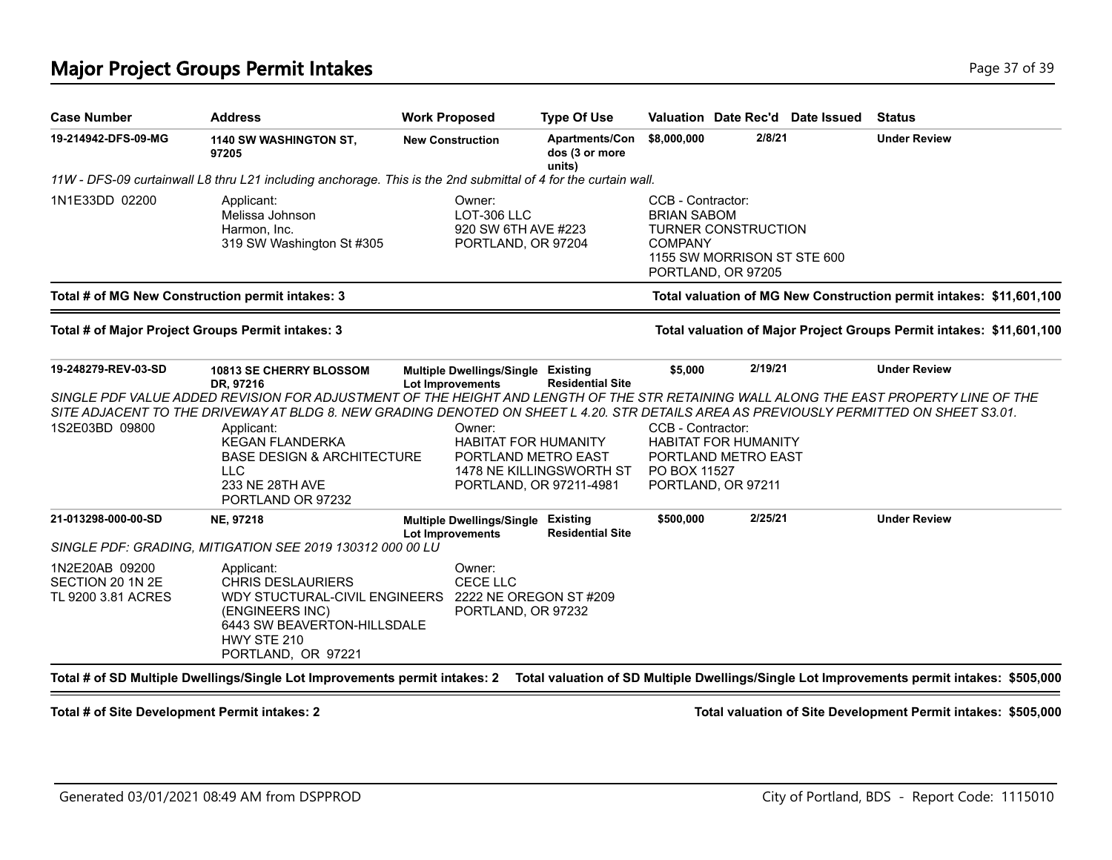### **Major Project Groups Permit Intakes Page 17 of 39 and 20 and 20 and 20 and 20 and 20 and 20 and 20 and 20 and 20 and 20 and 20 and 20 and 20 and 20 and 20 and 20 and 20 and 20 and 20 and 20 and 20 and 20 and 20 and 20 a**

| <b>Case Number</b>                                       | <b>Address</b>                                                                                                                                                                                                                                                                  | <b>Work Proposed</b>    |                                                                    | <b>Type Of Use</b>                                                                                        |                                                           |                                                                                 | Valuation Date Rec'd Date Issued | <b>Status</b>                                                        |  |
|----------------------------------------------------------|---------------------------------------------------------------------------------------------------------------------------------------------------------------------------------------------------------------------------------------------------------------------------------|-------------------------|--------------------------------------------------------------------|-----------------------------------------------------------------------------------------------------------|-----------------------------------------------------------|---------------------------------------------------------------------------------|----------------------------------|----------------------------------------------------------------------|--|
| 19-214942-DFS-09-MG                                      | 1140 SW WASHINGTON ST,<br>97205                                                                                                                                                                                                                                                 | <b>New Construction</b> |                                                                    | <b>Apartments/Con</b><br>dos (3 or more<br>units)                                                         | \$8,000,000                                               | 2/8/21                                                                          |                                  | <b>Under Review</b>                                                  |  |
|                                                          | 11W - DFS-09 curtainwall L8 thru L21 including anchorage. This is the 2nd submittal of 4 for the curtain wall.                                                                                                                                                                  |                         |                                                                    |                                                                                                           |                                                           |                                                                                 |                                  |                                                                      |  |
| 1N1E33DD 02200                                           | Applicant:<br>Melissa Johnson<br>Harmon, Inc.<br>319 SW Washington St #305                                                                                                                                                                                                      |                         | Owner:<br>LOT-306 LLC<br>920 SW 6TH AVE #223<br>PORTLAND, OR 97204 |                                                                                                           | CCB - Contractor:<br><b>BRIAN SABOM</b><br><b>COMPANY</b> | <b>TURNER CONSTRUCTION</b><br>1155 SW MORRISON ST STE 600<br>PORTLAND, OR 97205 |                                  |                                                                      |  |
|                                                          | Total # of MG New Construction permit intakes: 3                                                                                                                                                                                                                                |                         |                                                                    |                                                                                                           |                                                           |                                                                                 |                                  | Total valuation of MG New Construction permit intakes: \$11,601,100  |  |
|                                                          | Total # of Major Project Groups Permit intakes: 3                                                                                                                                                                                                                               |                         |                                                                    |                                                                                                           |                                                           |                                                                                 |                                  | Total valuation of Major Project Groups Permit intakes: \$11,601,100 |  |
| 19-248279-REV-03-SD                                      | <b>10813 SE CHERRY BLOSSOM</b><br>DR, 97216                                                                                                                                                                                                                                     | <b>Lot Improvements</b> | <b>Multiple Dwellings/Single</b>                                   | Existing<br><b>Residential Site</b>                                                                       | \$5,000                                                   | 2/19/21                                                                         |                                  | <b>Under Review</b>                                                  |  |
|                                                          | SINGLE PDF VALUE ADDED REVISION FOR ADJUSTMENT OF THE HEIGHT AND LENGTH OF THE STR RETAINING WALL ALONG THE EAST PROPERTY LINE OF THE<br>SITE ADJACENT TO THE DRIVEWAY AT BLDG 8. NEW GRADING DENOTED ON SHEET L 4.20. STR DETAILS AREA AS PREVIOUSLY PERMITTED ON SHEET S3.01. |                         |                                                                    |                                                                                                           |                                                           |                                                                                 |                                  |                                                                      |  |
| 1S2E03BD 09800                                           | Applicant:<br><b>KEGAN FLANDERKA</b><br><b>BASE DESIGN &amp; ARCHITECTURE</b><br><b>LLC</b><br>233 NE 28TH AVE<br>PORTLAND OR 97232                                                                                                                                             |                         | Owner:                                                             | <b>HABITAT FOR HUMANITY</b><br>PORTLAND METRO EAST<br>1478 NE KILLINGSWORTH ST<br>PORTLAND, OR 97211-4981 | CCB - Contractor:<br>PO BOX 11527                         | <b>HABITAT FOR HUMANITY</b><br>PORTLAND METRO EAST<br>PORTLAND, OR 97211        |                                  |                                                                      |  |
| 21-013298-000-00-SD                                      | NE, 97218                                                                                                                                                                                                                                                                       |                         | <b>Multiple Dwellings/Single</b>                                   | <b>Existing</b><br><b>Residential Site</b>                                                                | \$500,000                                                 | 2/25/21                                                                         |                                  | <b>Under Review</b>                                                  |  |
|                                                          | SINGLE PDF: GRADING, MITIGATION SEE 2019 130312 000 00 LU                                                                                                                                                                                                                       | <b>Lot Improvements</b> |                                                                    |                                                                                                           |                                                           |                                                                                 |                                  |                                                                      |  |
| 1N2E20AB 09200<br>SECTION 20 1N 2E<br>TL 9200 3.81 ACRES | Applicant:<br><b>CHRIS DESLAURIERS</b><br>WDY STUCTURAL-CIVIL ENGINEERS<br>(ENGINEERS INC)<br>6443 SW BEAVERTON-HILLSDALE<br>HWY STE 210<br>PORTLAND, OR 97221                                                                                                                  |                         | Owner:<br>CECE LLC<br>PORTLAND, OR 97232                           | 2222 NE OREGON ST #209                                                                                    |                                                           |                                                                                 |                                  |                                                                      |  |

**Total # of Site Development Permit intakes: 2 Total valuation of Site Development Permit intakes: \$505,000**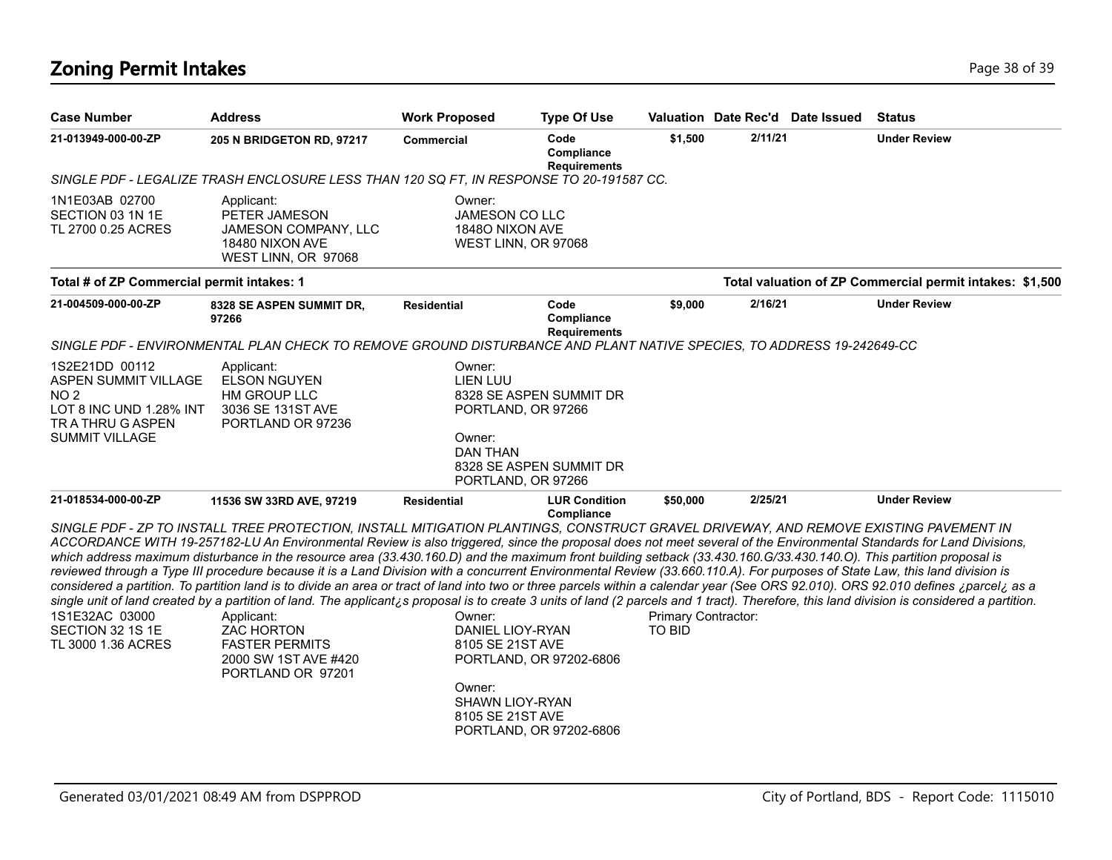# **Zoning Permit Intakes** Page 18 of 39

| <b>Case Number</b>                                                                                                      | <b>Address</b>                                                                                                                                                                                                                                                                                                                                                                                                                                                                                                                                                                                                                                                                                                                                                                                                                                                                                                                                                                                                                                                                                                                                                                                 | <b>Work Proposed</b>                                                                                                  | <b>Type Of Use</b>                                                                       |                                                  |         | Valuation Date Rec'd Date Issued | <b>Status</b>                                            |
|-------------------------------------------------------------------------------------------------------------------------|------------------------------------------------------------------------------------------------------------------------------------------------------------------------------------------------------------------------------------------------------------------------------------------------------------------------------------------------------------------------------------------------------------------------------------------------------------------------------------------------------------------------------------------------------------------------------------------------------------------------------------------------------------------------------------------------------------------------------------------------------------------------------------------------------------------------------------------------------------------------------------------------------------------------------------------------------------------------------------------------------------------------------------------------------------------------------------------------------------------------------------------------------------------------------------------------|-----------------------------------------------------------------------------------------------------------------------|------------------------------------------------------------------------------------------|--------------------------------------------------|---------|----------------------------------|----------------------------------------------------------|
| 21-013949-000-00-ZP                                                                                                     | 205 N BRIDGETON RD, 97217                                                                                                                                                                                                                                                                                                                                                                                                                                                                                                                                                                                                                                                                                                                                                                                                                                                                                                                                                                                                                                                                                                                                                                      | <b>Commercial</b>                                                                                                     | Code<br>Compliance<br><b>Requirements</b>                                                | \$1,500                                          | 2/11/21 |                                  | <b>Under Review</b>                                      |
|                                                                                                                         | SINGLE PDF - LEGALIZE TRASH ENCLOSURE LESS THAN 120 SQ FT, IN RESPONSE TO 20-191587 CC.                                                                                                                                                                                                                                                                                                                                                                                                                                                                                                                                                                                                                                                                                                                                                                                                                                                                                                                                                                                                                                                                                                        |                                                                                                                       |                                                                                          |                                                  |         |                                  |                                                          |
| 1N1E03AB 02700<br>SECTION 03 1N 1E<br>TL 2700 0.25 ACRES                                                                | Applicant:<br>PETER JAMESON<br>JAMESON COMPANY, LLC<br>18480 NIXON AVE<br>WEST LINN, OR 97068                                                                                                                                                                                                                                                                                                                                                                                                                                                                                                                                                                                                                                                                                                                                                                                                                                                                                                                                                                                                                                                                                                  | Owner:<br><b>JAMESON CO LLC</b><br>1848O NIXON AVE<br>WEST LINN, OR 97068                                             |                                                                                          |                                                  |         |                                  |                                                          |
| Total # of ZP Commercial permit intakes: 1                                                                              |                                                                                                                                                                                                                                                                                                                                                                                                                                                                                                                                                                                                                                                                                                                                                                                                                                                                                                                                                                                                                                                                                                                                                                                                |                                                                                                                       |                                                                                          |                                                  |         |                                  | Total valuation of ZP Commercial permit intakes: \$1,500 |
| 21-004509-000-00-ZP                                                                                                     | 8328 SE ASPEN SUMMIT DR.<br>97266                                                                                                                                                                                                                                                                                                                                                                                                                                                                                                                                                                                                                                                                                                                                                                                                                                                                                                                                                                                                                                                                                                                                                              | <b>Residential</b>                                                                                                    | Code<br>Compliance<br><b>Requirements</b>                                                | \$9,000                                          | 2/16/21 |                                  | <b>Under Review</b>                                      |
|                                                                                                                         | SINGLE PDF - ENVIRONMENTAL PLAN CHECK TO REMOVE GROUND DISTURBANCE AND PLANT NATIVE SPECIES, TO ADDRESS 19-242649-CC                                                                                                                                                                                                                                                                                                                                                                                                                                                                                                                                                                                                                                                                                                                                                                                                                                                                                                                                                                                                                                                                           |                                                                                                                       |                                                                                          |                                                  |         |                                  |                                                          |
| 1S2E21DD 00112<br>ASPEN SUMMIT VILLAGE<br>NO 2<br>LOT 8 INC UND 1.28% INT<br>TR A THRU G ASPEN<br><b>SUMMIT VILLAGE</b> | Applicant:<br><b>ELSON NGUYEN</b><br>HM GROUP LLC<br>3036 SE 131ST AVE<br>PORTLAND OR 97236                                                                                                                                                                                                                                                                                                                                                                                                                                                                                                                                                                                                                                                                                                                                                                                                                                                                                                                                                                                                                                                                                                    | Owner:<br><b>LIEN LUU</b><br>PORTLAND, OR 97266<br>Owner:<br>DAN THAN<br>PORTLAND, OR 97266                           | 8328 SE ASPEN SUMMIT DR<br>8328 SE ASPEN SUMMIT DR                                       |                                                  |         |                                  |                                                          |
| 21-018534-000-00-ZP<br>1S1E32AC 03000<br>SECTION 32 1S 1E<br>TL 3000 1.36 ACRES                                         | 11536 SW 33RD AVE, 97219<br>SINGLE PDF - ZP TO INSTALL TREE PROTECTION, INSTALL MITIGATION PLANTINGS, CONSTRUCT GRAVEL DRIVEWAY, AND REMOVE EXISTING PAVEMENT IN<br>ACCORDANCE WITH 19-257182-LU An Environmental Review is also triggered, since the proposal does not meet several of the Environmental Standards for Land Divisions,<br>which address maximum disturbance in the resource area (33.430.160.D) and the maximum front building setback (33.430.160.G/33.430.140.O). This partition proposal is<br>reviewed through a Type III procedure because it is a Land Division with a concurrent Environmental Review (33.660.110.A). For purposes of State Law, this land division is<br>considered a partition. To partition land is to divide an area or tract of land into two or three parcels within a calendar year (See ORS 92.010). ORS 92.010 defines ¿parcel¿ as a<br>single unit of land created by a partition of land. The applicant is proposal is to create 3 units of land (2 parcels and 1 tract). Therefore, this land division is considered a partition.<br>Applicant:<br><b>ZAC HORTON</b><br><b>FASTER PERMITS</b><br>2000 SW 1ST AVE #420<br>PORTLAND OR 97201 | <b>Residential</b><br>Owner:<br>DANIEL LIOY-RYAN<br>8105 SE 21ST AVE<br>Owner:<br>SHAWN LIOY-RYAN<br>8105 SE 21ST AVE | <b>LUR Condition</b><br>Compliance<br>PORTLAND, OR 97202-6806<br>PORTLAND, OR 97202-6806 | \$50,000<br>Primary Contractor:<br><b>TO BID</b> | 2/25/21 |                                  | <b>Under Review</b>                                      |